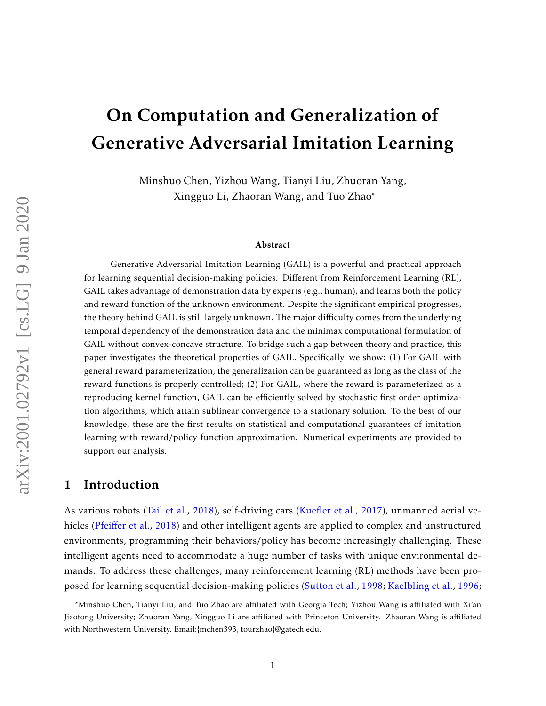# On Computation and Generalization of Generative Adversarial Imitation Learning

Minshuo Chen, Yizhou Wang, Tianyi Liu, Zhuoran Yang, Xingguo Li, Zhaoran Wang, and Tuo Zhao\*

#### Abstract

Generative Adversarial Imitation Learning (GAIL) is a powerful and practical approach for learning sequential decision-making policies. Different from Reinforcement Learning (RL), GAIL takes advantage of demonstration data by experts (e.g., human), and learns both the policy and reward function of the unknown environment. Despite the significant empirical progresses, the theory behind GAIL is still largely unknown. The major difficulty comes from the underlying temporal dependency of the demonstration data and the minimax computational formulation of GAIL without convex-concave structure. To bridge such a gap between theory and practice, this paper investigates the theoretical properties of GAIL. Specifically, we show: (1) For GAIL with general reward parameterization, the generalization can be guaranteed as long as the class of the reward functions is properly controlled; (2) For GAIL, where the reward is parameterized as a reproducing kernel function, GAIL can be efficiently solved by stochastic first order optimization algorithms, which attain sublinear convergence to a stationary solution. To the best of our knowledge, these are the first results on statistical and computational guarantees of imitation learning with reward/policy function approximation. Numerical experiments are provided to support our analysis.

## 1 Introduction

As various robots [\(Tail et al.,](#page-17-0) [2018\)](#page-17-0), self-driving cars [\(Kuefler et al.,](#page-14-0) [2017\)](#page-14-0), unmanned aerial vehicles (Pfeiff[er et al.,](#page-15-0) [2018\)](#page-15-0) and other intelligent agents are applied to complex and unstructured environments, programming their behaviors/policy has become increasingly challenging. These intelligent agents need to accommodate a huge number of tasks with unique environmental demands. To address these challenges, many reinforcement learning (RL) methods have been proposed for learning sequential decision-making policies [\(Sutton et al.,](#page-16-0) [1998;](#page-16-0) [Kaelbling et al.,](#page-14-1) [1996;](#page-14-1)

<sup>\*</sup>Minshuo Chen, Tianyi Liu, and Tuo Zhao are affiliated with Georgia Tech; Yizhou Wang is affiliated with Xi'an Jiaotong University; Zhuoran Yang, Xingguo Li are affiliated with Princeton University. Zhaoran Wang is affiliated with Northwestern University. Email:{mchen393, tourzhao}@gatech.edu.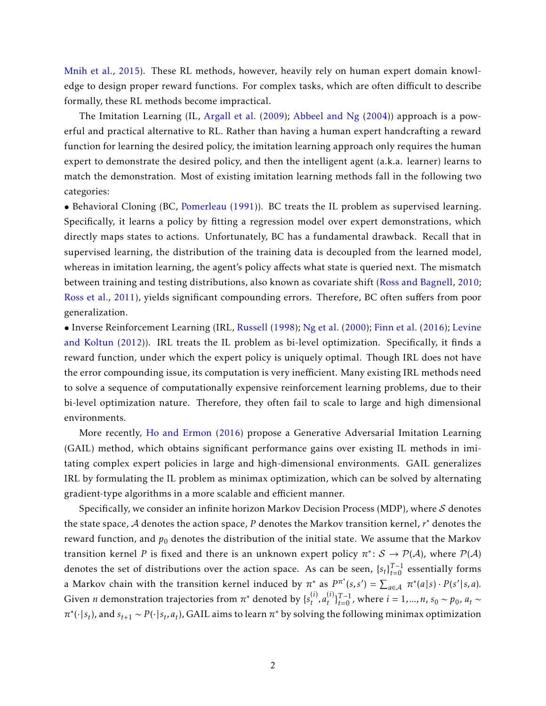[Mnih et al.,](#page-15-1) [2015\)](#page-15-1). These RL methods, however, heavily rely on human expert domain knowledge to design proper reward functions. For complex tasks, which are often difficult to describe formally, these RL methods become impractical.

The Imitation Learning (IL, [Argall et al.](#page-13-0) [\(2009\)](#page-13-0); [Abbeel and Ng](#page-13-1) [\(2004\)](#page-13-1)) approach is a powerful and practical alternative to RL. Rather than having a human expert handcrafting a reward function for learning the desired policy, the imitation learning approach only requires the human expert to demonstrate the desired policy, and then the intelligent agent (a.k.a. learner) learns to match the demonstration. Most of existing imitation learning methods fall in the following two categories:

• Behavioral Cloning (BC, [Pomerleau](#page-16-1) [\(1991\)](#page-16-1)). BC treats the IL problem as supervised learning. Specifically, it learns a policy by fitting a regression model over expert demonstrations, which directly maps states to actions. Unfortunately, BC has a fundamental drawback. Recall that in supervised learning, the distribution of the training data is decoupled from the learned model, whereas in imitation learning, the agent's policy affects what state is queried next. The mismatch between training and testing distributions, also known as covariate shift [\(Ross and Bagnell,](#page-16-2) [2010;](#page-16-2) [Ross et al.,](#page-16-3) [2011\)](#page-16-3), yields significant compounding errors. Therefore, BC often suffers from poor generalization.

• Inverse Reinforcement Learning (IRL, [Russell](#page-16-4) [\(1998\)](#page-16-4); [Ng et al.](#page-15-2) [\(2000\)](#page-15-2); [Finn et al.](#page-14-2) [\(2016\)](#page-14-2); [Levine](#page-15-3) [and Koltun](#page-15-3) [\(2012\)](#page-15-3)). IRL treats the IL problem as bi-level optimization. Specifically, it finds a reward function, under which the expert policy is uniquely optimal. Though IRL does not have the error compounding issue, its computation is very inefficient. Many existing IRL methods need to solve a sequence of computationally expensive reinforcement learning problems, due to their bi-level optimization nature. Therefore, they often fail to scale to large and high dimensional environments.

More recently, [Ho and Ermon](#page-14-3) [\(2016\)](#page-14-3) propose a Generative Adversarial Imitation Learning (GAIL) method, which obtains significant performance gains over existing IL methods in imitating complex expert policies in large and high-dimensional environments. GAIL generalizes IRL by formulating the IL problem as minimax optimization, which can be solved by alternating gradient-type algorithms in a more scalable and efficient manner.

Specifically, we consider an infinite horizon Markov Decision Process (MDP), where  $S$  denotes the state space, A denotes the action space, *P* denotes the Markov transition kernel, *r* <sup>∗</sup> denotes the reward function, and  $p_0$  denotes the distribution of the initial state. We assume that the Markov transition kernel *P* is fixed and there is an unknown expert policy  $\pi^* \colon \mathcal{S} \to \mathcal{P}(\mathcal{A})$ , where  $\mathcal{P}(\mathcal{A})$ denotes the set of distributions over the action space. As can be seen,  $\{s_t\}_{t=0}^{T-1}$  essentially forms a Markov chain with the transition kernel induced by  $\pi^*$  as  $P^{\pi^*}(s,s') = \sum_{a \in \mathcal{A}} \pi^*(a|s) \cdot P(s'|s,a)$ . Given *n* demonstration trajectories from  $\pi^*$  denoted by  $\{s_t^{(i)}\}$  $\binom{i}{t}$ ,  $a_t^{(i)}$  $(t)$ <sub>*t*</sub><sup>−1</sup><sub>*t*</sub> = 1<sup>*, ...,n*, *s*<sub>0</sub> ∼ *p*<sub>0</sub>*, a*<sub>*t*</sub> ∼</sup>  $\pi^*(\cdot|s_t)$ , and  $s_{t+1} \sim P(\cdot|s_t, a_t)$ , GAIL aims to learn  $\pi^*$  by solving the following minimax optimization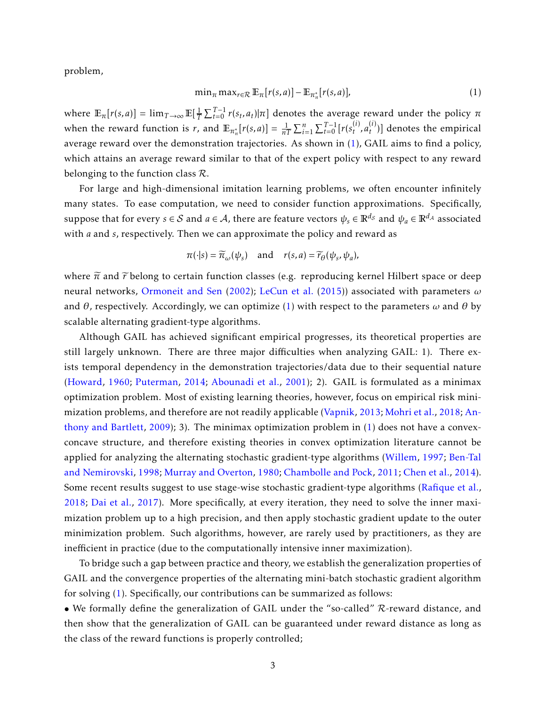problem,

<span id="page-2-0"></span>
$$
\min_{\pi} \max_{r \in \mathcal{R}} \mathbb{E}_{\pi}[r(s, a)] - \mathbb{E}_{\pi_n^*}[r(s, a)],\tag{1}
$$

where  $\mathbb{E}_{\pi}[r(s,a)] = \lim_{T\to\infty} \mathbb{E}[\frac{1}{T} \sum_{t=0}^{T-1} r(s_t,a_t)|\pi]$  denotes the average reward under the policy  $\pi$ *T* when the reward function is *r*, and  $\mathbb{E}_{\pi_n^*}[r(s,a)] = \frac{1}{nT} \sum_{i=1}^n \sum_{t=0}^{T-1} [r(s_t^{(i)})]$  $a_t^{(i)}$ ,  $a_t^{(i)}$ *t* )] denotes the empirical average reward over the demonstration trajectories. As shown in [\(1\)](#page-2-0), GAIL aims to find a policy, which attains an average reward similar to that of the expert policy with respect to any reward belonging to the function class  $\mathcal{R}$ .

For large and high-dimensional imitation learning problems, we often encounter infinitely many states. To ease computation, we need to consider function approximations. Specifically, suppose that for every  $s \in S$  and  $a \in A$ , there are feature vectors  $\psi_s \in \mathbb{R}^{d_S}$  and  $\psi_a \in \mathbb{R}^{d_A}$  associated with *a* and *s*, respectively. Then we can approximate the policy and reward as

$$
\pi(\cdot|s) = \widetilde{\pi}_{\omega}(\psi_s)
$$
 and  $r(s,a) = \widetilde{r}_{\theta}(\psi_s, \psi_a)$ ,

where  $\tilde{\pi}$  and  $\tilde{r}$  belong to certain function classes (e.g. reproducing kernel Hilbert space or deep neural networks, [Ormoneit and Sen](#page-15-4) [\(2002\)](#page-15-4); [LeCun et al.](#page-15-5) [\(2015\)](#page-15-5)) associated with parameters *ω* and *θ*, respectively. Accordingly, we can optimize [\(1\)](#page-2-0) with respect to the parameters *ω* and *θ* by scalable alternating gradient-type algorithms.

Although GAIL has achieved significant empirical progresses, its theoretical properties are still largely unknown. There are three major difficulties when analyzing GAIL: 1). There exists temporal dependency in the demonstration trajectories/data due to their sequential nature [\(Howard,](#page-14-4) [1960;](#page-14-4) [Puterman,](#page-16-5) [2014;](#page-16-5) [Abounadi et al.,](#page-13-2) [2001\)](#page-13-2); 2). GAIL is formulated as a minimax optimization problem. Most of existing learning theories, however, focus on empirical risk minimization problems, and therefore are not readily applicable [\(Vapnik,](#page-17-1) [2013;](#page-17-1) [Mohri et al.,](#page-15-6) [2018;](#page-15-6) [An](#page-13-3)[thony and Bartlett,](#page-13-3) [2009\)](#page-13-3); 3). The minimax optimization problem in [\(1\)](#page-2-0) does not have a convexconcave structure, and therefore existing theories in convex optimization literature cannot be applied for analyzing the alternating stochastic gradient-type algorithms [\(Willem,](#page-17-2) [1997;](#page-17-2) [Ben-Tal](#page-13-4) [and Nemirovski,](#page-13-4) [1998;](#page-13-4) [Murray and Overton,](#page-15-7) [1980;](#page-15-7) [Chambolle and Pock,](#page-14-5) [2011;](#page-14-5) [Chen et al.,](#page-14-6) [2014\)](#page-14-6). Some recent results suggest to use stage-wise stochastic gradient-type algorithms [\(Rafique et al.,](#page-16-6) [2018;](#page-16-6) [Dai et al.,](#page-14-7) [2017\)](#page-14-7). More specifically, at every iteration, they need to solve the inner maximization problem up to a high precision, and then apply stochastic gradient update to the outer minimization problem. Such algorithms, however, are rarely used by practitioners, as they are inefficient in practice (due to the computationally intensive inner maximization).

To bridge such a gap between practice and theory, we establish the generalization properties of GAIL and the convergence properties of the alternating mini-batch stochastic gradient algorithm for solving [\(1\)](#page-2-0). Specifically, our contributions can be summarized as follows:

• We formally define the generalization of GAIL under the "so-called" R-reward distance, and then show that the generalization of GAIL can be guaranteed under reward distance as long as the class of the reward functions is properly controlled;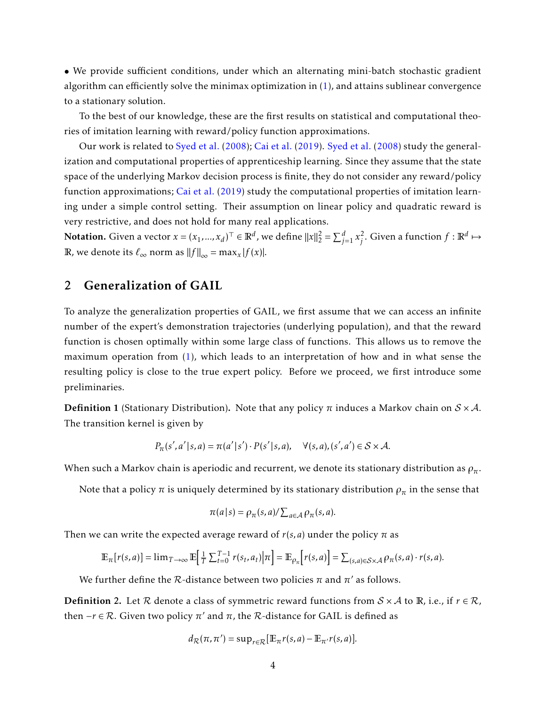• We provide sufficient conditions, under which an alternating mini-batch stochastic gradient algorithm can efficiently solve the minimax optimization in [\(1\)](#page-2-0), and attains sublinear convergence to a stationary solution.

To the best of our knowledge, these are the first results on statistical and computational theories of imitation learning with reward/policy function approximations.

Our work is related to [Syed et al.](#page-16-7) [\(2008\)](#page-16-7); [Cai et al.](#page-14-8) [\(2019\)](#page-14-8). [Syed et al.](#page-16-7) [\(2008\)](#page-16-7) study the generalization and computational properties of apprenticeship learning. Since they assume that the state space of the underlying Markov decision process is finite, they do not consider any reward/policy function approximations; [Cai et al.](#page-14-8) [\(2019\)](#page-14-8) study the computational properties of imitation learning under a simple control setting. Their assumption on linear policy and quadratic reward is very restrictive, and does not hold for many real applications.

Notation. Given a vector  $x = (x_1, ..., x_d)^\top \in \mathbb{R}^d$ , we define  $||x||_2^2 = \sum_{j=1}^d x_j^2$  $\int_j^2$ . Given a function  $f : \mathbb{R}^d \mapsto$ R, we denote its  $\ell_{\infty}$  norm as  $||f||_{\infty} = \max_{x} |f(x)|$ .

## <span id="page-3-1"></span>2 Generalization of GAIL

To analyze the generalization properties of GAIL, we first assume that we can access an infinite number of the expert's demonstration trajectories (underlying population), and that the reward function is chosen optimally within some large class of functions. This allows us to remove the maximum operation from [\(1\)](#page-2-0), which leads to an interpretation of how and in what sense the resulting policy is close to the true expert policy. Before we proceed, we first introduce some preliminaries.

**Definition 1** (Stationary Distribution). Note that any policy  $\pi$  induces a Markov chain on  $S \times A$ . The transition kernel is given by

$$
P_{\pi}(s',a'|s,a) = \pi(a'|s') \cdot P(s'|s,a), \quad \forall (s,a), (s',a') \in S \times A.
$$

When such a Markov chain is aperiodic and recurrent, we denote its stationary distribution as *ρπ*.

Note that a policy  $\pi$  is uniquely determined by its stationary distribution  $\rho_{\pi}$  in the sense that

$$
\pi(a|s) = \rho_{\pi}(s,a) / \sum_{a \in \mathcal{A}} \rho_{\pi}(s,a).
$$

Then we can write the expected average reward of  $r(s, a)$  under the policy  $\pi$  as

$$
\mathbb{E}_{\pi}[r(s,a)] = \lim_{T \to \infty} \mathbb{E}\Big[\frac{1}{T} \sum_{t=0}^{T-1} r(s_t, a_t) \Big| \pi\Big] = \mathbb{E}_{\rho_{\pi}}\Big[r(s,a)\Big] = \sum_{(s,a) \in \mathcal{S} \times \mathcal{A}} \rho_{\pi}(s,a) \cdot r(s,a).
$$

We further define the  $\mathcal R$ -distance between two policies  $\pi$  and  $\pi'$  as follows.

<span id="page-3-0"></span>**Definition 2.** Let R denote a class of symmetric reward functions from  $S \times A$  to R, i.e., if  $r \in R$ , then  $−r$  ∈  $R$ . Given two policy  $π'$  and  $π$ , the  $R$ -distance for GAIL is defined as

$$
d_{\mathcal{R}}(\pi, \pi') = \sup_{r \in \mathcal{R}} [\mathbb{E}_{\pi} r(s, a) - \mathbb{E}_{\pi'} r(s, a)].
$$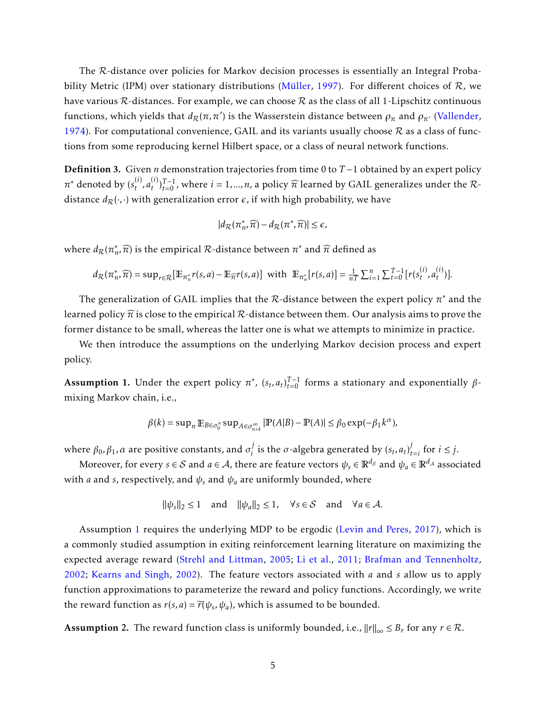The R-distance over policies for Markov decision processes is essentially an Integral Proba-bility Metric (IPM) over stationary distributions (Müller, [1997\)](#page-15-8). For different choices of  $\mathcal{R}$ , we have various  $\mathcal R$ -distances. For example, we can choose  $\mathcal R$  as the class of all 1-Lipschitz continuous functions, which yields that  $d_{\mathcal{R}}(\pi, \pi')$  is the Wasserstein distance between  $\rho_{\pi}$  and  $\rho_{\pi'}$  [\(Vallender,](#page-17-3) [1974\)](#page-17-3). For computational convenience, GAIL and its variants usually choose  $R$  as a class of functions from some reproducing kernel Hilbert space, or a class of neural network functions.

Definition 3. Given *n* demonstration trajectories from time 0 to *T* −1 obtained by an expert policy  $\pi^*$  denoted by  $(s_t^{(i)})$  $\binom{i}{t}$ ,  $a_t^{(i)}$  $(t)$ <sub> $t$ </sub>) $_{t=0}^{(i)}$ , where  $i = 1,...,n$ , a policy  $\widehat{\pi}$  learned by GAIL generalizes under the Rdistance  $d_{\mathcal{R}}(\cdot,\cdot)$  with generalization error  $\epsilon$ , if with high probability, we have

$$
|d_{\mathcal{R}}(\pi_n^*,\widehat{\pi})-d_{\mathcal{R}}(\pi^*,\widehat{\pi})|\leq \epsilon,
$$

where  $d_{\mathcal{R}}(\pi_n^*)$  $\pi$ <sup>\*</sup>,  $\widehat{\pi}$ ) is the empirical  $\mathcal{R}$ -distance between  $\pi$ <sup>\*</sup> and  $\widehat{\pi}$  defined as

$$
d_{\mathcal{R}}(\pi_n^*, \widehat{\pi}) = \sup_{r \in \mathcal{R}} [\mathbb{E}_{\pi_n^*} r(s, a) - \mathbb{E}_{\widehat{\pi}} r(s, a)] \text{ with } \mathbb{E}_{\pi_n^*} [r(s, a)] = \frac{1}{nT} \sum_{i=1}^n \sum_{t=0}^{T-1} [r(s_t^{(i)}, a_t^{(i)})].
$$

The generalization of GAIL implies that the  $R$ -distance between the expert policy  $\pi^*$  and the learned policy  $\hat{\pi}$  is close to the empirical  $\mathcal{R}$ -distance between them. Our analysis aims to prove the former distance to be small, whereas the latter one is what we attempts to minimize in practice.

We then introduce the assumptions on the underlying Markov decision process and expert policy.

<span id="page-4-0"></span>Assumption 1. Under the expert policy  $\pi^*$ ,  $(s_t, a_t)_{t=0}^{T-1}$  forms a stationary and exponentially  $\beta$ mixing Markov chain, i.e.,

$$
\beta(k) = \sup\nolimits_n \mathbb{E}_{B \in \sigma_0^n} \sup\nolimits_{A \in \sigma_{n+k}^\infty} |\mathbb{P}(A|B) - \mathbb{P}(A)| \le \beta_0 \exp(-\beta_1 k^\alpha),
$$

where  $\beta_0, \beta_1, \alpha$  are positive constants, and  $\sigma_i^j$  $\int_{i}^{j}$  is the  $\sigma$ -algebra generated by  $(s_t, a_t)_{t}^{j}$  $t_{i}$  for  $i \leq j$ .

Moreover, for every  $s \in S$  and  $a \in A$ , there are feature vectors  $\psi_s \in \mathbb{R}^{d_S}$  and  $\psi_a \in \mathbb{R}^{d_A}$  associated with *a* and *s*, respectively, and  $\psi_s$  and  $\psi_a$  are uniformly bounded, where

$$
\|\psi_s\|_2 \le 1
$$
 and  $\|\psi_a\|_2 \le 1$ ,  $\forall s \in S$  and  $\forall a \in A$ .

Assumption [1](#page-4-0) requires the underlying MDP to be ergodic [\(Levin and Peres,](#page-15-9) [2017\)](#page-15-9), which is a commonly studied assumption in exiting reinforcement learning literature on maximizing the expected average reward [\(Strehl and Littman,](#page-16-8) [2005;](#page-16-8) [Li et al.,](#page-15-10) [2011;](#page-15-10) [Brafman and Tennenholtz,](#page-13-5) [2002;](#page-13-5) [Kearns and Singh,](#page-14-9) [2002\)](#page-14-9). The feature vectors associated with *a* and *s* allow us to apply function approximations to parameterize the reward and policy functions. Accordingly, we write the reward function as  $r(s, a) = \widetilde{r}(\psi_s, \psi_a)$ , which is assumed to be bounded.

<span id="page-4-1"></span>Assumption 2. The reward function class is uniformly bounded, i.e.,  $||r||_{\infty} \leq B_r$  for any  $r \in \mathcal{R}$ .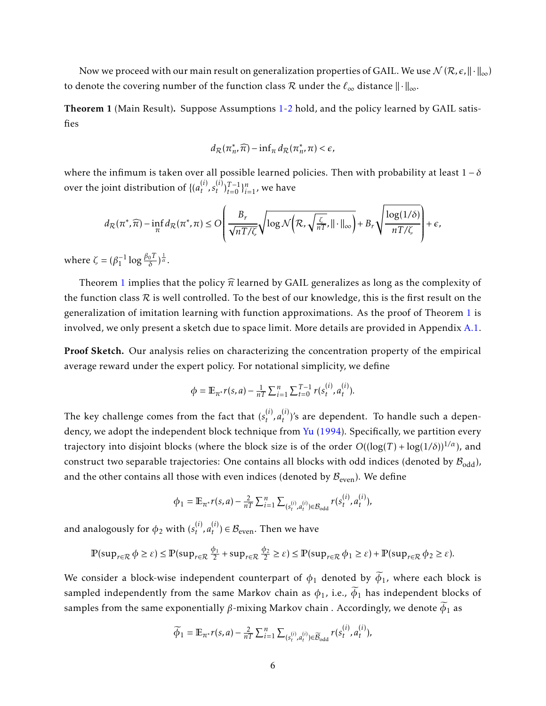Now we proceed with our main result on generalization properties of GAIL. We use  $\mathcal{N}(\mathcal{R}, \epsilon, \|\cdot\|_{\infty})$ to denote the covering number of the function class R under the  $\ell_{\infty}$  distance  $\|\cdot\|_{\infty}$ .

<span id="page-5-0"></span>Theorem 1 (Main Result). Suppose Assumptions [1](#page-4-0)[-2](#page-4-1) hold, and the policy learned by GAIL satisfies

$$
d_{\mathcal{R}}(\pi_n^*,\widehat{\pi}) - \inf_{\pi} d_{\mathcal{R}}(\pi_n^*,\pi) < \epsilon,
$$

where the infimum is taken over all possible learned policies. Then with probability at least  $1 - \delta$ over the joint distribution of  $\{(\mathcal{a}_t^{(i)})\}$  $\binom{i}{t}$ ,  $s_t^{(i)}$  $_{t}^{(i)}$ <sub>*t*=0</sub> } $_{i=1}^{n}$ , we have

$$
d_{\mathcal{R}}(\pi^*, \widehat{\pi}) - \inf_{\pi} d_{\mathcal{R}}(\pi^*, \pi) \leq O\left(\frac{B_r}{\sqrt{nT/\zeta}} \sqrt{\log \mathcal{N}\left(\mathcal{R}, \sqrt{\frac{\zeta}{nT}}, ||\cdot||_{\infty}}\right)} + B_r \sqrt{\frac{\log(1/\delta)}{nT/\zeta}}\right) + \epsilon,
$$

where  $\zeta = (\beta_1^{-1} \log \frac{\beta_0 T}{\delta})^{\frac{1}{\alpha}}$ .

Theorem [1](#page-5-0) implies that the policy  $\hat{\pi}$  learned by GAIL generalizes as long as the complexity of the function class  $R$  is well controlled. To the best of our knowledge, this is the first result on the generalization of imitation learning with function approximations. As the proof of Theorem [1](#page-5-0) is involved, we only present a sketch due to space limit. More details are provided in Appendix [A.1.](#page-18-0)

Proof Sketch. Our analysis relies on characterizing the concentration property of the empirical average reward under the expert policy. For notational simplicity, we define

$$
\phi = \mathbb{E}_{\pi^*} r(s, a) - \frac{1}{nT} \sum_{i=1}^n \sum_{t=0}^{T-1} r(s_t^{(i)}, a_t^{(i)}).
$$

The key challenge comes from the fact that  $(s_t^{(i)})$  $a_t^{(i)}$ ,  $a_t^{(i)}$ *t* )'s are dependent. To handle such a depen-dency, we adopt the independent block technique from [Yu](#page-17-4) [\(1994\)](#page-17-4). Specifically, we partition every trajectory into disjoint blocks (where the block size is of the order  $O((\log(T) + \log(1/\delta))^{1/\alpha})$ , and construct two separable trajectories: One contains all blocks with odd indices (denoted by  $\mathcal{B}_{\text{odd}}$ ), and the other contains all those with even indices (denoted by  $B_{\text{even}}$ ). We define

$$
\phi_1 = \mathbb{E}_{\pi^*} r(s, a) - \frac{2}{nT} \sum_{i=1}^n \sum_{(s_t^{(i)}, a_t^{(i)}) \in \mathcal{B}_{\text{odd}}} r(s_t^{(i)}, a_t^{(i)}),
$$

and analogously for  $\phi_2$  with  $(s^{(i)}_t)$  $\binom{i}{t}$ ,  $a_t^{(i)}$  $t^{(1)}$ )  $\in \mathcal{B}_{\text{even}}$ . Then we have

$$
\mathbb{P}(\sup_{r \in \mathcal{R}} \phi \ge \varepsilon) \le \mathbb{P}(\sup_{r \in \mathcal{R}} \frac{\phi_1}{2} + \sup_{r \in \mathcal{R}} \frac{\phi_2}{2} \ge \varepsilon) \le \mathbb{P}(\sup_{r \in \mathcal{R}} \phi_1 \ge \varepsilon) + \mathbb{P}(\sup_{r \in \mathcal{R}} \phi_2 \ge \varepsilon).
$$

We consider a block-wise independent counterpart of  $\phi_1$  denoted by  $\widetilde{\phi}_1$ , where each block is sampled independently from the same Markov chain as  $\phi_1$ , i.e.,  $\widetilde{\phi}_1$  has independent blocks of samples from the same exponentially  $\beta$ -mixing Markov chain . Accordingly, we denote  $\widetilde{\phi}_1$  as

$$
\widetilde{\phi}_1 = \mathbb{E}_{\pi^*} r(s, a) - \frac{2}{nT} \sum_{i=1}^n \sum_{(s_t^{(i)}, a_t^{(i)}) \in \widetilde{\mathcal{B}}_{\text{odd}}} r(s_t^{(i)}, a_t^{(i)}),
$$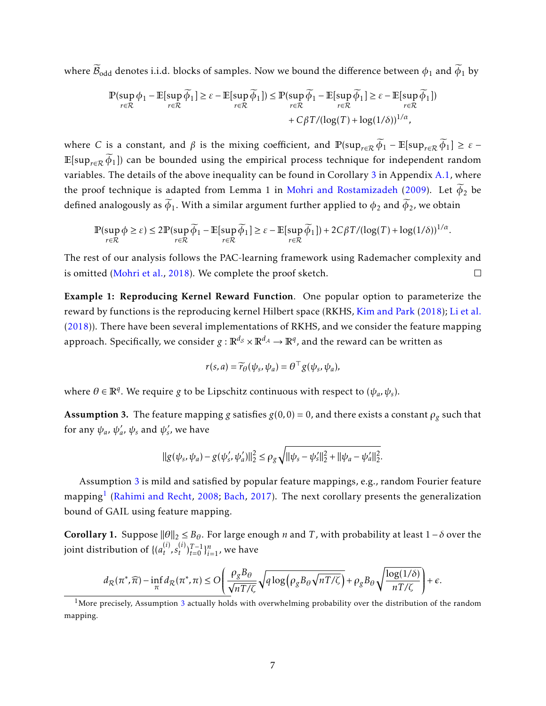where  $\widetilde{\mathcal{B}}_{odd}$  denotes i.i.d. blocks of samples. Now we bound the difference between  $\phi_1$  and  $\widetilde{\phi}_1$  by

$$
\mathbb{P}(\sup_{r \in \mathcal{R}} \phi_1 - \mathbb{E}[\sup_{r \in \mathcal{R}} \widetilde{\phi}_1] \ge \varepsilon - \mathbb{E}[\sup_{r \in \mathcal{R}} \widetilde{\phi}_1]) \le \mathbb{P}(\sup_{r \in \mathcal{R}} \widetilde{\phi}_1 - \mathbb{E}[\sup_{r \in \mathcal{R}} \widetilde{\phi}_1] \ge \varepsilon - \mathbb{E}[\sup_{r \in \mathcal{R}} \widetilde{\phi}_1])
$$
  
+  $C\beta T/(\log(T) + \log(1/\delta))^{1/\alpha}$ ,

where *C* is a constant, and  $\beta$  is the mixing coefficient, and  $\mathbb{P}(\sup_{r\in\mathcal{R}}\widetilde{\phi}_1 - \mathbb{E}[\sup_{r\in\mathcal{R}}\widetilde{\phi}_1] \geq \varepsilon$ E[sup<sub>r∈R</sub>  $\widetilde{\phi}_1$ ]) can be bounded using the empirical process technique for independent random variables. The details of the above inequality can be found in Corollary [3](#page-18-1) in Appendix [A.1,](#page-18-0) where the proof technique is adapted from Lemma 1 in [Mohri and Rostamizadeh](#page-15-11) [\(2009\)](#page-15-11). Let  $\widetilde{\phi}_2$  be defined analogously as  $\widetilde{\phi}_1$ . With a similar argument further applied to  $\phi_2$  and  $\widetilde{\phi}_2$ , we obtain

$$
\mathbb{P}(\sup_{r \in \mathcal{R}} \phi \ge \varepsilon) \le 2\mathbb{P}(\sup_{r \in \mathcal{R}} \widetilde{\phi}_1 - \mathbb{E}[\sup_{r \in \mathcal{R}} \widetilde{\phi}_1] \ge \varepsilon - \mathbb{E}[\sup_{r \in \mathcal{R}} \widetilde{\phi}_1]) + 2C\beta T/(\log(T) + \log(1/\delta))^{1/\alpha}.
$$

The rest of our analysis follows the PAC-learning framework using Rademacher complexity and is omitted [\(Mohri et al.,](#page-15-6) [2018\)](#page-15-6). We complete the proof sketch.  $\Box$ 

Example 1: Reproducing Kernel Reward Function. One popular option to parameterize the reward by functions is the reproducing kernel Hilbert space (RKHS, [Kim and Park](#page-14-10) [\(2018\)](#page-14-10); [Li et al.](#page-15-12) [\(2018\)](#page-15-12)). There have been several implementations of RKHS, and we consider the feature mapping approach. Specifically, we consider  $g:\mathbb{R}^{d_S}\times\mathbb{R}^{d_\mathcal{A}}\to\mathbb{R}^q$ , and the reward can be written as

$$
r(s, a) = \widetilde{r}_{\theta}(\psi_s, \psi_a) = \theta^{\top} g(\psi_s, \psi_a),
$$

where  $\theta \in \mathbb{R}^q$ . We require *g* to be Lipschitz continuous with respect to  $(\psi_a, \psi_s)$ .

<span id="page-6-0"></span>**Assumption 3.** The feature mapping *g* satisfies  $g(0,0) = 0$ , and there exists a constant  $\rho_g$  such that for any  $\psi_a$ ,  $\psi'_a$ *a*,  $ψ$ <sub>s</sub> and  $ψ$ <sup>'</sup>s *s* , we have

$$
\|g(\psi_s, \psi_a) - g(\psi'_s, \psi'_a)\|_2^2 \le \rho_g \sqrt{\|\psi_s - \psi'_s\|_2^2 + \|\psi_a - \psi'_a\|_2^2}.
$$

Assumption [3](#page-6-0) is mild and satisfied by popular feature mappings, e.g., random Fourier feature mapping $^{\rm l}$  (Rahimi and Recht, 2008; Bach, 20[1](#page-6-1)7). The next corollary presents the generalization bound of GAIL using feature mapping.

<span id="page-6-2"></span>Corollary 1. Suppose  $\|\theta\|_2 \leq B_\theta$ . For large enough *n* and *T*, with probability at least 1−*δ* over the joint distribution of {( $a_t^{(i)}$ )  $\binom{i}{t}$ ,  $s_t^{(i)}$  $f_t^{(i)}\big)_{t=0}^{T-1}\}_{i=1}^{n}$ , we have

$$
d_{\mathcal{R}}(\pi^*, \widehat{\pi}) - \inf_{\pi} d_{\mathcal{R}}(\pi^*, \pi) \leq O\left(\frac{\rho_g B_\theta}{\sqrt{nT/\zeta}} \sqrt{q \log \left(\rho_g B_\theta \sqrt{nT/\zeta}\right)} + \rho_g B_\theta \sqrt{\frac{\log(1/\delta)}{nT/\zeta}}\right) + \epsilon.
$$

<span id="page-6-1"></span><sup>&</sup>lt;sup>1</sup>More precisely, Assumption [3](#page-6-0) actually holds with overwhelming probability over the distribution of the random mapping.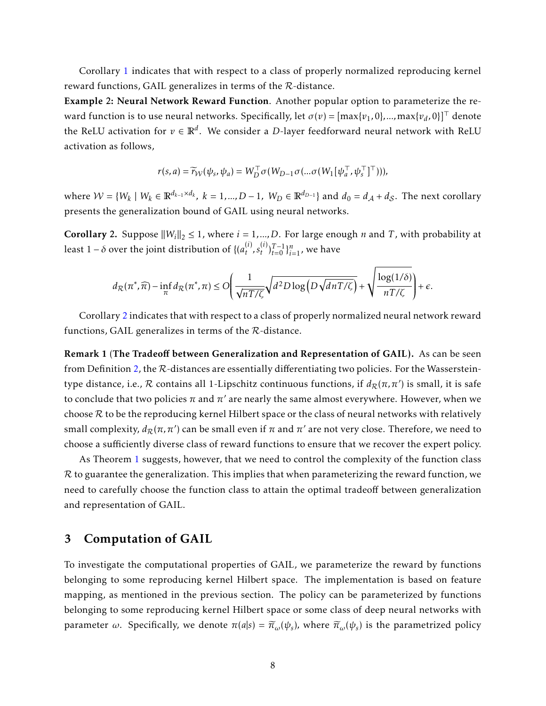Corollary [1](#page-6-2) indicates that with respect to a class of properly normalized reproducing kernel reward functions, GAIL generalizes in terms of the R-distance.

Example 2: Neural Network Reward Function. Another popular option to parameterize the reward function is to use neural networks. Specifically, let  $\sigma(v)$  =  $[\max\{v_1, 0\}, ..., \max\{v_d, 0\}]^\top$  denote the ReLU activation for  $v \in \mathbb{R}^d$ . We consider a *D-*layer feedforward neural network with ReLU activation as follows,

$$
r(s,a) = \widetilde{r}_{\mathcal{W}}(\psi_s, \psi_a) = W_D^\top \sigma\big(W_{D-1} \sigma(... \sigma\big(W_1[\psi_a^\top, \psi_s^\top]^\top)\big)\big),
$$

 $\text{where } \mathcal{W} = \{W_k \mid W_k \in \mathbb{R}^{d_{k-1} \times d_k}, \ k = 1, ..., D-1, \ W_D \in \mathbb{R}^{d_{D-1}}\} \text{ and } d_0 = d_{\mathcal{A}} + d_{\mathcal{S}}.$  The next corollary presents the generalization bound of GAIL using neural networks.

<span id="page-7-0"></span>**Corollary 2.** Suppose  $||W_i||_2 \le 1$ , where  $i = 1, ..., D$ . For large enough *n* and *T*, with probability at least 1 –  $\delta$  over the joint distribution of {( $a_t^{(i)}$ )  $\binom{i}{t}$ ,  $s_t^{(i)}$  ${}^{(i)}_{t}$ <sub> ${}^{(i)}_{t=0}$ </sub> ${}^{n}_{i=1}$ , we have

$$
d_{\mathcal{R}}(\pi^*,\widehat{\pi}) - \inf_{\pi} d_{\mathcal{R}}(\pi^*,\pi) \leq O\Bigg(\frac{1}{\sqrt{nT/\zeta}}\sqrt{d^2D\log\Big(D\sqrt{dnT/\zeta}\Big)} + \sqrt{\frac{\log(1/\delta)}{nT/\zeta}}\Bigg) + \epsilon.
$$

Corollary [2](#page-7-0) indicates that with respect to a class of properly normalized neural network reward functions, GAIL generalizes in terms of the R-distance.

Remark 1 (The Tradeoff between Generalization and Representation of GAIL). As can be seen from Definition [2,](#page-3-0) the R-distances are essentially differentiating two policies. For the Wassersteintype distance, i.e., *R* contains all 1-Lipschitz continuous functions, if  $d_{\cal R}(\pi,\pi')$  is small, it is safe to conclude that two policies  $\pi$  and  $\pi'$  are nearly the same almost everywhere. However, when we choose  $R$  to be the reproducing kernel Hilbert space or the class of neural networks with relatively small complexity,  $d_{\mathcal{R}}(\pi, \pi')$  can be small even if  $\pi$  and  $\pi'$  are not very close. Therefore, we need to choose a sufficiently diverse class of reward functions to ensure that we recover the expert policy.

As Theorem [1](#page-5-0) suggests, however, that we need to control the complexity of the function class  $\mathcal R$  to guarantee the generalization. This implies that when parameterizing the reward function, we need to carefully choose the function class to attain the optimal tradeoff between generalization and representation of GAIL.

## <span id="page-7-1"></span>3 Computation of GAIL

To investigate the computational properties of GAIL, we parameterize the reward by functions belonging to some reproducing kernel Hilbert space. The implementation is based on feature mapping, as mentioned in the previous section. The policy can be parameterized by functions belonging to some reproducing kernel Hilbert space or some class of deep neural networks with parameter *ω*. Specifically, we denote  $\pi(a|s) = \widetilde{\pi}_\omega(\psi_s)$ , where  $\widetilde{\pi}_\omega(\psi_s)$  is the parametrized policy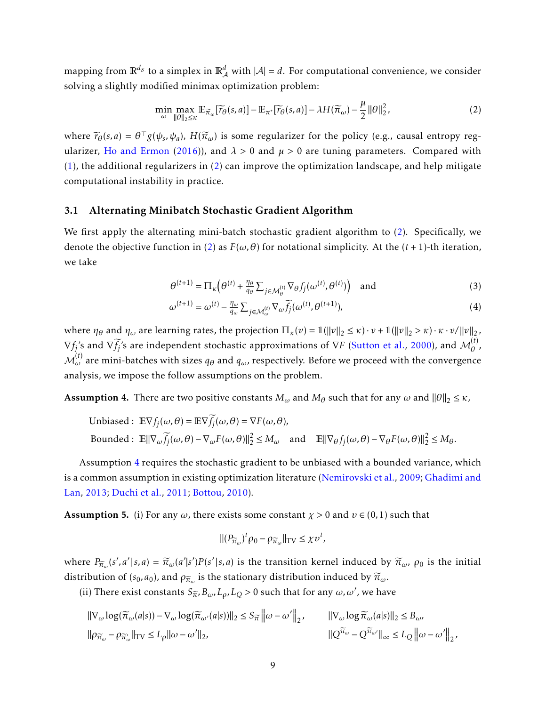mapping from  $\mathbb{R}^{d_S}$  to a simplex in  $\mathbb{R}^d_\mathcal{A}$  with  $|\mathcal{A}| = d.$  For computational convenience, we consider solving a slightly modified minimax optimization problem:

<span id="page-8-0"></span>
$$
\min_{\omega} \max_{\|\theta\|_2 \leq \kappa} \mathbb{E}_{\widetilde{\pi}_{\omega}}[\widetilde{r}_{\theta}(s,a)] - \mathbb{E}_{\pi^*}[\widetilde{r}_{\theta}(s,a)] - \lambda H(\widetilde{\pi}_{\omega}) - \frac{\mu}{2} \|\theta\|_2^2, \tag{2}
$$

where  $\widetilde{r}_{\theta}(s, a) = \theta^{\top} g(\psi_s, \psi_a)$ ,  $H(\widetilde{\pi}_{\omega})$  is some regularizer for the policy (e.g., causal entropy reg-ularizer, [Ho and Ermon](#page-14-3) [\(2016\)](#page-14-3)), and  $\lambda > 0$  and  $\mu > 0$  are tuning parameters. Compared with  $(1)$ , the additional regularizers in  $(2)$  can improve the optimization landscape, and help mitigate computational instability in practice.

#### 3.1 Alternating Minibatch Stochastic Gradient Algorithm

We first apply the alternating mini-batch stochastic gradient algorithm to [\(2\)](#page-8-0). Specifically, we denote the objective function in [\(2\)](#page-8-0) as  $F(\omega, \theta)$  for notational simplicity. At the  $(t + 1)$ -th iteration, we take

<span id="page-8-4"></span><span id="page-8-3"></span>
$$
\theta^{(t+1)} = \Pi_{\kappa} \left( \theta^{(t)} + \frac{\eta_{\theta}}{q_{\theta}} \sum_{j \in \mathcal{M}_{\theta}^{(t)}} \nabla_{\theta} f_j(\omega^{(t)}, \theta^{(t)}) \right) \text{ and } (3)
$$

$$
\omega^{(t+1)} = \omega^{(t)} - \frac{\eta_{\omega}}{q_{\omega}} \sum_{j \in \mathcal{M}_{\omega}^{(t)}} \nabla_{\omega} \widetilde{f_j}(\omega^{(t)}, \theta^{(t+1)}), \tag{4}
$$

where  $\eta_{\theta}$  and  $\eta_{\omega}$  are learning rates, the projection  $\Pi_{\kappa}(v) = \mathbb{1}(\|v\|_2 \leq \kappa) \cdot v + \mathbb{1}(\|v\|_2 > \kappa) \cdot \kappa \cdot v / \|v\|_2$ ,  $\nabla f_j$ 's and  $\nabla \overline{f_j}$ 's are independent stochastic approximations of  $\nabla F$  [\(Sutton et al.,](#page-16-10) [2000\)](#page-16-10), and  $\mathcal{M}_{\theta}^{(t)}$ *θ* ,  $\mathcal{M}^{(t)}_\omega$  are mini-batches with sizes  $q_\theta$  and  $q_\omega$ , respectively. Before we proceed with the convergence analysis, we impose the follow assumptions on the problem.

<span id="page-8-1"></span>**Assumption 4.** There are two positive constants  $M_\omega$  and  $M_\theta$  such that for any  $\omega$  and  $\|\theta\|_2 \leq \kappa$ ,

Unbiased: 
$$
\mathbb{E}\nabla f_j(\omega,\theta) = \mathbb{E}\nabla \widetilde{f}_j(\omega,\theta) = \nabla F(\omega,\theta),
$$
  
Bounded:  $\mathbb{E}||\nabla_{\omega}\widetilde{f}_j(\omega,\theta) - \nabla_{\omega}F(\omega,\theta)||_2^2 \leq M_{\omega}$  and  $\mathbb{E}||\nabla_{\theta}f_j(\omega,\theta) - \nabla_{\theta}F(\omega,\theta)||_2^2 \leq M_{\theta}$ .

Assumption [4](#page-8-1) requires the stochastic gradient to be unbiased with a bounded variance, which is a common assumption in existing optimization literature [\(Nemirovski et al.,](#page-15-13) [2009;](#page-15-13) [Ghadimi and](#page-14-11) [Lan,](#page-14-11) [2013;](#page-14-11) [Duchi et al.,](#page-14-12) [2011;](#page-14-12) [Bottou,](#page-13-7) [2010\)](#page-13-7).

<span id="page-8-2"></span>**Assumption 5.** (i) For any  $\omega$ , there exists some constant  $\chi > 0$  and  $\nu \in (0, 1)$  such that

$$
\| (P_{\widetilde{\pi}_{\omega}})^t \rho_0 - \rho_{\widetilde{\pi}_{\omega}} \|_{\mathrm{TV}} \leq \chi v^t,
$$

where  $P_{\widetilde{\pi}_{\omega}}(s',a'|s,a) = \widetilde{\pi}_{\omega}(a'|s')P(s'|s,a)$  is the transition kernel induced by  $\widetilde{\pi}_{\omega}$ ,  $\rho_0$  is the initial distribution of ( $s_0$ ,  $a_0$ ), and  $\rho_{\widetilde{\pi}_\omega}$  is the stationary distribution induced by  $\widetilde{\pi}_\omega$ .

(ii) There exist constants  $S_{\widetilde{\pi}}$ ,  $B_{\omega}$ ,  $L_{\rho}$ ,  $L_{Q}$  > 0 such that for any  $\omega$ ,  $\omega'$ , we have

$$
\begin{aligned}\n||\nabla_{\omega} \log(\widetilde{\pi}_{\omega}(a|s)) - \nabla_{\omega} \log(\widetilde{\pi}_{\omega'}(a|s))||_2 \leq S_{\widetilde{\pi}} \left\| \omega - \omega' \right\|_2, & & ||\nabla_{\omega} \log \widetilde{\pi}_{\omega}(a|s)||_2 \leq B_{\omega}, \\
||\rho_{\widetilde{\pi}_{\omega}} - \rho_{\widetilde{\pi}_{\omega}'}||_{TV} \leq L_{\rho} ||\omega - \omega'||_2, & & ||Q^{\widetilde{\pi}_{\omega}} - Q^{\widetilde{\pi}_{\omega'}}||_{\infty} \leq L_{Q} \left\| \omega - \omega' \right\|_2,\n\end{aligned}
$$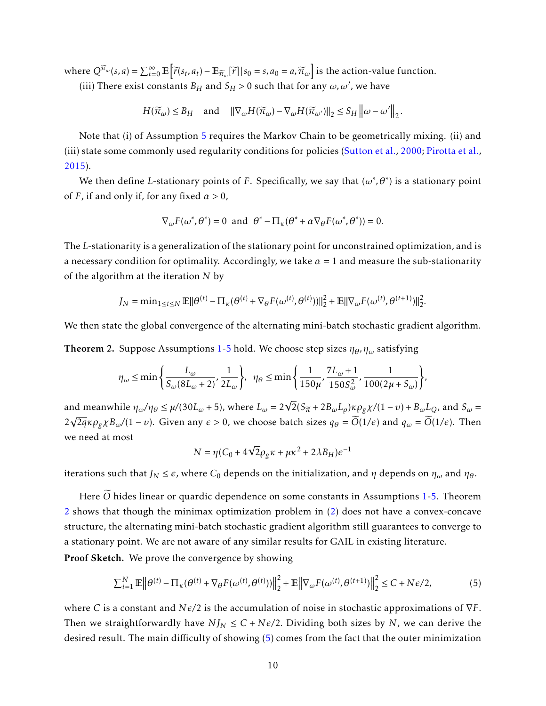where  $Q^{\overline{n}_{\omega}}(s, a) = \sum_{t=0}^{\infty} \mathbb{E} \left[ \overline{r}(s_t, a_t) - \mathbb{E}_{\overline{n}_{\omega}}[\overline{r}] \, | \, s_0 = s, a_0 = a, \overline{n}_{\omega} \right]$  is the action-value function. (iii) There exist constants  $B_H$  and  $S_H > 0$  such that for any  $\omega, \omega'$ , we have

$$
H(\widetilde{\pi}_{\omega}) \leq B_H \quad \text{and} \quad \|\nabla_{\omega} H(\widetilde{\pi}_{\omega}) - \nabla_{\omega} H(\widetilde{\pi}_{\omega'})\|_2 \leq S_H \left\|\omega - \omega'\right\|_2.
$$

Note that (i) of Assumption [5](#page-8-2) requires the Markov Chain to be geometrically mixing. (ii) and (iii) state some commonly used regularity conditions for policies [\(Sutton et al.,](#page-16-10) [2000;](#page-16-10) [Pirotta et al.,](#page-16-11) [2015\)](#page-16-11).

We then define *L*-stationary points of *F*. Specifically, we say that  $(\omega^*, \theta^*)$  is a stationary point of *F*, if and only if, for any fixed  $\alpha > 0$ ,

$$
\nabla_{\omega} F(\omega^*, \theta^*) = 0 \text{ and } \theta^* - \Pi_{\kappa}(\theta^* + \alpha \nabla_{\theta} F(\omega^*, \theta^*)) = 0.
$$

The *L*-stationarity is a generalization of the stationary point for unconstrained optimization, and is a necessary condition for optimality. Accordingly, we take  $\alpha = 1$  and measure the sub-stationarity of the algorithm at the iteration *N* by

$$
J_N = \min_{1 \le t \le N} \mathbb{E} ||\theta^{(t)} - \Pi_{\kappa}(\theta^{(t)} + \nabla_{\theta} F(\omega^{(t)}, \theta^{(t)}))||_2^2 + \mathbb{E} ||\nabla_{\omega} F(\omega^{(t)}, \theta^{(t+1)})||_2^2.
$$

We then state the global convergence of the alternating mini-batch stochastic gradient algorithm.

<span id="page-9-0"></span>Theorem 2. Suppose Assumptions [1-](#page-4-0)[5](#page-8-2) hold. We choose step sizes *ηθ, η<sup>ω</sup>* satisfying

$$
\eta_{\omega} \le \min\left\{\frac{L_{\omega}}{S_{\omega}(8L_{\omega}+2)}, \frac{1}{2L_{\omega}}\right\}, \ \ \eta_{\theta} \le \min\left\{\frac{1}{150\mu}, \frac{7L_{\omega}+1}{150S_{\omega}^2}, \frac{1}{100(2\mu+S_{\omega})}\right\},\
$$

and meanwhile  $\eta_{\omega}/\eta_{\theta} \le \mu/(30L_{\omega}+5)$ , where  $L_{\omega} = 2\sqrt{2}(S_{\widetilde{\pi}} + 2B_{\omega}L_{\rho})\kappa \rho_{g}\chi/(1-\nu) + B_{\omega}L_{Q}$ , and  $S_{\omega} =$  $2\sqrt{2q}\kappa \rho_g \chi B_\omega/(1-\nu)$ . Given any  $\epsilon > 0$ , we choose batch sizes  $q_\theta = \widetilde{O}(1/\epsilon)$  and  $q_\omega = \widetilde{O}(1/\epsilon)$ . Then we need at most

<span id="page-9-1"></span>
$$
N = \eta (C_0 + 4\sqrt{2}\rho_g \kappa + \mu \kappa^2 + 2\lambda B_H) \epsilon^{-1}
$$

iterations such that  $J_N \leq \epsilon$ , where  $C_0$  depends on the initialization, and  $\eta$  depends on  $\eta_\omega$  and  $\eta_\theta$ .

Here  $\widetilde{O}$  hides linear or quardic dependence on some constants in Assumptions [1](#page-4-0)[-5.](#page-8-2) Theorem [2](#page-9-0) shows that though the minimax optimization problem in [\(2\)](#page-8-0) does not have a convex-concave structure, the alternating mini-batch stochastic gradient algorithm still guarantees to converge to a stationary point. We are not aware of any similar results for GAIL in existing literature. Proof Sketch. We prove the convergence by showing

$$
\sum_{i=1}^{N} \mathbb{E} \left\| \theta^{(t)} - \Pi_{\kappa} (\theta^{(t)} + \nabla_{\theta} F(\omega^{(t)}, \theta^{(t)})) \right\|_{2}^{2} + \mathbb{E} \left\| \nabla_{\omega} F(\omega^{(t)}, \theta^{(t+1)}) \right\|_{2}^{2} \le C + N \epsilon / 2, \tag{5}
$$

where *C* is a constant and *N* $\varepsilon$ /2 is the accumulation of noise in stochastic approximations of  $\nabla$ *F*. Then we straightforwardly have  $N J_N \leq C + N \epsilon/2$ . Dividing both sizes by *N*, we can derive the desired result. The main difficulty of showing [\(5\)](#page-9-1) comes from the fact that the outer minimization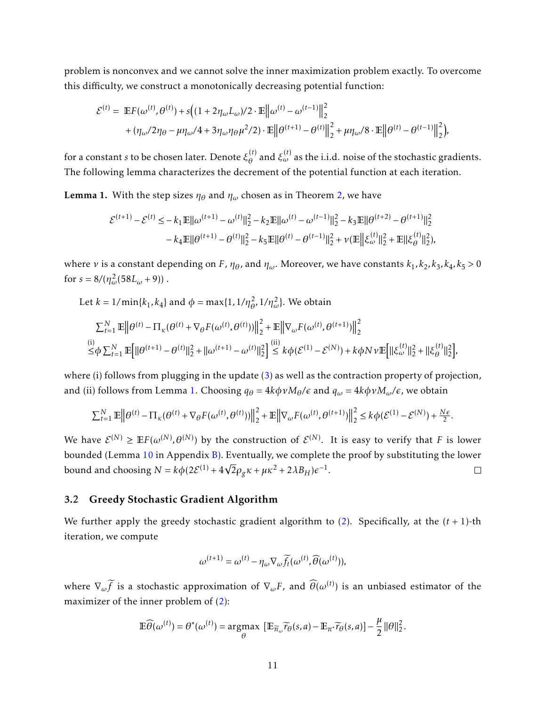problem is nonconvex and we cannot solve the inner maximization problem exactly. To overcome this difficulty, we construct a monotonically decreasing potential function:

$$
\begin{split} \mathcal{E}^{(t)} &= \ \mathbb{E} F(\omega^{(t)}, \theta^{(t)}) + s \big( (1 + 2 \eta_\omega L_\omega)/2 \cdot \mathbb{E} \big\| \omega^{(t)} - \omega^{(t-1)} \big\|_2^2 \\ &\qquad + (\eta_\omega/2 \eta_\theta - \mu \eta_\omega/4 + 3 \eta_\omega \eta_\theta \mu^2/2) \cdot \mathbb{E} \big\| \theta^{(t+1)} - \theta^{(t)} \big\|_2^2 + \mu \eta_\omega/8 \cdot \mathbb{E} \big\| \theta^{(t)} - \theta^{(t-1)} \big\|_2^2 \big), \end{split}
$$

for a constant *s* to be chosen later. Denote *ξ* (*t*)  $\theta_{\theta}^{(t)}$  and  $\xi_{\omega}^{(t)}$  as the i.i.d. noise of the stochastic gradients. The following lemma characterizes the decrement of the potential function at each iteration.

<span id="page-10-0"></span>**Lemma 1.** With the step sizes  $\eta_{\theta}$  and  $\eta_{\omega}$  chosen as in Theorem [2,](#page-9-0) we have

$$
\mathcal{E}^{(t+1)} - \mathcal{E}^{(t)} \le -k_1 \mathbb{E} ||\omega^{(t+1)} - \omega^{(t)}||_2^2 - k_2 \mathbb{E} ||\omega^{(t)} - \omega^{(t-1)}||_2^2 - k_3 \mathbb{E} ||\theta^{(t+2)} - \theta^{(t+1)}||_2^2
$$

$$
-k_4 \mathbb{E} ||\theta^{(t+1)} - \theta^{(t)}||_2^2 - k_5 \mathbb{E} ||\theta^{(t)} - \theta^{(t-1)}||_2^2 + \nu (\mathbb{E} ||\xi_{\omega}^{(t)}||_2^2 + \mathbb{E} ||\xi_{\theta}^{(t)}||_2^2),
$$

where *ν* is a constant depending on *F*,  $\eta_{\theta}$ , and  $\eta_{\omega}$ . Moreover, we have constants  $k_1, k_2, k_3, k_4, k_5 > 0$ for  $s = 8/(\eta_{\omega}^2(58L_{\omega}+9))$ .

Let 
$$
k = 1/\min\{k_1, k_4\}
$$
 and  $\phi = \max\{1, 1/\eta_\theta^2, 1/\eta_\omega^2\}$ . We obtain  
\n
$$
\sum_{t=1}^N \mathbb{E} \left\| \theta^{(t)} - \Pi_\kappa(\theta^{(t)} + \nabla_\theta F(\omega^{(t)}, \theta^{(t)})) \right\|_2^2 + \mathbb{E} \left\| \nabla_\omega F(\omega^{(t)}, \theta^{(t+1)}) \right\|_2^2
$$
\n
$$
\stackrel{\text{(i)}}{\leq} \phi \sum_{t=1}^N \mathbb{E} \left[ \| \theta^{(t+1)} - \theta^{(t)} \|^2_2 + \| \omega^{(t+1)} - \omega^{(t)} \|^2_2 \right] \stackrel{\text{(ii)}}{\leq} k \phi(\mathcal{E}^{(1)} - \mathcal{E}^{(N)}) + k \phi N \nu \mathbb{E} \left[ \| \xi_\omega^{(t)} \|^2_2 + \| \xi_\theta^{(t)} \|^2_2 \right],
$$

where (i) follows from plugging in the update [\(3\)](#page-8-3) as well as the contraction property of projection, and (ii) follows from Lemma [1.](#page-10-0) Choosing  $q_{\theta} = 4k\phi v M_{\theta}/\epsilon$  and  $q_{\omega} = 4k\phi v M_{\omega}/\epsilon$ , we obtain

$$
\sum_{t=1}^N \mathbb{E} \left\| \theta^{(t)} - \Pi_{\kappa}(\theta^{(t)} + \nabla_{\theta} F(\omega^{(t)}, \theta^{(t)})) \right\|_2^2 + \mathbb{E} \left\| \nabla_{\omega} F(\omega^{(t)}, \theta^{(t+1)}) \right\|_2^2 \leq k \phi(\mathcal{E}^{(1)} - \mathcal{E}^{(N)}) + \frac{N\epsilon}{2}.
$$

We have  $\mathcal{E}^{(N)} \geq \mathbb{E} F(\omega^{(N)}, \theta^{(N)})$  by the construction of  $\mathcal{E}^{(N)}.$  It is easy to verify that  $F$  is lower bounded (Lemma [10](#page-33-0) in Appendix [B\)](#page-24-0). Eventually, we complete the proof by substituting the lower bound and choosing  $N = k\phi(2\mathcal{E}^{(1)} + 4\sqrt{2}\rho_g\kappa + \mu\kappa^2 + 2\lambda B_H)\epsilon^{-1}$ .  $\Box$ 

#### 3.2 Greedy Stochastic Gradient Algorithm

We further apply the greedy stochastic gradient algorithm to  $(2)$ . Specifically, at the  $(t + 1)$ -th iteration, we compute

$$
\omega^{(t+1)} = \omega^{(t)} - \eta_{\omega} \nabla_{\omega} \widetilde{f}_t(\omega^{(t)}, \widehat{\theta}(\omega^{(t)})),
$$

where  $\nabla_\omega \widetilde{f}$  is a stochastic approximation of  $\nabla_\omega F$ , and  $\widehat{\theta}(\omega^{(t)})$  is an unbiased estimator of the maximizer of the inner problem of  $(2)$ :

$$
\mathbb{E}\widehat{\theta}(\omega^{(t)}) = \theta^*(\omega^{(t)}) = \underset{\theta}{\operatorname{argmax}} \left[ \mathbb{E}_{\widetilde{\pi}_{\omega}}\widetilde{r}_{\theta}(s,a) - \mathbb{E}_{\pi^*}\widetilde{r}_{\theta}(s,a) \right] - \frac{\mu}{2} ||\theta||_2^2.
$$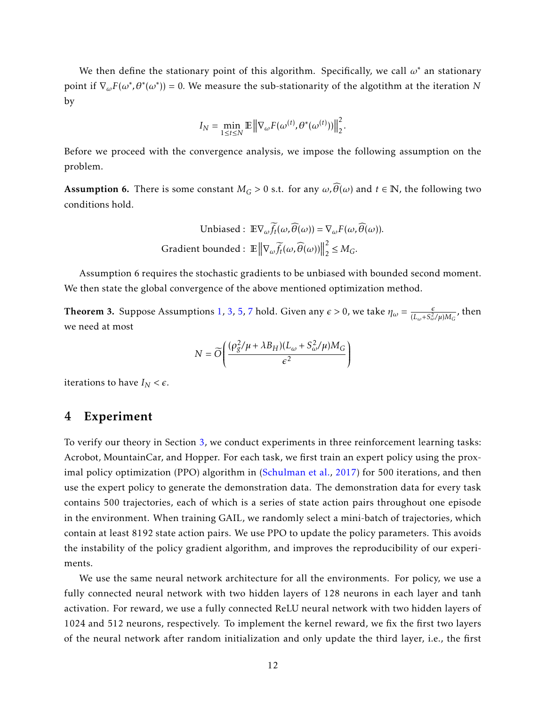We then define the stationary point of this algorithm. Specifically, we call *ω*<sup>∗</sup> an stationary point if  $\nabla_{\omega} F(\omega^*, \theta^*(\omega^*)) = 0$ . We measure the sub-stationarity of the algotithm at the iteration *N* by

$$
I_N = \min_{1 \leq t \leq N} \mathbb{E} \left\| \nabla_{\omega} F(\omega^{(t)}, \theta^*(\omega^{(t)})) \right\|_2^2.
$$

Before we proceed with the convergence analysis, we impose the following assumption on the problem.

Assumption 6. There is some constant  $M_G > 0$  s.t. for any  $\omega$ ,  $\widehat{\theta}(\omega)$  and  $t \in \mathbb{N}$ , the following two conditions hold.

Unbiased: 
$$
\mathbb{E}\nabla_{\omega}\widetilde{f}_t(\omega,\widehat{\theta}(\omega)) = \nabla_{\omega}F(\omega,\widehat{\theta}(\omega)).
$$
  
Gradient bounded:  $\mathbb{E} \left\|\nabla_{\omega}\widetilde{f}_t(\omega,\widehat{\theta}(\omega))\right\|_2^2 \leq M_G.$ 

Assumption 6 requires the stochastic gradients to be unbiased with bounded second moment. We then state the global convergence of the above mentioned optimization method.

**Theorem 3.** Suppose Assumptions [1,](#page-4-0) [3,](#page-6-0) [5,](#page-8-2) [7](#page-38-0) hold. Given any  $\epsilon > 0$ , we take  $\eta_{\omega} = \frac{\epsilon}{(L + S_0^2)^2}$  $\frac{\epsilon}{(L_\omega+S_\omega^2/\mu)M_G}$ , then we need at most

$$
N = \widetilde{O}\left(\frac{(\rho_g^2/\mu + \lambda B_H)(L_\omega + S_\omega^2/\mu)M_G}{\epsilon^2}\right)
$$

iterations to have  $I_N < \epsilon$ .

## 4 Experiment

To verify our theory in Section [3,](#page-7-1) we conduct experiments in three reinforcement learning tasks: Acrobot, MountainCar, and Hopper. For each task, we first train an expert policy using the proximal policy optimization (PPO) algorithm in [\(Schulman et al.,](#page-16-12) [2017\)](#page-16-12) for 500 iterations, and then use the expert policy to generate the demonstration data. The demonstration data for every task contains 500 trajectories, each of which is a series of state action pairs throughout one episode in the environment. When training GAIL, we randomly select a mini-batch of trajectories, which contain at least 8192 state action pairs. We use PPO to update the policy parameters. This avoids the instability of the policy gradient algorithm, and improves the reproducibility of our experiments.

We use the same neural network architecture for all the environments. For policy, we use a fully connected neural network with two hidden layers of 128 neurons in each layer and tanh activation. For reward, we use a fully connected ReLU neural network with two hidden layers of 1024 and 512 neurons, respectively. To implement the kernel reward, we fix the first two layers of the neural network after random initialization and only update the third layer, i.e., the first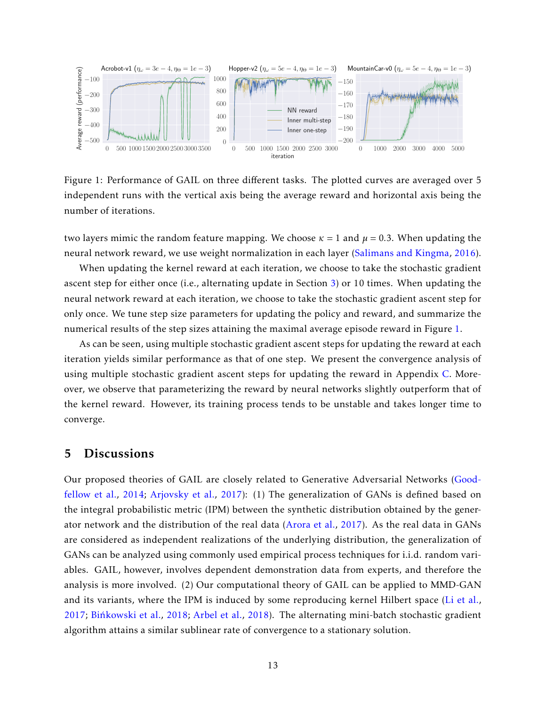

<span id="page-12-0"></span>Figure 1: Performance of GAIL on three different tasks. The plotted curves are averaged over 5 independent runs with the vertical axis being the average reward and horizontal axis being the number of iterations.

two layers mimic the random feature mapping. We choose  $\kappa = 1$  and  $\mu = 0.3$ . When updating the neural network reward, we use weight normalization in each layer [\(Salimans and Kingma,](#page-16-13) [2016\)](#page-16-13).

When updating the kernel reward at each iteration, we choose to take the stochastic gradient ascent step for either once (i.e., alternating update in Section [3\)](#page-7-1) or 10 times. When updating the neural network reward at each iteration, we choose to take the stochastic gradient ascent step for only once. We tune step size parameters for updating the policy and reward, and summarize the numerical results of the step sizes attaining the maximal average episode reward in Figure [1.](#page-12-0)

As can be seen, using multiple stochastic gradient ascent steps for updating the reward at each iteration yields similar performance as that of one step. We present the convergence analysis of using multiple stochastic gradient ascent steps for updating the reward in Appendix [C.](#page-37-0) Moreover, we observe that parameterizing the reward by neural networks slightly outperform that of the kernel reward. However, its training process tends to be unstable and takes longer time to converge.

## 5 Discussions

Our proposed theories of GAIL are closely related to Generative Adversarial Networks [\(Good](#page-14-13)[fellow et al.,](#page-14-13) [2014;](#page-14-13) [Arjovsky et al.,](#page-13-8) [2017\)](#page-13-8): (1) The generalization of GANs is defined based on the integral probabilistic metric (IPM) between the synthetic distribution obtained by the generator network and the distribution of the real data [\(Arora et al.,](#page-13-9) [2017\)](#page-13-9). As the real data in GANs are considered as independent realizations of the underlying distribution, the generalization of GANs can be analyzed using commonly used empirical process techniques for i.i.d. random variables. GAIL, however, involves dependent demonstration data from experts, and therefore the analysis is more involved. (2) Our computational theory of GAIL can be applied to MMD-GAN and its variants, where the IPM is induced by some reproducing kernel Hilbert space [\(Li et al.,](#page-15-14) [2017;](#page-15-14) [Binkowski et al.](#page-13-10), [2018;](#page-13-10) [Arbel et al.,](#page-13-11) [2018\)](#page-13-11). The alternating mini-batch stochastic gradient algorithm attains a similar sublinear rate of convergence to a stationary solution.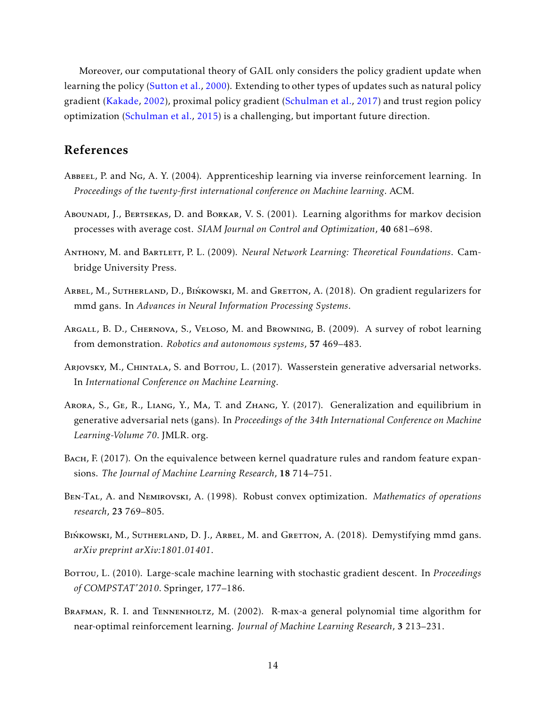Moreover, our computational theory of GAIL only considers the policy gradient update when learning the policy [\(Sutton et al.,](#page-16-10) [2000\)](#page-16-10). Extending to other types of updates such as natural policy gradient [\(Kakade,](#page-14-14) [2002\)](#page-14-14), proximal policy gradient [\(Schulman et al.,](#page-16-12) [2017\)](#page-16-12) and trust region policy optimization [\(Schulman et al.,](#page-16-14) [2015\)](#page-16-14) is a challenging, but important future direction.

## References

- <span id="page-13-1"></span>ABBEEL, P. and NG, A. Y. (2004). Apprenticeship learning via inverse reinforcement learning. In *Proceedings of the twenty-first international conference on Machine learning*. ACM.
- <span id="page-13-2"></span>Abounadi, J., Bertsekas, D. and Borkar, V. S. (2001). Learning algorithms for markov decision processes with average cost. *SIAM Journal on Control and Optimization*, 40 681–698.
- <span id="page-13-3"></span>Anthony, M. and Bartlett, P. L. (2009). *Neural Network Learning: Theoretical Foundations*. Cambridge University Press.
- <span id="page-13-11"></span>ARBEL, M., SUTHERLAND, D., BIŃKOWSKI, M. and GRETTON, A. (2018). On gradient regularizers for mmd gans. In *Advances in Neural Information Processing Systems*.
- <span id="page-13-0"></span>Argall, B. D., Chernova, S., Veloso, M. and Browning, B. (2009). A survey of robot learning from demonstration. *Robotics and autonomous systems*, 57 469–483.
- <span id="page-13-8"></span>Arjovsky, M., CHINTALA, S. and Bortou, L. (2017). Wasserstein generative adversarial networks. In *International Conference on Machine Learning*.
- <span id="page-13-9"></span>Arora, S., Ge, R., Liang, Y., Ma, T. and Zhang, Y. (2017). Generalization and equilibrium in generative adversarial nets (gans). In *Proceedings of the 34th International Conference on Machine Learning-Volume 70*. JMLR. org.
- <span id="page-13-6"></span>Bach, F. (2017). On the equivalence between kernel quadrature rules and random feature expansions. *The Journal of Machine Learning Research*, 18 714–751.
- <span id="page-13-4"></span>Ben-Tal, A. and Nemirovski, A. (1998). Robust convex optimization. *Mathematics of operations research*, 23 769–805.
- <span id="page-13-10"></span>BIŃKOWSKI, M., SUTHERLAND, D. J., ARBEL, M. and GRETTON, A. (2018). Demystifying mmd gans. *arXiv preprint arXiv:1801.01401*.
- <span id="page-13-7"></span>Borrou, L. (2010). Large-scale machine learning with stochastic gradient descent. In *Proceedings of COMPSTAT'2010*. Springer, 177–186.
- <span id="page-13-5"></span>BRAFMAN, R. I. and TENNENHOLTZ, M. (2002). R-max-a general polynomial time algorithm for near-optimal reinforcement learning. *Journal of Machine Learning Research*, 3 213–231.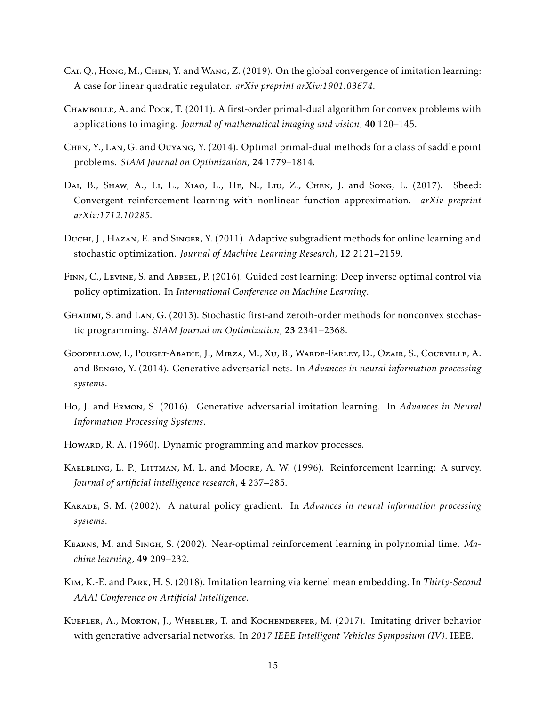- <span id="page-14-8"></span>Cai, Q., Hong, M., Chen, Y. and Wang, Z. (2019). On the global convergence of imitation learning: A case for linear quadratic regulator. *arXiv preprint arXiv:1901.03674*.
- <span id="page-14-5"></span>CHAMBOLLE, A. and Pock, T. (2011). A first-order primal-dual algorithm for convex problems with applications to imaging. *Journal of mathematical imaging and vision*, 40 120–145.
- <span id="page-14-6"></span>Chen, Y., Lan, G. and Ouyang, Y. (2014). Optimal primal-dual methods for a class of saddle point problems. *SIAM Journal on Optimization*, 24 1779–1814.
- <span id="page-14-7"></span>DAI, B., SHAW, A., Li, L., XIAO, L., HE, N., Liu, Z., CHEN, J. and Song, L. (2017). Sbeed: Convergent reinforcement learning with nonlinear function approximation. *arXiv preprint arXiv:1712.10285*.
- <span id="page-14-12"></span>Duchi, J., Hazan, E. and Singer, Y. (2011). Adaptive subgradient methods for online learning and stochastic optimization. *Journal of Machine Learning Research*, 12 2121–2159.
- <span id="page-14-2"></span>Finn, C., Levine, S. and Abbeel, P. (2016). Guided cost learning: Deep inverse optimal control via policy optimization. In *International Conference on Machine Learning*.
- <span id="page-14-11"></span>Ghadimi, S. and Lan, G. (2013). Stochastic first-and zeroth-order methods for nonconvex stochastic programming. *SIAM Journal on Optimization*, 23 2341–2368.
- <span id="page-14-13"></span>Goodfellow, I., Pouget-Abadie, J., Mirza, M., Xu, B., Warde-Farley, D., Ozair, S., Courville, A. and Bengio, Y. (2014). Generative adversarial nets. In *Advances in neural information processing systems*.
- <span id="page-14-3"></span>Ho, J. and Ermon, S. (2016). Generative adversarial imitation learning. In *Advances in Neural Information Processing Systems*.
- <span id="page-14-4"></span>Howard, R. A. (1960). Dynamic programming and markov processes.
- <span id="page-14-1"></span>Kaelbling, L. P., Littman, M. L. and Moore, A. W. (1996). Reinforcement learning: A survey. *Journal of artificial intelligence research*, 4 237–285.
- <span id="page-14-14"></span>Kakade, S. M. (2002). A natural policy gradient. In *Advances in neural information processing systems*.
- <span id="page-14-9"></span>Kearns, M. and Singh, S. (2002). Near-optimal reinforcement learning in polynomial time. *Machine learning*, 49 209–232.
- <span id="page-14-10"></span>Kim, K.-E. and Park, H. S. (2018). Imitation learning via kernel mean embedding. In *Thirty-Second AAAI Conference on Artificial Intelligence*.
- <span id="page-14-0"></span>Kuefler, A., Morton, J., Wheeler, T. and Kochenderfer, M. (2017). Imitating driver behavior with generative adversarial networks. In *2017 IEEE Intelligent Vehicles Symposium (IV)*. IEEE.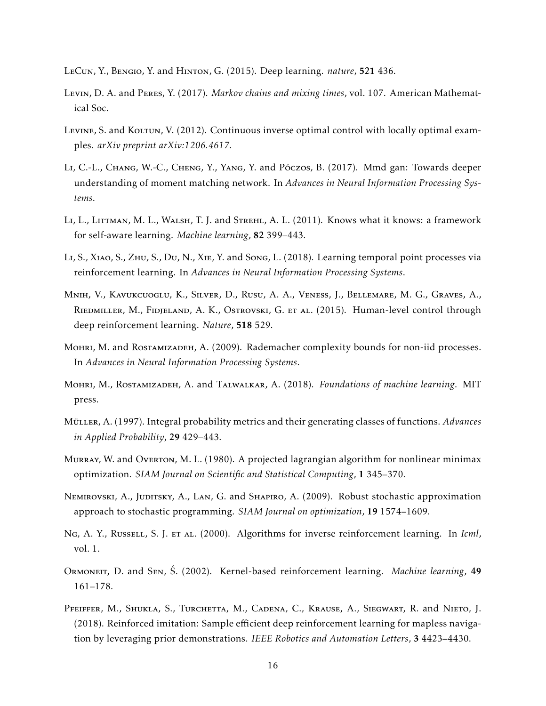- <span id="page-15-5"></span>LeCun, Y., Bengio, Y. and Hinton, G. (2015). Deep learning. *nature*, 521 436.
- <span id="page-15-9"></span>Levin, D. A. and Peres, Y. (2017). *Markov chains and mixing times*, vol. 107. American Mathematical Soc.
- <span id="page-15-3"></span>Levine, S. and Koltun, V. (2012). Continuous inverse optimal control with locally optimal examples. *arXiv preprint arXiv:1206.4617*.
- <span id="page-15-14"></span>LI, C.-L., CHANG, W.-C., CHENG, Y., YANG, Y. and Póczos, B. (2017). Mmd gan: Towards deeper understanding of moment matching network. In *Advances in Neural Information Processing Systems*.
- <span id="page-15-10"></span>LI, L., LITTMAN, M. L., WALSH, T. J. and STREHL, A. L. (2011). Knows what it knows: a framework for self-aware learning. *Machine learning*, 82 399–443.
- <span id="page-15-12"></span>Li, S., Xiao, S., Zhu, S., Du, N., Xie, Y. and Song, L. (2018). Learning temporal point processes via reinforcement learning. In *Advances in Neural Information Processing Systems*.
- <span id="page-15-1"></span>Mnih, V., Kavukcuoglu, K., Silver, D., Rusu, A. A., Veness, J., Bellemare, M. G., Graves, A., Riedmiller, M., Fidjeland, A. K., Ostrovski, G. et al. (2015). Human-level control through deep reinforcement learning. *Nature*, 518 529.
- <span id="page-15-11"></span>Mohri, M. and Rostamizadeh, A. (2009). Rademacher complexity bounds for non-iid processes. In *Advances in Neural Information Processing Systems*.
- <span id="page-15-6"></span>Mohri, M., Rostamizadeh, A. and Talwalkar, A. (2018). *Foundations of machine learning*. MIT press.
- <span id="page-15-8"></span>MüLLER, A. (1997). Integral probability metrics and their generating classes of functions. *Advances in Applied Probability*, 29 429–443.
- <span id="page-15-7"></span>Murray, W. and Overton, M. L. (1980). A projected lagrangian algorithm for nonlinear minimax optimization. *SIAM Journal on Scientific and Statistical Computing*, 1 345–370.
- <span id="page-15-13"></span>Nemirovski, A., Juditsky, A., Lan, G. and Shapiro, A. (2009). Robust stochastic approximation approach to stochastic programming. *SIAM Journal on optimization*, 19 1574–1609.
- <span id="page-15-2"></span>Ng, A. Y., Russell, S. J. et al. (2000). Algorithms for inverse reinforcement learning. In *Icml*, vol. 1.
- <span id="page-15-4"></span>Ormoneit, D. and Sen, S. ´ (2002). Kernel-based reinforcement learning. *Machine learning*, <sup>49</sup> 161–178.
- <span id="page-15-0"></span>PFEIFFER, M., SHUKLA, S., TURCHETTA, M., CADENA, C., KRAUSE, A., SIEGWART, R. and NIETO, J. (2018). Reinforced imitation: Sample efficient deep reinforcement learning for mapless navigation by leveraging prior demonstrations. *IEEE Robotics and Automation Letters*, 3 4423–4430.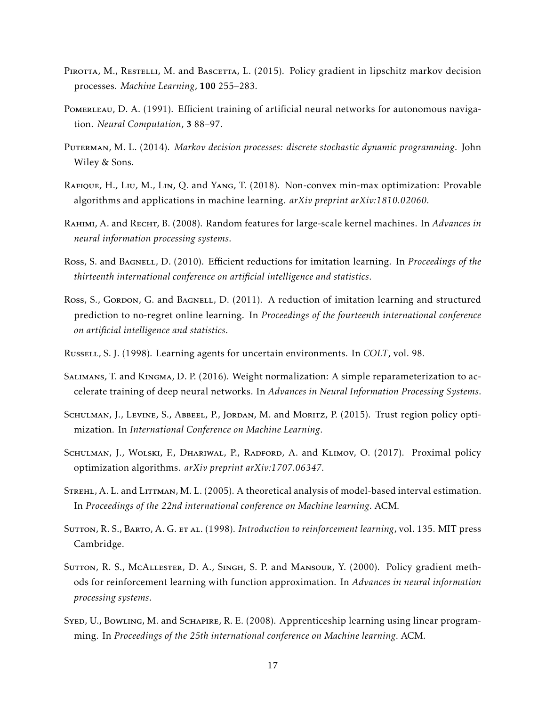- <span id="page-16-11"></span>PIROTTA, M., RESTELLI, M. and BASCETTA, L. (2015). Policy gradient in lipschitz markov decision processes. *Machine Learning*, 100 255–283.
- <span id="page-16-1"></span>POMERLEAU, D. A. (1991). Efficient training of artificial neural networks for autonomous navigation. *Neural Computation*, 3 88–97.
- <span id="page-16-5"></span>Puterman, M. L. (2014). *Markov decision processes: discrete stochastic dynamic programming*. John Wiley & Sons.
- <span id="page-16-6"></span>Rafique, H., Liu, M., Lin, Q. and Yang, T. (2018). Non-convex min-max optimization: Provable algorithms and applications in machine learning. *arXiv preprint arXiv:1810.02060*.
- <span id="page-16-9"></span>Rahimi, A. and Recht, B. (2008). Random features for large-scale kernel machines. In *Advances in neural information processing systems*.
- <span id="page-16-2"></span>Ross, S. and Bagnell, D. (2010). Efficient reductions for imitation learning. In *Proceedings of the thirteenth international conference on artificial intelligence and statistics*.
- <span id="page-16-3"></span>Ross, S., Gordon, G. and Bagnell, D. (2011). A reduction of imitation learning and structured prediction to no-regret online learning. In *Proceedings of the fourteenth international conference on artificial intelligence and statistics*.
- <span id="page-16-4"></span>Russell, S. J. (1998). Learning agents for uncertain environments. In *COLT*, vol. 98.
- <span id="page-16-13"></span>SALIMANS, T. and KINGMA, D. P. (2016). Weight normalization: A simple reparameterization to accelerate training of deep neural networks. In *Advances in Neural Information Processing Systems*.
- <span id="page-16-14"></span>Schulman, J., Levine, S., Abbeel, P., Jordan, M. and Moritz, P. (2015). Trust region policy optimization. In *International Conference on Machine Learning*.
- <span id="page-16-12"></span>SCHULMAN, J., WOLSKI, F., DHARIWAL, P., RADFORD, A. and KLIMOV, O. (2017). Proximal policy optimization algorithms. *arXiv preprint arXiv:1707.06347*.
- <span id="page-16-8"></span>STREHL, A. L. and LITTMAN, M. L. (2005). A theoretical analysis of model-based interval estimation. In *Proceedings of the 22nd international conference on Machine learning*. ACM.
- <span id="page-16-0"></span>Sutton, R. S., Barto, A. G. et al. (1998). *Introduction to reinforcement learning*, vol. 135. MIT press Cambridge.
- <span id="page-16-10"></span>SUTTON, R. S., MCALLESTER, D. A., SINGH, S. P. and MANSOUR, Y. (2000). Policy gradient methods for reinforcement learning with function approximation. In *Advances in neural information processing systems*.
- <span id="page-16-7"></span>SYED, U., BOWLING, M. and SCHAPIRE, R. E. (2008). Apprenticeship learning using linear programming. In *Proceedings of the 25th international conference on Machine learning*. ACM.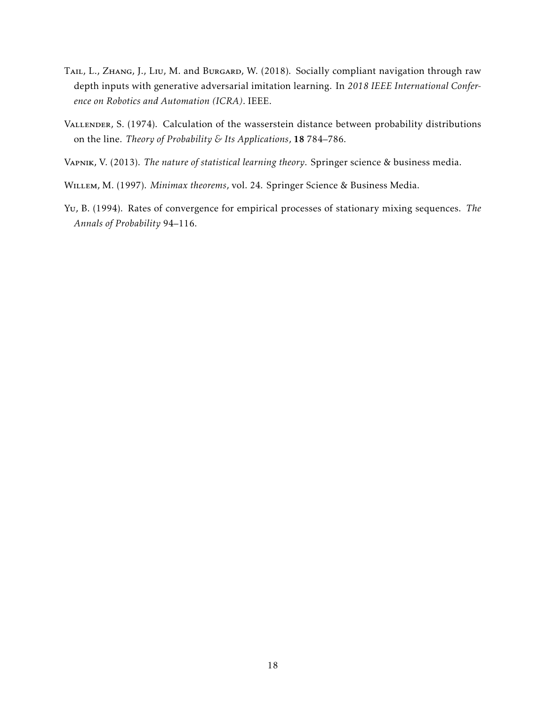- <span id="page-17-0"></span>TAIL, L., ZHANG, J., LIU, M. and BURGARD, W. (2018). Socially compliant navigation through raw depth inputs with generative adversarial imitation learning. In *2018 IEEE International Conference on Robotics and Automation (ICRA)*. IEEE.
- <span id="page-17-3"></span>VALLENDER, S. (1974). Calculation of the wasserstein distance between probability distributions on the line. *Theory of Probability & Its Applications*, 18 784–786.
- <span id="page-17-1"></span>Vapnik, V. (2013). *The nature of statistical learning theory*. Springer science & business media.
- <span id="page-17-2"></span>Willem, M. (1997). *Minimax theorems*, vol. 24. Springer Science & Business Media.
- <span id="page-17-4"></span>Yu, B. (1994). Rates of convergence for empirical processes of stationary mixing sequences. *The Annals of Probability* 94–116.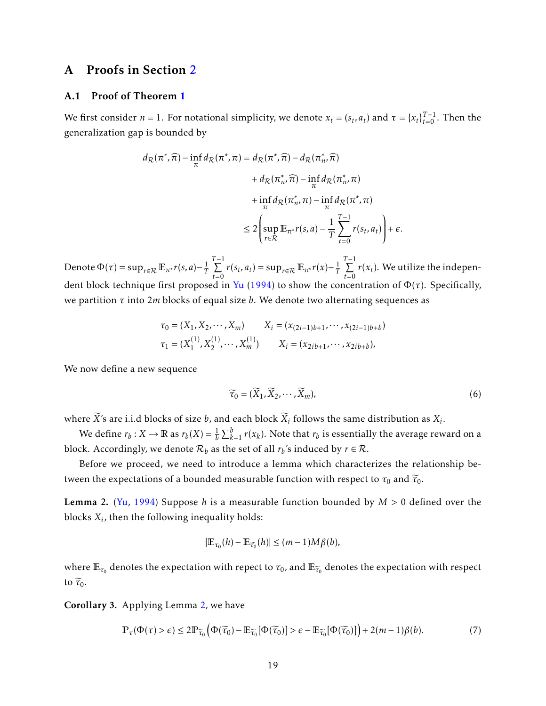## A Proofs in Section [2](#page-3-1)

#### <span id="page-18-0"></span>A.1 Proof of Theorem [1](#page-5-0)

We first consider  $n = 1$ . For notational simplicity, we denote  $x_t = (s_t, a_t)$  and  $\tau = \{x_t\}_{t=0}^{T-1}$ . Then the generalization gap is bounded by

$$
d_{\mathcal{R}}(\pi^*, \widehat{\pi}) - \inf_{\pi} d_{\mathcal{R}}(\pi^*, \pi) = d_{\mathcal{R}}(\pi^*, \widehat{\pi}) - d_{\mathcal{R}}(\pi^*, \widehat{\pi})
$$
  
+ 
$$
d_{\mathcal{R}}(\pi^*, \widehat{\pi}) - \inf_{\pi} d_{\mathcal{R}}(\pi^*, \pi)
$$
  
+ 
$$
\inf_{\pi} d_{\mathcal{R}}(\pi^*, \pi) - \inf_{\pi} d_{\mathcal{R}}(\pi^*, \pi)
$$
  

$$
\leq 2 \left( \sup_{r \in \mathcal{R}} \mathbb{E}_{\pi^*} r(s, a) - \frac{1}{T} \sum_{t=0}^{T-1} r(s_t, a_t) \right) + \epsilon.
$$

Denote  $\Phi(\tau) = \sup_{r \in \mathcal{R}} \mathbb{E}_{\pi^*} r(s, a) - \frac{1}{T}$ *T* T<sup>-1</sup>
<sup>T</sup>
<sup>D</sup>  $\sum_{t=0}^{T} r(s_t, a_t) = \sup_{r \in \mathcal{R}} \mathbb{E}_{\pi^*} r(x) - \frac{1}{T}$ *T* T<sup>-1</sup>
<sup>T</sup>
<sup>D</sup>  $\sum_{t=0} r(x_t)$ . We utilize the indepen-dent block technique first proposed in [Yu](#page-17-4) [\(1994\)](#page-17-4) to show the concentration of  $\Phi(\tau)$ . Specifically, we partition *τ* into 2*m* blocks of equal size *b*. We denote two alternating sequences as

$$
\tau_0 = (X_1, X_2, \cdots, X_m) \qquad X_i = (x_{(2i-1)b+1}, \cdots, x_{(2i-1)b+b})
$$
  

$$
\tau_1 = (X_1^{(1)}, X_2^{(1)}, \cdots, X_m^{(1)}) \qquad X_i = (x_{2ib+1}, \cdots, x_{2ib+b}),
$$

We now define a new sequence

<span id="page-18-4"></span>
$$
\widetilde{\tau}_0 = (\widetilde{X}_1, \widetilde{X}_2, \cdots, \widetilde{X}_m),\tag{6}
$$

where *X*'s are i.i.d blocks of size *b*, and each block  $X_i$  follows the same distribution as  $X_i$ .

We define  $r_b: X \to \mathbb{R}$  as  $r_b(X) = \frac{1}{b} \sum_{k=1}^b r(x_k)$ . Note that  $r_b$  is essentially the average reward on a block. Accordingly, we denote  $\mathcal{R}_b$  as the set of all  $r_b$ 's induced by  $r \in \mathcal{R}$ .

Before we proceed, we need to introduce a lemma which characterizes the relationship between the expectations of a bounded measurable function with respect to  $\tau_0$  and  $\tilde{\tau}_0$ .

<span id="page-18-2"></span>Lemma 2. [\(Yu,](#page-17-4) [1994\)](#page-17-4) Suppose *h* is a measurable function bounded by *M >* 0 defined over the blocks *X<sup>i</sup>* , then the following inequality holds:

<span id="page-18-3"></span>
$$
|\mathbb{E}_{\tau_0}(h) - \mathbb{E}_{\widetilde{\tau}_0}(h)| \leq (m-1)M\beta(b),
$$

where  $\mathbb{E}_{\tau_0}$  denotes the expectation with repect to  $\tau_0$ , and  $\mathbb{E}_{\widetilde{\tau}_0}$  denotes the expectation with respect to  $\widetilde{\tau}_0$ .

<span id="page-18-1"></span>Corollary 3. Applying Lemma [2,](#page-18-2) we have

$$
\mathbb{P}_{\tau}(\Phi(\tau) > \epsilon) \le 2\mathbb{P}_{\widetilde{\tau}_0}\left(\Phi(\widetilde{\tau}_0) - \mathbb{E}_{\widetilde{\tau}_0}[\Phi(\widetilde{\tau}_0)] > \epsilon - \mathbb{E}_{\widetilde{\tau}_0}[\Phi(\widetilde{\tau}_0)]\right) + 2(m-1)\beta(b). \tag{7}
$$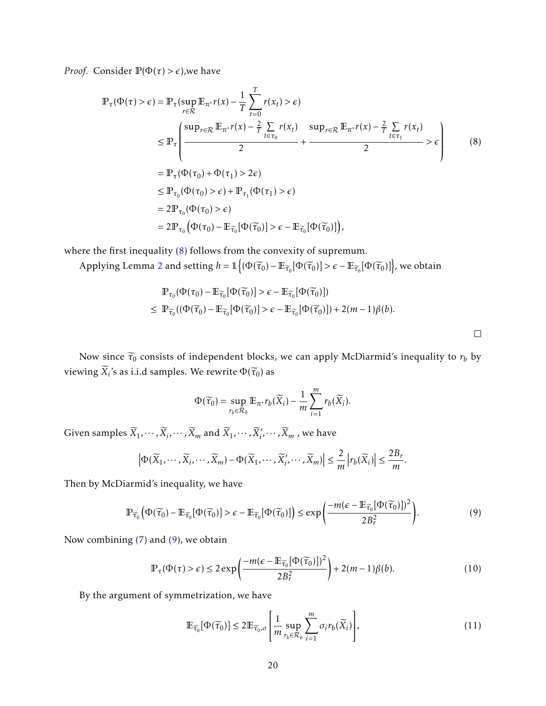*Proof.* Consider  $\mathbb{P}(\Phi(\tau) > \epsilon)$ , we have

$$
\mathbb{P}_{\tau}(\Phi(\tau) > \epsilon) = \mathbb{P}_{\tau}(\sup_{r \in \mathcal{R}} \mathbb{E}_{\pi^*} r(x) - \frac{1}{T} \sum_{t=0}^T r(x_t) > \epsilon)
$$
\n
$$
\leq \mathbb{P}_{\tau} \Biggl( \frac{\sup_{r \in \mathcal{R}} \mathbb{E}_{\pi^*} r(x) - \frac{2}{T} \sum_{t \in \tau_0} r(x_t)}{2} + \frac{\sup_{r \in \mathcal{R}} \mathbb{E}_{\pi^*} r(x) - \frac{2}{T} \sum_{t \in \tau_1} r(x_t)}{2} > \epsilon \Biggr) \tag{8}
$$
\n
$$
= \mathbb{P}_{\tau}(\Phi(\tau_0) + \Phi(\tau_1) > 2\epsilon)
$$
\n
$$
\leq \mathbb{P}_{\tau_0}(\Phi(\tau_0) > \epsilon) + \mathbb{P}_{\tau_1}(\Phi(\tau_1) > \epsilon)
$$
\n
$$
= 2\mathbb{P}_{\tau_0}(\Phi(\tau_0) - \mathbb{E}_{\widetilde{\tau_0}}[\Phi(\widetilde{\tau_0})] > \epsilon - \mathbb{E}_{\widetilde{\tau_0}}[\Phi(\widetilde{\tau_0})]),
$$
\n
$$
\Biggr)
$$
\n
$$
\mathbb{E}_{\tau_0}(\Phi(\tau_0) - \mathbb{E}_{\widetilde{\tau_0}}[\Phi(\widetilde{\tau_0})] > \epsilon - \mathbb{E}_{\widetilde{\tau_0}}[\Phi(\widetilde{\tau_0})]),
$$
\n
$$
\Biggr)
$$

where the first inequality [\(8\)](#page-19-0) follows from the convexity of supremum.

Applying Lemma [2](#page-18-2) and setting  $h = \mathbb{1}\Big\{ (\Phi(\widetilde{\tau}_0) - \mathbb{E}_{\widetilde{\tau}_0}[\Phi(\widetilde{\tau}_0)] > \epsilon - \mathbb{E}_{\widetilde{\tau}_0}[\Phi(\widetilde{\tau}_0)] \Big\}$ , we obtain

$$
\mathbb{P}_{\tau_0}(\Phi(\tau_0) - \mathbb{E}_{\widetilde{\tau}_0}[\Phi(\widetilde{\tau}_0)] > \epsilon - \mathbb{E}_{\widetilde{\tau}_0}[\Phi(\widetilde{\tau}_0)])
$$
\n
$$
\leq \mathbb{P}_{\widetilde{\tau}_0}((\Phi(\widetilde{\tau}_0) - \mathbb{E}_{\widetilde{\tau}_0}[\Phi(\widetilde{\tau}_0)]) > \epsilon - \mathbb{E}_{\widetilde{\tau}_0}[\Phi(\widetilde{\tau}_0)]) + 2(m - 1)\beta(b).
$$

Now since  $\tilde{\tau}_0$  consists of independent blocks, we can apply McDiarmid's inequality to  $r_b$  by  $\text{viewing } X_i$ 's as i.i.d samples. We rewrite  $\Phi(\widetilde{\tau}_0)$  as

$$
\Phi(\widetilde{\tau}_0) = \sup_{r_b \in \mathcal{R}_b} \mathbb{E}_{\pi^*} r_b(\widetilde{X}_i) - \frac{1}{m} \sum_{i=1}^m r_b(\widetilde{X}_i).
$$

Given samples  $\widetilde{X}_1, \cdots, \widetilde{X}_i, \cdots, \widetilde{X}_m$  and  $\widetilde{X}_1, \cdots, \widetilde{X}_i', \cdots, \widetilde{X}_m$  , we have

$$
\left|\Phi(\widetilde{X}_1,\cdots,\widetilde{X}_i,\cdots,\widetilde{X}_m)-\Phi(\widetilde{X}_1,\cdots,\widetilde{X}_i',\cdots,\widetilde{X}_m)\right|\leq \frac{2}{m}\left|r_b(\widetilde{X}_i)\right|\leq \frac{2B_r}{m}.
$$

Then by McDiarmid's inequality, we have

$$
\mathbb{P}_{\widetilde{\tau}_0}\Big(\Phi(\widetilde{\tau}_0) - \mathbb{E}_{\widetilde{\tau}_0}[\Phi(\widetilde{\tau}_0)] > \epsilon - \mathbb{E}_{\widetilde{\tau}_0}[\Phi(\widetilde{\tau}_0)]\Big) \le \exp\left(\frac{-m(\epsilon - \mathbb{E}_{\widetilde{\tau}_0}[\Phi(\widetilde{\tau}_0)])^2}{2B_r^2}\right).
$$
\n(9)

Now combining [\(7\)](#page-18-3) and [\(9\)](#page-19-1), we obtain

$$
\mathbb{P}_{\tau}(\Phi(\tau) > \epsilon) \le 2 \exp\left(\frac{-m(\epsilon - \mathbb{E}_{\widetilde{\tau}_0}[\Phi(\widetilde{\tau}_0)])^2}{2B_r^2}\right) + 2(m-1)\beta(b). \tag{10}
$$

By the argument of symmetrization, we have

<span id="page-19-2"></span>
$$
\mathbb{E}_{\widetilde{\tau}_0}[\Phi(\widetilde{\tau}_0)] \le 2 \mathbb{E}_{\widetilde{\tau}_0, \sigma} \left[ \frac{1}{m} \sup_{r_b \in \mathcal{R}_b} \sum_{i=1}^m \sigma_i r_b(\widetilde{X}_i) \right],\tag{11}
$$

<span id="page-19-3"></span><span id="page-19-1"></span><span id="page-19-0"></span> $\Box$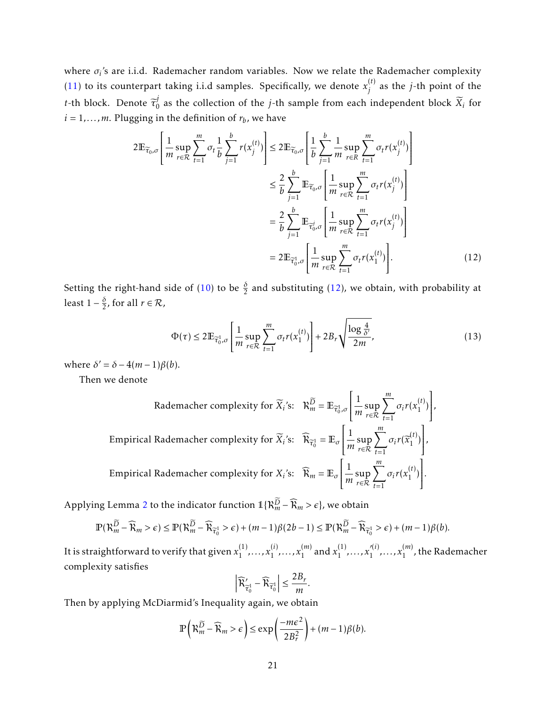where  $\sigma_i$ 's are i.i.d. Rademacher random variables. Now we relate the Rademacher complexity [\(11\)](#page-19-2) to its counterpart taking i.i.d samples. Specifically, we denote  $x_i^{(t)}$ *j* as the *j*-th point of the *t*-th block. Denote  $\tilde{\tau}_0^j$  $\frac{1}{0}$  as the collection of the *j*-th sample from each independent block  $X_i$  for  $i = 1, \ldots, m$ . Plugging in the definition of  $r_b$ , we have

$$
2\mathbb{E}_{\widetilde{\tau}_0,\sigma}\left[\frac{1}{m}\sup_{r\in\mathcal{R}}\sum_{t=1}^m\sigma_t\frac{1}{b}\sum_{j=1}^b r(x_j^{(t)})\right] \leq 2\mathbb{E}_{\widetilde{\tau}_0,\sigma}\left[\frac{1}{b}\sum_{j=1}^b \frac{1}{m}\sup_{r\in\mathcal{R}}\sum_{t=1}^m\sigma_t r(x_j^{(t)})\right]
$$

$$
\leq \frac{2}{b}\sum_{j=1}^b \mathbb{E}_{\widetilde{\tau}_0,\sigma}\left[\frac{1}{m}\sup_{r\in\mathcal{R}}\sum_{t=1}^m\sigma_t r(x_j^{(t)})\right]
$$

$$
=\frac{2}{b}\sum_{j=1}^b \mathbb{E}_{\widetilde{\tau}_0,\sigma}\left[\frac{1}{m}\sup_{r\in\mathcal{R}}\sum_{t=1}^m\sigma_t r(x_j^{(t)})\right]
$$

$$
=2\mathbb{E}_{\widetilde{\tau}_0,\sigma}\left[\frac{1}{m}\sup_{r\in\mathcal{R}}\sum_{t=1}^m\sigma_t r(x_1^{(t)})\right].
$$
 (12)

Setting the right-hand side of [\(10\)](#page-19-3) to be  $\frac{\delta}{2}$  and substituting [\(12\)](#page-20-0), we obtain, with probability at least  $1 - \frac{\delta}{2}$ , for all  $r \in \mathcal{R}$ ,

$$
\Phi(\tau) \le 2\mathbb{E}_{\overline{\tau}_0^1, \sigma} \left[ \frac{1}{m} \sup_{r \in \mathcal{R}} \sum_{t=1}^m \sigma_t r(x_1^{(t)}) \right] + 2B_r \sqrt{\frac{\log \frac{4}{\delta'}}{2m}},\tag{13}
$$

<span id="page-20-1"></span><span id="page-20-0"></span>*,*

where  $\delta' = \delta - 4(m-1)\beta(b)$ .

Then we denote

Rademacher complexity for  $\widetilde{X}_i$ 's:  $\mathcal{R}_m^D = \mathbb{E}_{\widetilde{\tau}_0^1, \sigma}$  $\lceil 1 \rceil$  $\overline{\mathsf{l}}$  $\frac{1}{m}$ sup *r*∈R  $\sum_{ }^{m}$ *t*=1  $\sigma_i r(x_1^{(t)}$  $\binom{1}{1}$ 1  $\overline{\phantom{a}}$ Empirical Rademacher complexity for  $\widetilde{X}_i$ 's:  $\widehat{R}_{\overline{\tau}_0^1} = \mathbb{E}_{\sigma}$  $\lceil 1 \rceil$  $\overline{\mathsf{l}}$  $\frac{1}{m}$ sup *r*∈R  $\sum$ <sup>*m*</sup> *t*=1  $\sigma_i r(\widetilde{x}_1^{(t)})$  $\binom{1}{1}$ 1  $\cdot$ *,* Empirical Rademacher complexity for  $X_i$ 's:  $\widehat{R}_m = \mathbb{E}_{\sigma}$  $\lceil 1 \rceil$  $\overline{\mathsf{l}}$  $\frac{1}{m}$ sup *r*∈R  $\sum_{ }^{m}$ *t*=1  $\sigma_i r(x_1^{(t)}$  $\binom{1}{1}$ 1  $\cdot$ *.*

Applying Lemma [2](#page-18-2) to the indicator function  $\mathbb{1}\{\mathcal{R}_m^{\overline{D}} - \widehat{\mathcal{R}}_m > \epsilon\}$ , we obtain

$$
\mathbb{P}(\mathcal{R}_{m}^{\widetilde{D}}-\widehat{\mathcal{R}}_{m}>\epsilon)\leq \mathbb{P}(\mathcal{R}_{m}^{\widetilde{D}}-\widehat{\mathcal{R}}_{\widetilde{\tau}_{0}^{1}}>\epsilon)+(m-1)\beta(2b-1)\leq \mathbb{P}(\mathcal{R}_{m}^{\widetilde{D}}-\widehat{\mathcal{R}}_{\widetilde{\tau}_{0}^{1}}>\epsilon)+(m-1)\beta(b).
$$

It is straightforward to verify that given  $x_1^{(1)}$  $x_1^{(1)}, \ldots, x_1^{(i)}$  $x_1^{(i)}, \ldots, x_1^{(m)}$  $\binom{m}{1}$  and  $x_1^{(1)}$  $x_1^{(1)}, \ldots, x_1'^{(i)}$  $x_1^{(i)}, \ldots, x_1^{(m)}$  $1^{(m)}$ , the Rademacher complexity satisfies

$$
\left|\widehat{\mathcal{R}}'_{\widetilde{\tau}_0^1} - \widehat{\mathcal{R}}_{\widetilde{\tau}_0^1}\right| \le \frac{2B_r}{m}.
$$

Then by applying McDiarmid's Inequality again, we obtain

$$
\mathbb{P}\left(\mathcal{R}_{m}^{\widetilde{D}}-\widehat{\mathcal{R}}_{m} > \epsilon\right) \leq \exp\left(\frac{-m\epsilon^{2}}{2B_{r}^{2}}\right) + (m-1)\beta(b).
$$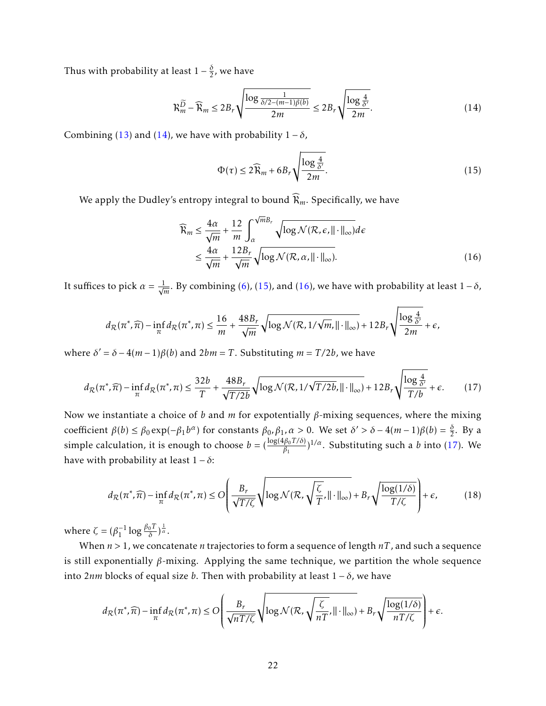Thus with probability at least  $1-\frac{\delta}{2}$ , we have

$$
\mathcal{R}_m^{\widetilde{D}} - \widehat{\mathcal{R}}_m \le 2B_r \sqrt{\frac{\log \frac{1}{\delta/2 - (m-1)\beta(b)}}{2m}} \le 2B_r \sqrt{\frac{\log \frac{4}{\delta'}}{2m}}.
$$
\n(14)

Combining [\(13\)](#page-20-1) and [\(14\)](#page-21-0), we have with probability  $1 - \delta$ ,

<span id="page-21-2"></span><span id="page-21-1"></span><span id="page-21-0"></span>
$$
\Phi(\tau) \le 2\widehat{R}_m + 6B_r \sqrt{\frac{\log \frac{4}{\delta'}}{2m}}.\tag{15}
$$

We apply the Dudley's entropy integral to bound  $\widehat{\mathcal{R}}_m$ . Specifically, we have

<span id="page-21-3"></span>
$$
\widehat{\mathcal{R}}_m \le \frac{4\alpha}{\sqrt{m}} + \frac{12}{m} \int_{\alpha}^{\sqrt{m}B_r} \sqrt{\log \mathcal{N}(\mathcal{R}, \epsilon, ||\cdot||_{\infty})} d\epsilon
$$
\n
$$
\le \frac{4\alpha}{\sqrt{m}} + \frac{12B_r}{\sqrt{m}} \sqrt{\log \mathcal{N}(\mathcal{R}, \alpha, ||\cdot||_{\infty})}.
$$
\n(16)

It suffices to pick  $\alpha = \frac{1}{\sqrt{2}}$  $\frac{1}{m}$ . By combining [\(6\)](#page-18-4), [\(15\)](#page-21-1), and [\(16\)](#page-21-2), we have with probability at least 1−*δ*,

$$
d_{\mathcal{R}}(\pi^*, \widehat{\pi}) - \inf_{\pi} d_{\mathcal{R}}(\pi^*, \pi) \le \frac{16}{m} + \frac{48B_r}{\sqrt{m}} \sqrt{\log \mathcal{N}(\mathcal{R}, 1/\sqrt{m}, \|\cdot\|_{\infty})} + 12B_r \sqrt{\frac{\log \frac{4}{\delta'}}{2m}} + \epsilon,
$$

where  $\delta' = \delta - 4(m-1)\beta(b)$  and  $2bm = T$ . Substituting  $m = T/2b$ , we have

$$
d_{\mathcal{R}}(\pi^*, \widehat{\pi}) - \inf_{\pi} d_{\mathcal{R}}(\pi^*, \pi) \le \frac{32b}{T} + \frac{48B_r}{\sqrt{T/2b}} \sqrt{\log \mathcal{N}(\mathcal{R}, 1/\sqrt{T/2b}, ||\cdot||_{\infty})} + 12B_r \sqrt{\frac{\log \frac{4}{\delta'}}{T/b}} + \epsilon.
$$
 (17)

Now we instantiate a choice of *b* and *m* for expotentially *β*-mixing sequences, where the mixing coefficient *β*(*b*) ≤ *β*<sub>0</sub> exp(−*β*<sub>1</sub>*b*<sup>α</sup>) for constants *β*<sub>0</sub>*,β*<sub>1</sub>*,α* > 0. We set *δ*' > *δ* − 4(*m* − 1)*β*(*b*) =  $\frac{\delta}{2}$ . By a  $\sum_{i=1}^{\infty} P_i(x) \leq P_0 \exp(-P_1 v)$  for constants  $P_0, P_1, u > 0$ . We set  $v > 0 = \frac{1}{2}(m-1)p(v) = \frac{1}{2}$ . By a simple calculation, it is enough to choose  $b = (\frac{\log(4\beta_0 T/\delta)}{\beta_1})^{1/\alpha}$ . Substituting such a *b* into [\(17\)](#page-21-3). We have with probability at least  $1 - \delta$ :

<span id="page-21-4"></span>
$$
d_{\mathcal{R}}(\pi^*, \widehat{\pi}) - \inf_{\pi} d_{\mathcal{R}}(\pi^*, \pi) \leq O\left(\frac{B_r}{\sqrt{T/\zeta}} \sqrt{\log \mathcal{N}(\mathcal{R}, \sqrt{\frac{\zeta}{T}}, \|\cdot\|_{\infty})} + B_r \sqrt{\frac{\log(1/\delta)}{T/\zeta}}\right) + \epsilon,
$$
(18)

where  $\zeta = (\beta_1^{-1} \log \frac{\beta_0 T}{\delta})^{\frac{1}{\alpha}}$ .

When *n >* 1, we concatenate *n* trajectories to form a sequence of length *nT* , and such a sequence is still exponentially *β*-mixing. Applying the same technique, we partition the whole sequence into 2*nm* blocks of equal size *b*. Then with probability at least 1 − *δ*, we have

$$
d_{\mathcal{R}}(\pi^*, \widehat{\pi}) - \inf_{\pi} d_{\mathcal{R}}(\pi^*, \pi) \leq O\left(\frac{B_r}{\sqrt{nT/\zeta}} \sqrt{\log \mathcal{N}(\mathcal{R}, \sqrt{\frac{\zeta}{nT}}, \|\cdot\|_{\infty})} + B_r \sqrt{\frac{\log(1/\delta)}{nT/\zeta}} \right) + \epsilon.
$$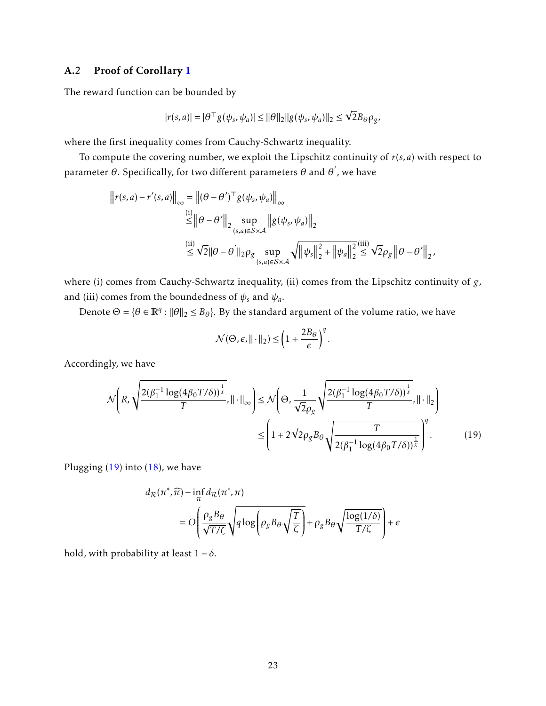## A.2 Proof of Corollary [1](#page-6-2)

The reward function can be bounded by

$$
|r(s,a)| = |\theta^\top g(\psi_s, \psi_a)| \le ||\theta||_2 ||g(\psi_s, \psi_a)||_2 \le \sqrt{2} B_\theta \rho_g,
$$

where the first inequality comes from Cauchy-Schwartz inequality.

To compute the covering number, we exploit the Lipschitz continuity of *r*(*s,a*) with respect to parameter  $\theta.$  Specifically, for two different parameters  $\theta$  and  $\theta^{'}$ , we have

$$
\begin{aligned}\n\left\| r(s,a) - r'(s,a) \right\|_{\infty} &= \left\| (\theta - \theta')^{\top} g(\psi_s, \psi_a) \right\|_{\infty} \\
&\stackrel{\text{(i)}}{\leq} \left\| \theta - \theta' \right\|_{2} \sup_{(s,a) \in S \times \mathcal{A}} \left\| g(\psi_s, \psi_a) \right\|_{2} \\
&\stackrel{\text{(ii)}}{\leq} \sqrt{2} \| \theta - \theta' \right\|_{2} \rho_g \sup_{(s,a) \in S \times \mathcal{A}} \sqrt{\left\| \psi_s \right\|_{2}^{2} + \left\| \psi_a \right\|_{2}^{2}} \stackrel{\text{(iii)}}{\leq} \sqrt{2} \rho_g \left\| \theta - \theta' \right\|_{2},\n\end{aligned}
$$

where (i) comes from Cauchy-Schwartz inequality, (ii) comes from the Lipschitz continuity of *g*, and (iii) comes from the boundedness of  $\psi_s$  and  $\psi_a$ .

Denote  $\Theta = \{\theta \in \mathbb{R}^q : ||\theta||_2 \leq B_\theta\}$ . By the standard argument of the volume ratio, we have

<span id="page-22-0"></span>
$$
\mathcal{N}(\Theta, \epsilon, ||\cdot||_2) \leq \left(1 + \frac{2B_\theta}{\epsilon}\right)^q.
$$

Accordingly, we have

$$
\mathcal{N}\left(R, \sqrt{\frac{2(\beta_1^{-1}\log(4\beta_0 T/\delta))^{\frac{1}{\lambda}}}{T}}, \|\cdot\|_{\infty}\right) \le \mathcal{N}\left(\Theta, \frac{1}{\sqrt{2}\rho_g} \sqrt{\frac{2(\beta_1^{-1}\log(4\beta_0 T/\delta))^{\frac{1}{\lambda}}}{T}}, \|\cdot\|_2\right) \le \left(1 + 2\sqrt{2}\rho_g B_\theta \sqrt{\frac{T}{2(\beta_1^{-1}\log(4\beta_0 T/\delta))^{\frac{1}{\lambda}}}}\right)^{q}.\tag{19}
$$

Plugging  $(19)$  into  $(18)$ , we have

$$
d_{\mathcal{R}}(\pi^*, \widehat{\pi}) - \inf_{\pi} d_{\mathcal{R}}(\pi^*, \pi)
$$
  
=  $O\left(\frac{\rho_g B_\theta}{\sqrt{T/\zeta}} \sqrt{q \log \left(\rho_g B_\theta \sqrt{\frac{T}{\zeta}}\right)} + \rho_g B_\theta \sqrt{\frac{\log(1/\delta)}{T/\zeta}}\right) + \epsilon$ 

hold, with probability at least  $1 - \delta$ .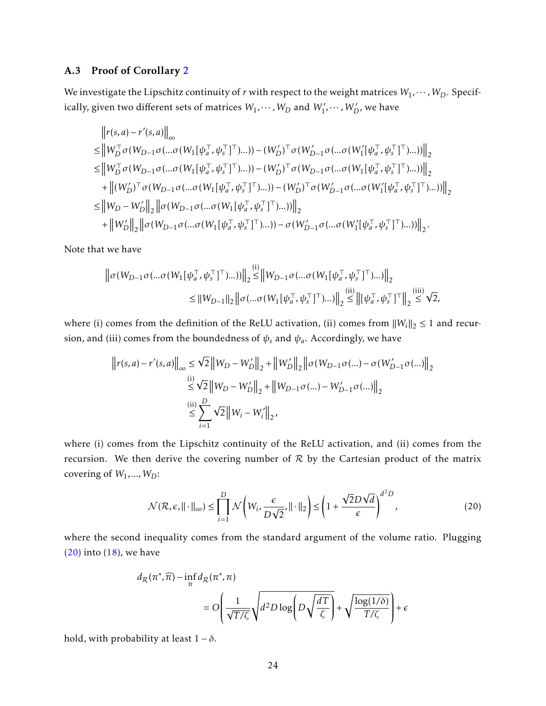### A.3 Proof of Corollary [2](#page-7-0)

We investigate the Lipschitz continuity of *r* with respect to the weight matrices  $W_1, \dots, W_D$ . Specifically, given two different sets of matrices  $W_1, \cdots$  *,*  $W_D$  *and*  $W'_1, \cdots$  *,*  $W'_D$ *, we have* 

$$
\|r(s,a)-r'(s,a)\|_{\infty} \leq \|W_D^{\top}\sigma(W_{D-1}\sigma(...\sigma(W_1[\psi_a^{\top},\psi_s^{\top}]^{\top})...)) - (W_D')^{\top}\sigma(W_{D-1}'\sigma(...\sigma(W_1'[\psi_a^{\top},\psi_s^{\top}]^{\top})...))\|_2 \leq \|W_D^{\top}\sigma(W_{D-1}\sigma(...\sigma(W_1[\psi_a^{\top},\psi_s^{\top}]^{\top})...)) - (W_D')^{\top}\sigma(W_{D-1}\sigma(...\sigma(W_1[\psi_a^{\top},\psi_s^{\top}]^{\top})...))\|_2 +\|(W_D')^{\top}\sigma(W_{D-1}\sigma(...\sigma(W_1[\psi_a^{\top},\psi_s^{\top}]^{\top})...)) - (W_D')^{\top}\sigma(W_{D-1}'\sigma(...\sigma(W_1'[\psi_a^{\top},\psi_s^{\top}]^{\top})...))\|_2 \leq \|W_D-W_D'\|_2 \|\sigma(W_{D-1}\sigma(...\sigma(W_1[\psi_a^{\top},\psi_s^{\top}]^{\top})...))\|_2 +\|W_D'\|_2 \|\sigma(W_{D-1}\sigma(...\sigma(W_1[\psi_a^{\top},\psi_s^{\top}]^{\top})...)) - \sigma(W_{D-1}'\sigma(...\sigma(W_1'[\psi_a^{\top},\psi_s^{\top}]^{\top})...))\|_2.
$$

Note that we have

$$
\|\sigma(W_{D-1}\sigma(...\sigma(W_1[\psi_a^{\top},\psi_s^{\top}]^{\top})...))\|_2 \stackrel{(i)}{\leq} \|W_{D-1}\sigma(...\sigma(W_1[\psi_a^{\top},\psi_s^{\top}]^{\top})...)\|_2
$$
  

$$
\leq \|W_{D-1}\|_2 \|\sigma(...\sigma(W_1[\psi_a^{\top},\psi_s^{\top}]^{\top})...)\|_2 \leq \|[\psi_a^{\top},\psi_s^{\top}]^{\top}\|_2 \leq \sqrt{2},
$$

where (i) comes from the definition of the ReLU activation, (ii) comes from  $||W_i||_2 \le 1$  and recursion, and (iii) comes from the boundedness of  $\psi_s$  and  $\psi_a$ . Accordingly, we have

$$
\begin{aligned} \left\| r(s,a) - r'(s,a) \right\|_\infty &\leq \sqrt{2} \left\| W_D - W_D' \right\|_2 + \left\| W_D' \right\|_2 \left\| \sigma(W_{D-1} \sigma(...) - \sigma(W_{D-1}' \sigma(...) ) \right\|_2 \\ &\overset{\text{(i)}}{\leq} \sqrt{2} \left\| W_D - W_D' \right\|_2 + \left\| W_{D-1} \sigma(...) - W_{D-1}' \sigma(...) \right\|_2 \\ &\overset{\text{(ii)}}{\leq} \sum_{i=1}^D \sqrt{2} \left\| W_i - W_i' \right\|_2, \end{aligned}
$$

where (i) comes from the Lipschitz continuity of the ReLU activation, and (ii) comes from the recursion. We then derive the covering number of  $R$  by the Cartesian product of the matrix covering of *W*1*,...,WD*:

<span id="page-23-0"></span>
$$
\mathcal{N}(\mathcal{R}, \epsilon, ||\cdot||_{\infty}) \le \prod_{i=1}^{D} \mathcal{N}\left(W_{i}, \frac{\epsilon}{D\sqrt{2}}, ||\cdot||_{2}\right) \le \left(1 + \frac{\sqrt{2}D\sqrt{d}}{\epsilon}\right)^{d^{2}D},
$$
\n(20)

where the second inequality comes from the standard argument of the volume ratio. Plugging  $(20)$  into  $(18)$ , we have

$$
d_{\mathcal{R}}(\pi^*, \widehat{\pi}) - \inf_{\pi} d_{\mathcal{R}}(\pi^*, \pi)
$$
  
=  $O\left(\frac{1}{\sqrt{T/\zeta}}\sqrt{d^2 D \log \left(D\sqrt{\frac{dT}{\zeta}}\right)} + \sqrt{\frac{\log(1/\delta)}{T/\zeta}}\right) + \epsilon$ 

hold, with probability at least  $1 - \delta$ .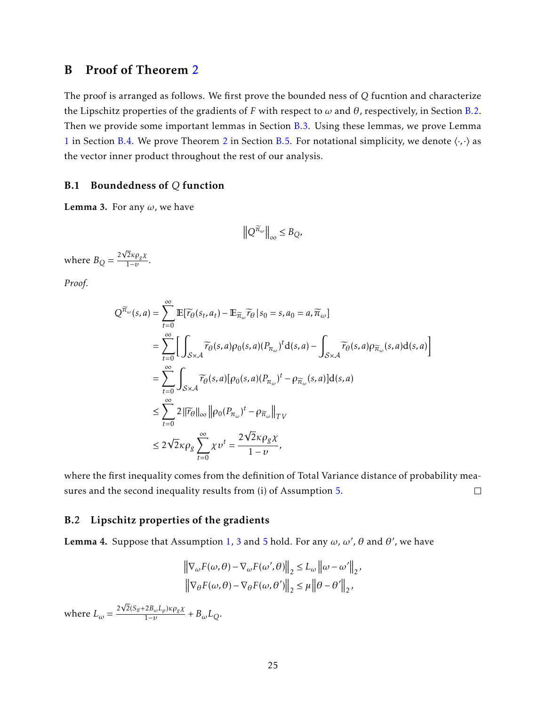## <span id="page-24-0"></span>B Proof of Theorem [2](#page-9-0)

The proof is arranged as follows. We first prove the bounded ness of *Q* fucntion and characterize the Lipschitz properties of the gradients of *F* with respect to  $\omega$  and  $\theta$ , respectively, in Section [B.2.](#page-24-1) Then we provide some important lemmas in Section [B.3.](#page-26-0) Using these lemmas, we prove Lemma [1](#page-10-0) in Section [B.4.](#page-34-0) We prove Theorem [2](#page-9-0) in Section [B.5.](#page-36-0) For notational simplicity, we denote  $\langle \cdot, \cdot \rangle$  as the vector inner product throughout the rest of our analysis.

#### B.1 Boundedness of *Q* function

Lemma 3. For any *ω*, we have

$$
\left\|Q^{\widetilde{\pi}_{\omega}}\right\|_{\infty} \leq B_Q,
$$

where  $B_Q = \frac{2}{3}$ √ 2*κρgχ*  $\frac{2\pi \rho g \lambda}{1-\nu}$ .

*Proof.*

$$
Q^{\widetilde{\pi}_{\omega}}(s,a) = \sum_{t=0}^{\infty} \mathbb{E}[\widetilde{\tau}_{\theta}(s_t, a_t) - \mathbb{E}_{\widetilde{\pi}_{\omega}} \widetilde{\tau}_{\theta} | s_0 = s, a_0 = a, \widetilde{\pi}_{\omega}]
$$
  
\n
$$
= \sum_{t=0}^{\infty} \Bigg[ \int_{\mathcal{S} \times \mathcal{A}} \widetilde{\tau}_{\theta}(s, a) \rho_0(s, a) (P_{\pi_{\omega}})^t d(s, a) - \int_{\mathcal{S} \times \mathcal{A}} \widetilde{\tau}_{\theta}(s, a) \rho_{\widetilde{\pi}_{\omega}}(s, a) d(s, a) \Bigg]
$$
  
\n
$$
= \sum_{t=0}^{\infty} \int_{\mathcal{S} \times \mathcal{A}} \widetilde{\tau}_{\theta}(s, a) [\rho_0(s, a) (P_{\pi_{\omega}})^t - \rho_{\widetilde{\pi}_{\omega}}(s, a)] d(s, a)
$$
  
\n
$$
\leq \sum_{t=0}^{\infty} 2 \|\widetilde{\tau}_{\theta}\|_{\infty} \| \rho_0 (P_{\pi_{\omega}})^t - \rho_{\widetilde{\pi}_{\omega}} \|_{TV}
$$
  
\n
$$
\leq 2\sqrt{2} \kappa \rho_g \sum_{t=0}^{\infty} \chi v^t = \frac{2\sqrt{2} \kappa \rho_g \chi}{1 - v},
$$

where the first inequality comes from the definition of Total Variance distance of probability measures and the second inequality results from (i) of Assumption [5.](#page-8-2)  $\Box$ 

#### <span id="page-24-1"></span>B.2 Lipschitz properties of the gradients

<span id="page-24-2"></span>Lemma 4. Suppose that Assumption [1,](#page-4-0) [3](#page-6-0) and [5](#page-8-2) hold. For any  $\omega$ ,  $\omega'$ ,  $\theta$  and  $\theta'$ , we have

$$
\left\| \nabla_{\omega} F(\omega, \theta) - \nabla_{\omega} F(\omega', \theta) \right\|_2 \le L_{\omega} \left\| \omega - \omega' \right\|_2,
$$
  

$$
\left\| \nabla_{\theta} F(\omega, \theta) - \nabla_{\theta} F(\omega, \theta') \right\|_2 \le \mu \left\| \theta - \theta' \right\|_2,
$$

where  $L_{\omega} = \frac{2}{\pi}$  $\frac{2(S_{\widetilde{\pi}}+2B_{\omega}L_{\rho})\kappa \rho_g \chi}{1}$  $\frac{2B_{\omega}B_{\rho}P_{\rho}}{1-v} + B_{\omega}L_{Q}$ .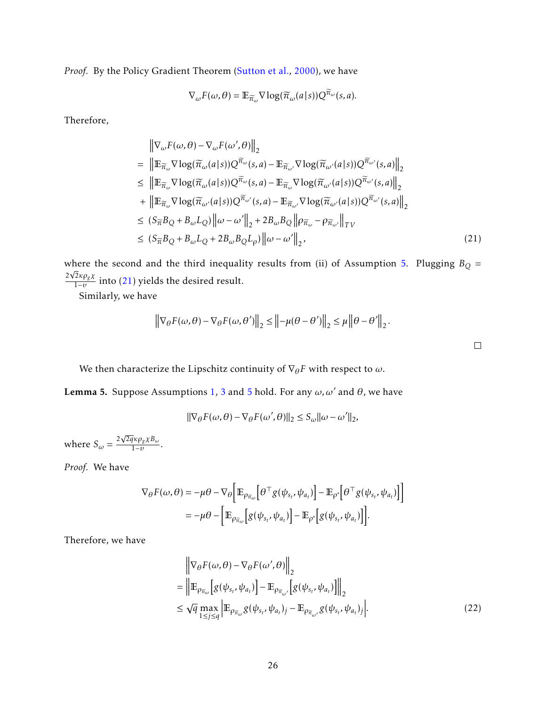Proof. By the Policy Gradient Theorem [\(Sutton et al.,](#page-16-10) [2000\)](#page-16-10), we have

$$
\nabla_{\omega} F(\omega, \theta) = \mathbb{E}_{\widetilde{\pi}_{\omega}} \nabla \log(\widetilde{\pi}_{\omega}(a|s)) Q^{\widetilde{\pi}_{\omega}}(s, a).
$$

Therefore,

$$
\|\nabla_{\omega}F(\omega,\theta) - \nabla_{\omega}F(\omega',\theta)\|_{2}
$$
\n
$$
= \|\mathbb{E}_{\widetilde{\pi}_{\omega}}\nabla \log(\widetilde{\pi}_{\omega}(a|s))Q^{\widetilde{\pi}_{\omega}}(s,a) - \mathbb{E}_{\widetilde{\pi}_{\omega'}}\nabla \log(\widetilde{\pi}_{\omega'}(a|s))Q^{\widetilde{\pi}_{\omega'}}(s,a)\|_{2}
$$
\n
$$
\leq \|\mathbb{E}_{\widetilde{\pi}_{\omega}}\nabla \log(\widetilde{\pi}_{\omega}(a|s))Q^{\widetilde{\pi}_{\omega}}(s,a) - \mathbb{E}_{\widetilde{\pi}_{\omega}}\nabla \log(\widetilde{\pi}_{\omega'}(a|s))Q^{\widetilde{\pi}_{\omega'}}(s,a)\|_{2}
$$
\n
$$
+ \|\mathbb{E}_{\widetilde{\pi}_{\omega}}\nabla \log(\widetilde{\pi}_{\omega'}(a|s))Q^{\widetilde{\pi}_{\omega'}}(s,a) - \mathbb{E}_{\widetilde{\pi}_{\omega'}}\nabla \log(\widetilde{\pi}_{\omega'}(a|s))Q^{\widetilde{\pi}_{\omega'}}(s,a)\|_{2}
$$
\n
$$
\leq (S_{\widetilde{\pi}}B_{Q} + B_{\omega}L_{Q})\|\omega - \omega'\|_{2} + 2B_{\omega}B_{Q}\|\rho_{\widetilde{\pi}_{\omega}} - \rho_{\widetilde{\pi}_{\omega'}}\|_{TV}
$$
\n
$$
\leq (S_{\widetilde{\pi}}B_{Q} + B_{\omega}L_{Q} + 2B_{\omega}B_{Q}L_{\rho})\|\omega - \omega'\|_{2}, \tag{21}
$$

where the second and the third inequality results from (ii) of Assumption [5.](#page-8-2) Plugging  $B_Q =$ 2 2*κρgχ*  $\frac{2\pi \nu_{g\Lambda}}{1-v}$  into [\(21\)](#page-25-0) yields the desired result.

Similarly, we have

$$
\left\|\nabla_{\theta}F(\omega,\theta) - \nabla_{\theta}F(\omega,\theta')\right\|_{2} \le \left\| -\mu(\theta - \theta') \right\|_{2} \le \mu \left\|\theta - \theta'\right\|_{2}.
$$

We then characterize the Lipschitz continuity of  $\nabla_{\theta} F$  with respect to  $\omega$ .

<span id="page-25-2"></span>Lemma 5. Suppose Assumptions [1,](#page-4-0) [3](#page-6-0) and [5](#page-8-2) hold. For any  $\omega$ ,  $\omega'$  and  $\theta$ , we have

$$
\|\nabla_\theta F(\omega,\theta)-\nabla_\theta F(\omega',\theta)\|_2\leq S_\omega\|\omega-\omega'\|_2,
$$

where  $S_\omega = \frac{2}{\pi}$ 2*qκρgχB<sup>ω</sup>*  $\frac{1}{1-v}$ .

*Proof.* We have

$$
\nabla_{\theta} F(\omega, \theta) = -\mu \theta - \nabla_{\theta} \left[ \mathbb{E}_{\rho_{\overline{n}_{\omega}}} \left[ \theta^{\top} g(\psi_{s_{t}}, \psi_{a_{t}}) \right] - \mathbb{E}_{\rho^{*}} \left[ \theta^{\top} g(\psi_{s_{t}}, \psi_{a_{t}}) \right] \right]
$$
  

$$
= -\mu \theta - \left[ \mathbb{E}_{\rho_{\overline{n}_{\omega}}} \left[ g(\psi_{s_{t}}, \psi_{a_{t}}) \right] - \mathbb{E}_{\rho^{*}} \left[ g(\psi_{s_{t}}, \psi_{a_{t}}) \right] \right].
$$

Therefore, we have

$$
\begin{split} & \left\| \nabla_{\theta} F(\omega, \theta) - \nabla_{\theta} F(\omega', \theta) \right\|_{2} \\ &= \left\| \mathbb{E}_{\rho_{\widetilde{\pi}_{\omega}}} \left[ g(\psi_{s_t}, \psi_{a_t}) \right] - \mathbb{E}_{\rho_{\widetilde{\pi}_{\omega'}}} \left[ g(\psi_{s_t}, \psi_{a_t}) \right] \right\|_{2} \\ &\leq \sqrt{q} \max_{1 \leq j \leq q} \left| \mathbb{E}_{\rho_{\widetilde{\pi}_{\omega}}} g(\psi_{s_t}, \psi_{a_t})_j - \mathbb{E}_{\rho_{\widetilde{\pi}_{\omega'}}} g(\psi_{s_t}, \psi_{a_t})_j \right|. \end{split} \tag{22}
$$

<span id="page-25-1"></span><span id="page-25-0"></span> $\Box$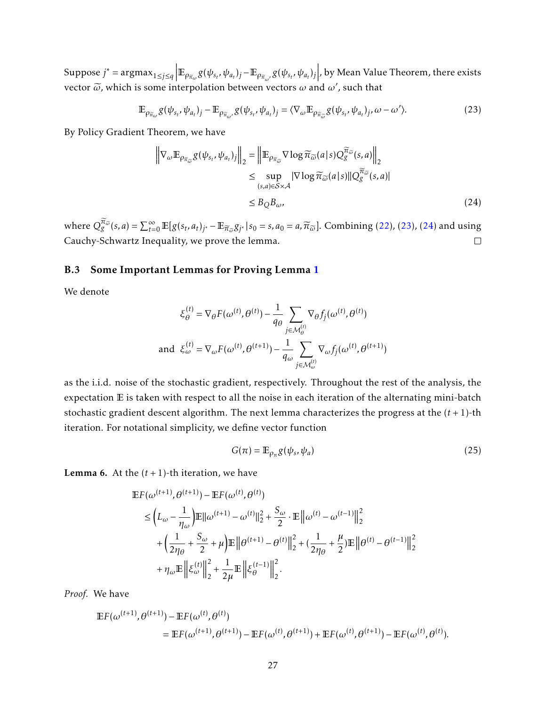Suppose  $j^* = \operatorname{argmax}_{1 \le j \le q} \left| \mathbb{E}_{\rho_{\tilde{\pi}_\omega} g}(\psi_{s_t}, \psi_{a_t})_j - \mathbb{E}_{\rho_{\tilde{\pi}_\omega}, g}(\psi_{s_t}, \psi_{a_t})_j \right|$ , by Mean Value Theorem, there exists vector  $\tilde{\omega}$ , which is some interpolation between vectors  $\omega$  and  $\omega'$ , such that

$$
\mathbb{E}_{\rho_{\widetilde{\pi}_{\omega}}}\mathcal{g}(\psi_{s_t},\psi_{a_t})_j - \mathbb{E}_{\rho_{\widetilde{\pi}_{\omega'}}}\mathcal{g}(\psi_{s_t},\psi_{a_t})_j = \langle \nabla_{\omega}\mathbb{E}_{\rho_{\widetilde{\pi}_{\widetilde{\omega}}}}\mathcal{g}(\psi_{s_t},\psi_{a_t})_j, \omega - \omega' \rangle. \tag{23}
$$

By Policy Gradient Theorem, we have

<span id="page-26-2"></span><span id="page-26-1"></span>
$$
\left\| \nabla_{\omega} \mathbb{E}_{\rho_{\widetilde{\pi}_{\widetilde{\omega}}} g(\psi_{s_t}, \psi_{a_t})_j} \right\|_2 = \left\| \mathbb{E}_{\rho_{\widetilde{\pi}_{\widetilde{\omega}}}} \nabla \log \widetilde{\pi}_{\widetilde{\omega}}(a|s) Q_g^{\widetilde{\pi}_{\widetilde{\omega}}}(s, a) \right\|_2
$$
  
\n
$$
\leq \sup_{(s, a) \in S \times \mathcal{A}} |\nabla \log \widetilde{\pi}_{\widetilde{\omega}}(a|s)| |Q_g^{\widetilde{\pi}_{\widetilde{\omega}}}(s, a)|
$$
  
\n
$$
\leq B_Q B_{\omega}, \tag{24}
$$

where  $Q_{g}^{\overline{\pi}_{\widetilde{\omega}}}(s, a) = \sum_{t=0}^{\infty} \mathbb{E}[g(s_t, a_t)]_s - \mathbb{E}_{\overline{\pi}_{\widetilde{\omega}}} g_{j^*} | s_0 = s, a_0 = a, \overline{\pi}_{\widetilde{\omega}}].$  Combining [\(22\)](#page-25-1), [\(23\)](#page-26-1), [\(24\)](#page-26-2) and using Cauchy-Schwartz Inequality, we prove the lemma.

#### <span id="page-26-0"></span>B.3 Some Important Lemmas for Proving Lemma [1](#page-10-0)

We denote

$$
\xi_{\theta}^{(t)} = \nabla_{\theta} F(\omega^{(t)}, \theta^{(t)}) - \frac{1}{q_{\theta}} \sum_{j \in \mathcal{M}_{\theta}^{(t)}} \nabla_{\theta} f_j(\omega^{(t)}, \theta^{(t)})
$$
  
and 
$$
\xi_{\omega}^{(t)} = \nabla_{\omega} F(\omega^{(t)}, \theta^{(t+1)}) - \frac{1}{q_{\omega}} \sum_{j \in \mathcal{M}_{\omega}^{(t)}} \nabla_{\omega} f_j(\omega^{(t)}, \theta^{(t+1)})
$$

as the i.i.d. noise of the stochastic gradient, respectively. Throughout the rest of the analysis, the expectation E is taken with respect to all the noise in each iteration of the alternating mini-batch stochastic gradient descent algorithm. The next lemma characterizes the progress at the (*t* + 1)-th iteration. For notational simplicity, we define vector function

<span id="page-26-4"></span>
$$
G(\pi) = \mathbb{E}_{\rho_{\pi}} g(\psi_s, \psi_a)
$$
 (25)

<span id="page-26-3"></span>**Lemma 6.** At the  $(t + 1)$ -th iteration, we have

$$
\begin{split} \mathbb{E}F(\omega^{(t+1)}, \theta^{(t+1)}) - \mathbb{E}F(\omega^{(t)}, \theta^{(t)}) \\ &\leq \left( L_{\omega} - \frac{1}{\eta_{\omega}} \right) \mathbb{E} ||\omega^{(t+1)} - \omega^{(t)}||_2^2 + \frac{S_{\omega}}{2} \cdot \mathbb{E} \left\| \omega^{(t)} - \omega^{(t-1)} \right\|_2^2 \\ &+ \left( \frac{1}{2\eta_{\theta}} + \frac{S_{\omega}}{2} + \mu \right) \mathbb{E} \left\| \theta^{(t+1)} - \theta^{(t)} \right\|_2^2 + \left( \frac{1}{2\eta_{\theta}} + \frac{\mu}{2} \right) \mathbb{E} \left\| \theta^{(t)} - \theta^{(t-1)} \right\|_2^2 \\ &+ \eta_{\omega} \mathbb{E} \left\| \xi_{\omega}^{(t)} \right\|_2^2 + \frac{1}{2\mu} \mathbb{E} \left\| \xi_{\theta}^{(t-1)} \right\|_2^2. \end{split}
$$

*Proof.* We have

$$
\mathbb{E}F(\omega^{(t+1)},\theta^{(t+1)}) - \mathbb{E}F(\omega^{(t)},\theta^{(t)})
$$
  
= 
$$
\mathbb{E}F(\omega^{(t+1)},\theta^{(t+1)}) - \mathbb{E}F(\omega^{(t)},\theta^{(t+1)}) + \mathbb{E}F(\omega^{(t)},\theta^{(t+1)}) - \mathbb{E}F(\omega^{(t)},\theta^{(t)}).
$$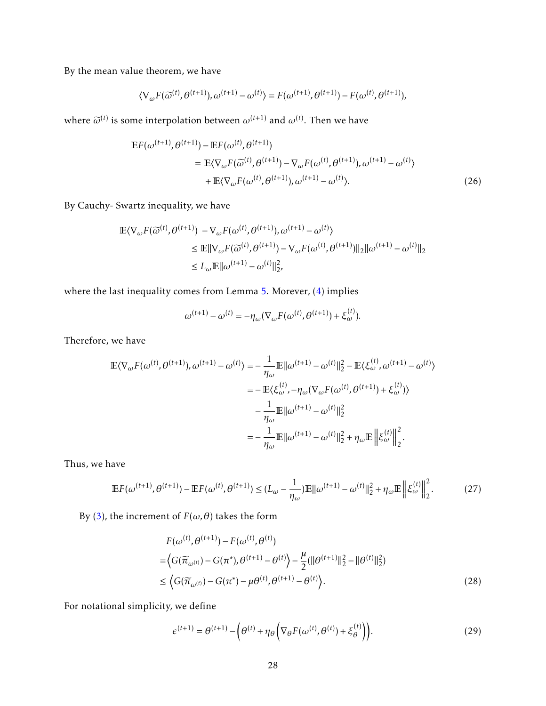By the mean value theorem, we have

$$
\langle \nabla_{\omega} F(\widetilde{\omega}^{(t)}, \theta^{(t+1)}), \omega^{(t+1)} - \omega^{(t)} \rangle = F(\omega^{(t+1)}, \theta^{(t+1)}) - F(\omega^{(t)}, \theta^{(t+1)}),
$$

where  $\widetilde{\omega}^{(t)}$  is some interpolation between  $\omega^{(t+1)}$  and  $\omega^{(t)}$ . Then we have

$$
\mathbb{E}F(\omega^{(t+1)}, \theta^{(t+1)}) - \mathbb{E}F(\omega^{(t)}, \theta^{(t+1)})
$$
  
=  $\mathbb{E}\langle \nabla_{\omega}F(\widetilde{\omega}^{(t)}, \theta^{(t+1)}) - \nabla_{\omega}F(\omega^{(t)}, \theta^{(t+1)}), \omega^{(t+1)} - \omega^{(t)} \rangle$   
+  $\mathbb{E}\langle \nabla_{\omega}F(\omega^{(t)}, \theta^{(t+1)}), \omega^{(t+1)} - \omega^{(t)} \rangle.$  (26)

By Cauchy- Swartz inequality, we have

$$
\mathbb{E}\langle \nabla_{\omega} F(\widetilde{\omega}^{(t)}, \theta^{(t+1)}) - \nabla_{\omega} F(\omega^{(t)}, \theta^{(t+1)}), \omega^{(t+1)} - \omega^{(t)} \rangle
$$
  
\n
$$
\leq \mathbb{E} \|\nabla_{\omega} F(\widetilde{\omega}^{(t)}, \theta^{(t+1)}) - \nabla_{\omega} F(\omega^{(t)}, \theta^{(t+1)})\|_2 \|\omega^{(t+1)} - \omega^{(t)}\|_2
$$
  
\n
$$
\leq L_{\omega} \mathbb{E} \|\omega^{(t+1)} - \omega^{(t)}\|_2^2,
$$

where the last inequality comes from Lemma [5.](#page-25-2) Morever, [\(4\)](#page-8-4) implies

$$
\omega^{(t+1)} - \omega^{(t)} = -\eta_{\omega}(\nabla_{\omega} F(\omega^{(t)}, \theta^{(t+1)}) + \xi_{\omega}^{(t)}).
$$

Therefore, we have

$$
\mathbb{E}\langle\nabla_{\omega}F(\omega^{(t)},\theta^{(t+1)}),\omega^{(t+1)}-\omega^{(t)}\rangle = -\frac{1}{\eta_{\omega}}\mathbb{E}||\omega^{(t+1)}-\omega^{(t)}||_{2}^{2} - \mathbb{E}\langle\xi_{\omega}^{(t)},\omega^{(t+1)}-\omega^{(t)}\rangle
$$
  
\n
$$
= -\mathbb{E}\langle\xi_{\omega}^{(t)},-\eta_{\omega}(\nabla_{\omega}F(\omega^{(t)},\theta^{(t+1)})+\xi_{\omega}^{(t)})\rangle
$$
  
\n
$$
-\frac{1}{\eta_{\omega}}\mathbb{E}||\omega^{(t+1)}-\omega^{(t)}||_{2}^{2}
$$
  
\n
$$
= -\frac{1}{\eta_{\omega}}\mathbb{E}||\omega^{(t+1)}-\omega^{(t)}||_{2}^{2} + \eta_{\omega}\mathbb{E}\left\|\xi_{\omega}^{(t)}\right\|_{2}^{2}.
$$

Thus, we have

$$
\mathbb{E}F(\omega^{(t+1)}, \theta^{(t+1)}) - \mathbb{E}F(\omega^{(t)}, \theta^{(t+1)}) \le (L_{\omega} - \frac{1}{\eta_{\omega}}) \mathbb{E}||\omega^{(t+1)} - \omega^{(t)}||_2^2 + \eta_{\omega} \mathbb{E}\left\|\xi_{\omega}^{(t)}\right\|_2^2. \tag{27}
$$

By [\(3\)](#page-8-3), the increment of  $F(\omega, \theta)$  takes the form

<span id="page-27-2"></span>
$$
F(\omega^{(t)}, \theta^{(t+1)}) - F(\omega^{(t)}, \theta^{(t)})
$$
  
=  $\langle G(\widetilde{\pi}_{\omega^{(t)}}) - G(\pi^*), \theta^{(t+1)} - \theta^{(t)} \rangle - \frac{\mu}{2} (\|\theta^{(t+1)}\|_2^2 - \|\theta^{(t)}\|_2^2)$   
 $\leq \langle G(\widetilde{\pi}_{\omega^{(t)}}) - G(\pi^*) - \mu \theta^{(t)}, \theta^{(t+1)} - \theta^{(t)} \rangle.$  (28)

For notational simplicity, we define

<span id="page-27-1"></span><span id="page-27-0"></span>
$$
\epsilon^{(t+1)} = \theta^{(t+1)} - \left(\theta^{(t)} + \eta_{\theta}\left(\nabla_{\theta}F(\omega^{(t)}, \theta^{(t)}) + \xi_{\theta}^{(t)}\right)\right).
$$
 (29)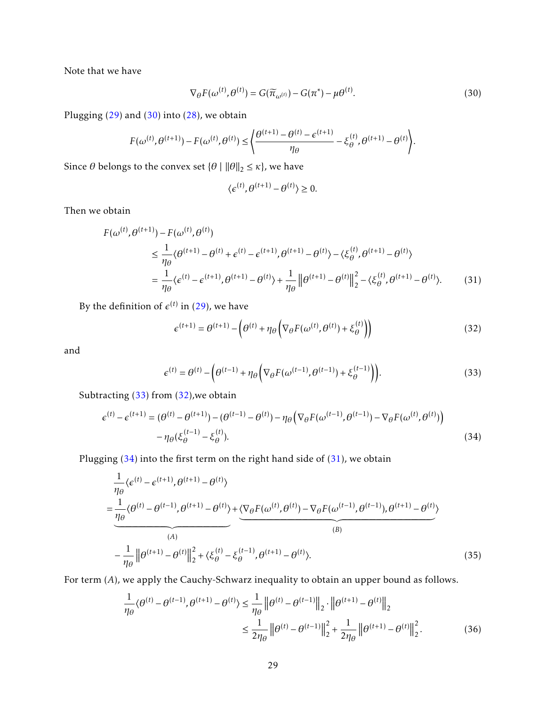Note that we have

$$
\nabla_{\theta} F(\omega^{(t)}, \theta^{(t)}) = G(\widetilde{\pi}_{\omega^{(t)}}) - G(\pi^*) - \mu \theta^{(t)}.
$$
\n(30)

Plugging [\(29\)](#page-27-0) and [\(30\)](#page-28-0) into [\(28\)](#page-27-1), we obtain

$$
F(\omega^{(t)}, \theta^{(t+1)}) - F(\omega^{(t)}, \theta^{(t)}) \le \left\{ \frac{\theta^{(t+1)} - \theta^{(t)} - \epsilon^{(t+1)}}{\eta_{\theta}} - \xi_{\theta}^{(t)}, \theta^{(t+1)} - \theta^{(t)} \right\}.
$$

Since  $\theta$  belongs to the convex set  $\{\theta \mid ||\theta||_2 \leq \kappa\}$ , we have

<span id="page-28-4"></span><span id="page-28-2"></span><span id="page-28-0"></span>
$$
\langle \epsilon^{(t)}, \theta^{(t+1)} - \theta^{(t)} \rangle \ge 0.
$$

Then we obtain

$$
F(\omega^{(t)}, \theta^{(t+1)}) - F(\omega^{(t)}, \theta^{(t)})
$$
  
\n
$$
\leq \frac{1}{\eta_{\theta}} \langle \theta^{(t+1)} - \theta^{(t)} + \epsilon^{(t)} - \epsilon^{(t+1)}, \theta^{(t+1)} - \theta^{(t)} \rangle - \langle \xi_{\theta}^{(t)}, \theta^{(t+1)} - \theta^{(t)} \rangle
$$
  
\n
$$
= \frac{1}{\eta_{\theta}} \langle \epsilon^{(t)} - \epsilon^{(t+1)}, \theta^{(t+1)} - \theta^{(t)} \rangle + \frac{1}{\eta_{\theta}} ||\theta^{(t+1)} - \theta^{(t)}||_2^2 - \langle \xi_{\theta}^{(t)}, \theta^{(t+1)} - \theta^{(t)} \rangle.
$$
 (31)

By the definition of  $\epsilon^{(t)}$  in [\(29\)](#page-27-0), we have

<span id="page-28-1"></span>
$$
\epsilon^{(t+1)} = \theta^{(t+1)} - \left(\theta^{(t)} + \eta_{\theta}\left(\nabla_{\theta}F(\omega^{(t)}, \theta^{(t)}) + \xi_{\theta}^{(t)}\right)\right)
$$
(32)

and

<span id="page-28-3"></span>
$$
\epsilon^{(t)} = \theta^{(t)} - \left(\theta^{(t-1)} + \eta_{\theta}\left(\nabla_{\theta}F(\omega^{(t-1)}, \theta^{(t-1)}) + \xi_{\theta}^{(t-1)}\right)\right).
$$
\n(33)

Subtracting [\(33\)](#page-28-1) from [\(32\)](#page-28-2),we obtain

$$
\epsilon^{(t)} - \epsilon^{(t+1)} = (\theta^{(t)} - \theta^{(t+1)}) - (\theta^{(t-1)} - \theta^{(t)}) - \eta_{\theta} \left( \nabla_{\theta} F(\omega^{(t-1)}, \theta^{(t-1)}) - \nabla_{\theta} F(\omega^{(t)}, \theta^{(t)}) \right) - \eta_{\theta} (\xi_{\theta}^{(t-1)} - \xi_{\theta}^{(t)}).
$$
\n(34)

Plugging  $(34)$  into the first term on the right hand side of  $(31)$ , we obtain

$$
\frac{1}{\eta_{\theta}}\langle \epsilon^{(t)} - \epsilon^{(t+1)}, \theta^{(t+1)} - \theta^{(t)} \rangle
$$
\n
$$
= \underbrace{\frac{1}{\eta_{\theta}}\langle \theta^{(t)} - \theta^{(t-1)}, \theta^{(t+1)} - \theta^{(t)} \rangle}_{(A)} + \underbrace{\langle \nabla_{\theta}F(\omega^{(t)}, \theta^{(t)}) - \nabla_{\theta}F(\omega^{(t-1)}, \theta^{(t-1)}), \theta^{(t+1)} - \theta^{(t)} \rangle}_{(B)}
$$
\n
$$
- \frac{1}{\eta_{\theta}} \left\| \theta^{(t+1)} - \theta^{(t)} \right\|_{2}^{2} + \langle \xi_{\theta}^{(t)} - \xi_{\theta}^{(t-1)}, \theta^{(t+1)} - \theta^{(t)} \rangle. \tag{35}
$$

For term (*A*), we apply the Cauchy-Schwarz inequality to obtain an upper bound as follows.

<span id="page-28-6"></span><span id="page-28-5"></span>
$$
\frac{1}{\eta_{\theta}}\langle\theta^{(t)} - \theta^{(t-1)}, \theta^{(t+1)} - \theta^{(t)}\rangle \le \frac{1}{\eta_{\theta}} \left\|\theta^{(t)} - \theta^{(t-1)}\right\|_{2} \cdot \left\|\theta^{(t+1)} - \theta^{(t)}\right\|_{2}
$$
\n
$$
\le \frac{1}{2\eta_{\theta}} \left\|\theta^{(t)} - \theta^{(t-1)}\right\|_{2}^{2} + \frac{1}{2\eta_{\theta}} \left\|\theta^{(t+1)} - \theta^{(t)}\right\|_{2}^{2}.\tag{36}
$$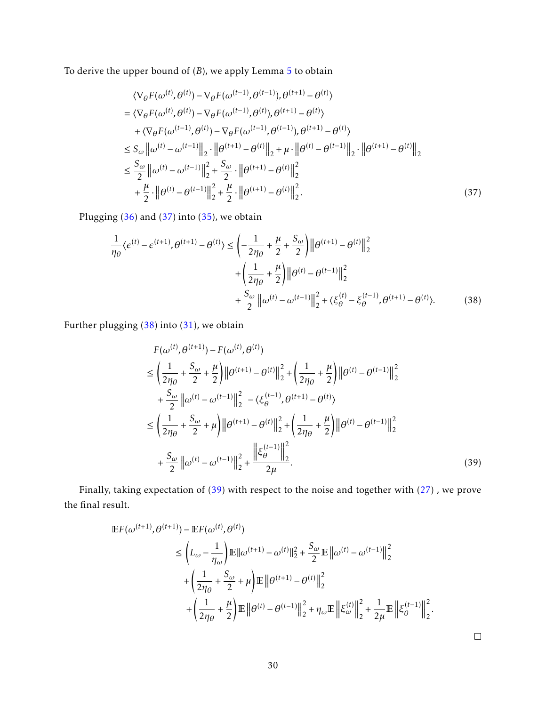To derive the upper bound of (*B*), we apply Lemma [5](#page-25-2) to obtain

<span id="page-29-0"></span>
$$
\langle \nabla_{\theta} F(\omega^{(t)}, \theta^{(t)}) - \nabla_{\theta} F(\omega^{(t-1)}, \theta^{(t-1)}), \theta^{(t+1)} - \theta^{(t)} \rangle
$$
  
\n
$$
= \langle \nabla_{\theta} F(\omega^{(t)}, \theta^{(t)}) - \nabla_{\theta} F(\omega^{(t-1)}, \theta^{(t)}), \theta^{(t+1)} - \theta^{(t)} \rangle
$$
  
\n
$$
+ \langle \nabla_{\theta} F(\omega^{(t-1)}, \theta^{(t)}) - \nabla_{\theta} F(\omega^{(t-1)}, \theta^{(t-1)}), \theta^{(t+1)} - \theta^{(t)} \rangle
$$
  
\n
$$
\leq S_{\omega} \|\omega^{(t)} - \omega^{(t-1)}\|_{2} \cdot \|\theta^{(t+1)} - \theta^{(t)}\|_{2} + \mu \cdot \|\theta^{(t)} - \theta^{(t-1)}\|_{2} \cdot \|\theta^{(t+1)} - \theta^{(t)}\|_{2}
$$
  
\n
$$
\leq \frac{S_{\omega}}{2} \|\omega^{(t)} - \omega^{(t-1)}\|_{2}^{2} + \frac{S_{\omega}}{2} \cdot \|\theta^{(t+1)} - \theta^{(t)}\|_{2}^{2}
$$
  
\n
$$
+ \frac{\mu}{2} \cdot \|\theta^{(t)} - \theta^{(t-1)}\|_{2}^{2} + \frac{\mu}{2} \cdot \|\theta^{(t+1)} - \theta^{(t)}\|_{2}^{2}.
$$
\n(37)

Plugging [\(36\)](#page-28-5) and [\(37\)](#page-29-0) into [\(35\)](#page-28-6), we obtain

$$
\frac{1}{\eta_{\theta}}\langle \epsilon^{(t)} - \epsilon^{(t+1)}, \theta^{(t+1)} - \theta^{(t)} \rangle \le \left( -\frac{1}{2\eta_{\theta}} + \frac{\mu}{2} + \frac{S_{\omega}}{2} \right) \left\| \theta^{(t+1)} - \theta^{(t)} \right\|_{2}^{2} + \left( \frac{1}{2\eta_{\theta}} + \frac{\mu}{2} \right) \left\| \theta^{(t)} - \theta^{(t-1)} \right\|_{2}^{2} + \frac{S_{\omega}}{2} \left\| \omega^{(t)} - \omega^{(t-1)} \right\|_{2}^{2} + \langle \xi_{\theta}^{(t)} - \xi_{\theta}^{(t-1)}, \theta^{(t+1)} - \theta^{(t)} \rangle. \tag{38}
$$

Further plugging [\(38\)](#page-29-1) into [\(31\)](#page-28-4), we obtain

<span id="page-29-2"></span><span id="page-29-1"></span>
$$
F(\omega^{(t)}, \theta^{(t+1)}) - F(\omega^{(t)}, \theta^{(t)})
$$
\n
$$
\leq \left(\frac{1}{2\eta_{\theta}} + \frac{S_{\omega}}{2} + \frac{\mu}{2}\right) \left\|\theta^{(t+1)} - \theta^{(t)}\right\|_{2}^{2} + \left(\frac{1}{2\eta_{\theta}} + \frac{\mu}{2}\right) \left\|\theta^{(t)} - \theta^{(t-1)}\right\|_{2}^{2}
$$
\n
$$
+ \frac{S_{\omega}}{2} \left\|\omega^{(t)} - \omega^{(t-1)}\right\|_{2}^{2} - \langle \xi_{\theta}^{(t-1)}, \theta^{(t+1)} - \theta^{(t)} \rangle
$$
\n
$$
\leq \left(\frac{1}{2\eta_{\theta}} + \frac{S_{\omega}}{2} + \mu\right) \left\|\theta^{(t+1)} - \theta^{(t)}\right\|_{2}^{2} + \left(\frac{1}{2\eta_{\theta}} + \frac{\mu}{2}\right) \left\|\theta^{(t)} - \theta^{(t-1)}\right\|_{2}^{2}
$$
\n
$$
+ \frac{S_{\omega}}{2} \left\|\omega^{(t)} - \omega^{(t-1)}\right\|_{2}^{2} + \frac{\left\|\xi_{\theta}^{(t-1)}\right\|_{2}^{2}}{2\mu}.
$$
\n(39)

Finally, taking expectation of [\(39\)](#page-29-2) with respect to the noise and together with [\(27\)](#page-27-2) , we prove the final result.

$$
\begin{split} \mathbb{E}F(\omega^{(t+1)}, \theta^{(t+1)}) - \mathbb{E}F(\omega^{(t)}, \theta^{(t)}) \\ &\leq \left( L_{\omega} - \frac{1}{\eta_{\omega}} \right) \mathbb{E}||\omega^{(t+1)} - \omega^{(t)}||_{2}^{2} + \frac{S_{\omega}}{2} \mathbb{E}||\omega^{(t)} - \omega^{(t-1)}||_{2}^{2} \\ &+ \left( \frac{1}{2\eta_{\theta}} + \frac{S_{\omega}}{2} + \mu \right) \mathbb{E}||\theta^{(t+1)} - \theta^{(t)}||_{2}^{2} \\ &+ \left( \frac{1}{2\eta_{\theta}} + \frac{\mu}{2} \right) \mathbb{E}||\theta^{(t)} - \theta^{(t-1)}||_{2}^{2} + \eta_{\omega} \mathbb{E}||\xi_{\omega}^{(t)}||_{2}^{2} + \frac{1}{2\mu} \mathbb{E}||\xi_{\theta}^{(t-1)}||_{2}^{2} .\end{split}
$$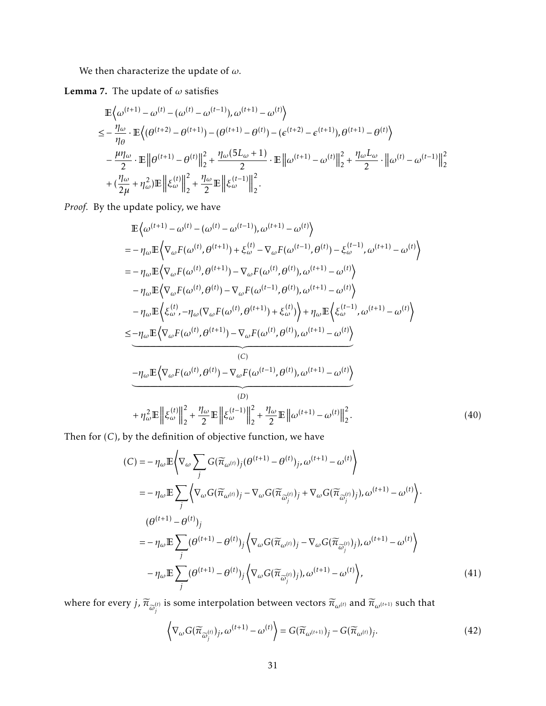We then characterize the update of  $\omega.$ 

<span id="page-30-3"></span>Lemma 7. The update of *ω* satisfies

$$
\mathbb{E}\left\{\omega^{(t+1)} - \omega^{(t)} - (\omega^{(t)} - \omega^{(t-1)}), \omega^{(t+1)} - \omega^{(t)}\right\}
$$
\n
$$
\leq -\frac{\eta_{\omega}}{\eta_{\theta}} \cdot \mathbb{E}\left\{(\theta^{(t+2)} - \theta^{(t+1)}) - (\theta^{(t+1)} - \theta^{(t)}) - (\epsilon^{(t+2)} - \epsilon^{(t+1)}), \theta^{(t+1)} - \theta^{(t)}\right\}
$$
\n
$$
-\frac{\mu\eta_{\omega}}{2} \cdot \mathbb{E}\left\|\theta^{(t+1)} - \theta^{(t)}\right\|_{2}^{2} + \frac{\eta_{\omega}(5L_{\omega} + 1)}{2} \cdot \mathbb{E}\left\|\omega^{(t+1)} - \omega^{(t)}\right\|_{2}^{2} + \frac{\eta_{\omega}L_{\omega}}{2} \cdot \left\|\omega^{(t)} - \omega^{(t-1)}\right\|_{2}^{2}
$$
\n
$$
+\left(\frac{\eta_{\omega}}{2\mu} + \eta_{\omega}^{2}\right) \mathbb{E}\left\|\xi_{\omega}^{(t)}\right\|_{2}^{2} + \frac{\eta_{\omega}}{2} \mathbb{E}\left\|\xi_{\omega}^{(t-1)}\right\|_{2}^{2}.
$$

*Proof.* By the update policy, we have

$$
\mathbb{E}\left\langle \omega^{(t+1)} - \omega^{(t)} - (\omega^{(t)} - \omega^{(t-1)}), \omega^{(t+1)} - \omega^{(t)} \right\rangle \n= -\eta_{\omega} \mathbb{E}\left\langle \nabla_{\omega} F(\omega^{(t)}, \theta^{(t+1)}) + \xi_{\omega}^{(t)} - \nabla_{\omega} F(\omega^{(t-1)}, \theta^{(t)}) - \xi_{\omega}^{(t-1)}, \omega^{(t+1)} - \omega^{(t)} \right\rangle \n= -\eta_{\omega} \mathbb{E}\left\langle \nabla_{\omega} F(\omega^{(t)}, \theta^{(t+1)}) - \nabla_{\omega} F(\omega^{(t)}, \theta^{(t)}), \omega^{(t+1)} - \omega^{(t)} \right\rangle \n- \eta_{\omega} \mathbb{E}\left\langle \nabla_{\omega} F(\omega^{(t)}, \theta^{(t)}) - \nabla_{\omega} F(\omega^{(t-1)}, \theta^{(t)}), \omega^{(t+1)} - \omega^{(t)} \right\rangle \n- \eta_{\omega} \mathbb{E}\left\langle \xi_{\omega}^{(t)}, -\eta_{\omega} (\nabla_{\omega} F(\omega^{(t)}, \theta^{(t+1)}) + \xi_{\omega}^{(t)}) \right\rangle + \eta_{\omega} \mathbb{E}\left\langle \xi_{\omega}^{(t-1)}, \omega^{(t+1)} - \omega^{(t)} \right\rangle \n\leq -\eta_{\omega} \mathbb{E}\left\langle \nabla_{\omega} F(\omega^{(t)}, \theta^{(t+1)}) - \nabla_{\omega} F(\omega^{(t)}, \theta^{(t)}), \omega^{(t+1)} - \omega^{(t)} \right\rangle \n(C) \n- \eta_{\omega} \mathbb{E}\left\langle \nabla_{\omega} F(\omega^{(t)}, \theta^{(t)}) - \nabla_{\omega} F(\omega^{(t-1)}, \theta^{(t)}), \omega^{(t+1)} - \omega^{(t)} \right\rangle \n+ \eta_{\omega}^{2} \mathbb{E}\left\| \xi_{\omega}^{(t)} \right\|_{2}^{2} + \frac{\eta_{\omega}}{2} \mathbb{E}\left\| \xi_{\omega}^{(t-1)} \right\|_{2}^{2} + \frac{\eta_{\omega}}{2} \mathbb{E}\left\| \omega^{(t+1)} - \
$$

Then for (*C*), by the definition of objective function, we have

<span id="page-30-2"></span>
$$
(C) = -\eta_{\omega} \mathbb{E} \left\langle \nabla_{\omega} \sum_{j} G(\widetilde{\pi}_{\omega^{(t)}})_{j} (\theta^{(t+1)} - \theta^{(t)})_{j}, \omega^{(t+1)} - \omega^{(t)} \right\rangle
$$
  
\n
$$
= -\eta_{\omega} \mathbb{E} \sum_{j} \left\langle \nabla_{\omega} G(\widetilde{\pi}_{\omega^{(t)}})_{j} - \nabla_{\omega} G(\widetilde{\pi}_{\widetilde{\omega}_{j}^{(t)}})_{j} + \nabla_{\omega} G(\widetilde{\pi}_{\widetilde{\omega}_{j}^{(t)}})_{j}), \omega^{(t+1)} - \omega^{(t)} \right\rangle.
$$
  
\n
$$
(\theta^{(t+1)} - \theta^{(t)})_{j}
$$
  
\n
$$
= -\eta_{\omega} \mathbb{E} \sum_{j} (\theta^{(t+1)} - \theta^{(t)})_{j} \left\langle \nabla_{\omega} G(\widetilde{\pi}_{\omega^{(t)}})_{j} - \nabla_{\omega} G(\widetilde{\pi}_{\widetilde{\omega}_{j}^{(t)}})_{j}), \omega^{(t+1)} - \omega^{(t)} \right\rangle
$$
  
\n
$$
-\eta_{\omega} \mathbb{E} \sum_{j} (\theta^{(t+1)} - \theta^{(t)})_{j} \left\langle \nabla_{\omega} G(\widetilde{\pi}_{\widetilde{\omega}_{j}^{(t)}})_{j}), \omega^{(t+1)} - \omega^{(t)} \right\rangle,
$$
  
\n(41)

where for every  $j$ ,  $\widetilde{\pi}_{\widetilde{\omega}^{(t)}_j}$  is some interpolation between vectors  $\widetilde{\pi}_{\omega^{(t)}}$  and  $\widetilde{\pi}_{\omega^{(t+1)}}$  such that

<span id="page-30-1"></span><span id="page-30-0"></span>
$$
\left\langle \nabla_{\omega} G(\widetilde{\pi}_{\widetilde{\omega}_{j}^{(t)}})_{j}, \omega^{(t+1)} - \omega^{(t)} \right\rangle = G(\widetilde{\pi}_{\omega^{(t+1)}})_{j} - G(\widetilde{\pi}_{\omega^{(t)}})_{j}.
$$
\n(42)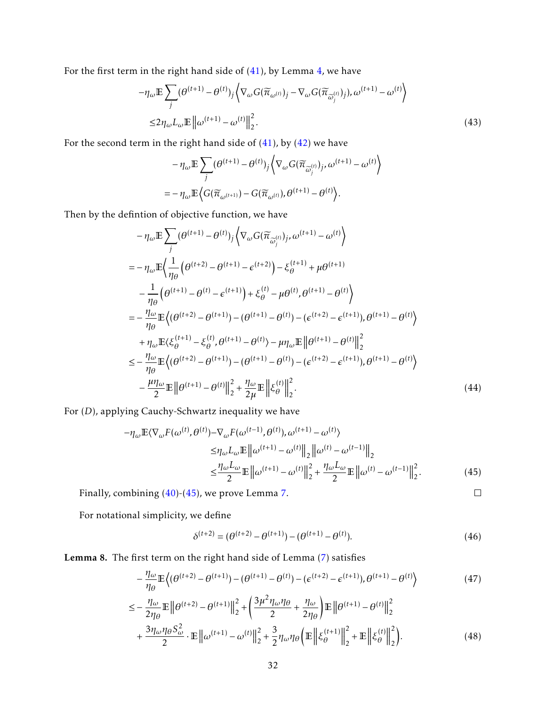For the first term in the right hand side of [\(41\)](#page-30-0), by Lemma [4,](#page-24-2) we have

$$
-\eta_{\omega} \mathbb{E} \sum_{j} (\theta^{(t+1)} - \theta^{(t)})_{j} \left\langle \nabla_{\omega} G(\widetilde{\pi}_{\omega^{(t)}})_{j} - \nabla_{\omega} G(\widetilde{\pi}_{\widetilde{\omega}_{j}^{(t)}})_{j}), \omega^{(t+1)} - \omega^{(t)} \right\rangle
$$
  

$$
\leq 2\eta_{\omega} L_{\omega} \mathbb{E} \| \omega^{(t+1)} - \omega^{(t)} \|_{2}^{2}.
$$
 (43)

For the second term in the right hand side of  $(41)$ , by  $(42)$  we have

$$
- \eta_{\omega} \mathbb{E} \sum_{j} (\theta^{(t+1)} - \theta^{(t)})_{j} \langle \nabla_{\omega} G(\widetilde{\pi}_{\widetilde{\omega}_{j}^{(t)}})_{j}, \omega^{(t+1)} - \omega^{(t)} \rangle
$$
  
= 
$$
- \eta_{\omega} \mathbb{E} \langle G(\widetilde{\pi}_{\omega^{(t+1)}}) - G(\widetilde{\pi}_{\omega^{(t)}}), \theta^{(t+1)} - \theta^{(t)} \rangle.
$$

Then by the defintion of objective function, we have

$$
- \eta_{\omega} \mathbb{E} \sum_{j} (\theta^{(t+1)} - \theta^{(t)})_{j} \left\langle \nabla_{\omega} G(\widetilde{\pi}_{\widetilde{\omega}_{j}^{(t)}})_{j}, \omega^{(t+1)} - \omega^{(t)} \right\rangle
$$
  
\n
$$
= - \eta_{\omega} \mathbb{E} \left\langle \frac{1}{\eta_{\theta}} \left( \theta^{(t+2)} - \theta^{(t+1)} - \epsilon^{(t+2)} \right) - \xi_{\theta}^{(t+1)} + \mu \theta^{(t+1)}
$$
  
\n
$$
- \frac{1}{\eta_{\theta}} \left( \theta^{(t+1)} - \theta^{(t)} - \epsilon^{(t+1)} \right) + \xi_{\theta}^{(t)} - \mu \theta^{(t)}, \theta^{(t+1)} - \theta^{(t)} \right\rangle
$$
  
\n
$$
= - \frac{\eta_{\omega}}{\eta_{\theta}} \mathbb{E} \left\langle (\theta^{(t+2)} - \theta^{(t+1)}) - (\theta^{(t+1)} - \theta^{(t)}) - (\epsilon^{(t+2)} - \epsilon^{(t+1)}), \theta^{(t+1)} - \theta^{(t)} \right\rangle
$$
  
\n
$$
+ \eta_{\omega} \mathbb{E} \langle \xi_{\theta}^{(t+1)} - \xi_{\theta}^{(t)}, \theta^{(t+1)} - \theta^{(t)} \rangle - \mu \eta_{\omega} \mathbb{E} \left\| \theta^{(t+1)} - \theta^{(t)} \right\|_{2}^{2}
$$
  
\n
$$
\leq - \frac{\eta_{\omega}}{\eta_{\theta}} \mathbb{E} \left\langle (\theta^{(t+2)} - \theta^{(t+1)}) - (\theta^{(t+1)} - \theta^{(t)}) - (\epsilon^{(t+2)} - \epsilon^{(t+1)}), \theta^{(t+1)} - \theta^{(t)} \right\rangle
$$
  
\n
$$
- \frac{\mu \eta_{\omega}}{2} \mathbb{E} \left\| \theta^{(t+1)} - \theta^{(t)} \right\|_{2}^{2} + \frac{\eta_{\omega}}{2 \mu} \mathbb{E} \left\| \xi_{\theta}^{(t)} \right\|_{2}^{2}.
$$
 (44)

For (*D*), applying Cauchy-Schwartz inequality we have

$$
-\eta_{\omega}\mathbb{E}\langle\nabla_{\omega}F(\omega^{(t)},\theta^{(t)})-\nabla_{\omega}F(\omega^{(t-1)},\theta^{(t)}),\omega^{(t+1)}-\omega^{(t)}\rangle
$$
  
\n
$$
\leq\eta_{\omega}L_{\omega}\mathbb{E}\left\|\omega^{(t+1)}-\omega^{(t)}\right\|_{2}\left\|\omega^{(t)}-\omega^{(t-1)}\right\|_{2}
$$
  
\n
$$
\leq\frac{\eta_{\omega}L_{\omega}}{2}\mathbb{E}\left\|\omega^{(t+1)}-\omega^{(t)}\right\|_{2}^{2}+\frac{\eta_{\omega}L_{\omega}}{2}\mathbb{E}\left\|\omega^{(t)}-\omega^{(t-1)}\right\|_{2}^{2}.
$$
 (45)

Finally, combining [\(40\)](#page-30-2)-[\(45\)](#page-31-0), we prove Lemma [7.](#page-30-3)

<span id="page-31-3"></span><span id="page-31-2"></span>

<span id="page-31-1"></span><span id="page-31-0"></span> $\Box$ 

For notational simplicity, we define

$$
\delta^{(t+2)} = (\theta^{(t+2)} - \theta^{(t+1)}) - (\theta^{(t+1)} - \theta^{(t)}).
$$
\n(46)

<span id="page-31-4"></span>Lemma 8. The first term on the right hand side of Lemma [\(7\)](#page-30-3) satisfies

$$
-\frac{\eta_{\omega}}{\eta_{\theta}} \mathbb{E}\left\{(\theta^{(t+2)} - \theta^{(t+1)}) - (\theta^{(t+1)} - \theta^{(t)}) - (\epsilon^{(t+2)} - \epsilon^{(t+1)}), \theta^{(t+1)} - \theta^{(t)}\right\}
$$
(47)

$$
\leq -\frac{\eta_{\omega}}{2\eta_{\theta}} \mathbb{E} \left\| \theta^{(t+2)} - \theta^{(t+1)} \right\|_{2}^{2} + \left( \frac{3\mu^{2} \eta_{\omega} \eta_{\theta}}{2} + \frac{\eta_{\omega}}{2\eta_{\theta}} \right) \mathbb{E} \left\| \theta^{(t+1)} - \theta^{(t)} \right\|_{2}^{2} + \frac{3\eta_{\omega} \eta_{\theta} S_{\omega}^{2}}{2} \cdot \mathbb{E} \left\| \omega^{(t+1)} - \omega^{(t)} \right\|_{2}^{2} + \frac{3}{2} \eta_{\omega} \eta_{\theta} \left( \mathbb{E} \left\| \xi_{\theta}^{(t+1)} \right\|_{2}^{2} + \mathbb{E} \left\| \xi_{\theta}^{(t)} \right\|_{2}^{2} \right). \tag{48}
$$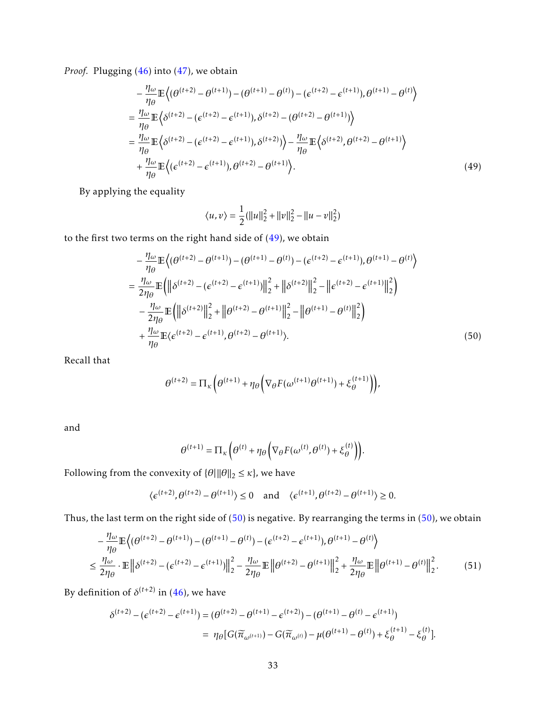*Proof.* Plugging [\(46\)](#page-31-1) into [\(47\)](#page-31-2), we obtain

$$
-\frac{\eta_{\omega}}{\eta_{\theta}} \mathbb{E}\left\{ (\theta^{(t+2)} - \theta^{(t+1)}) - (\theta^{(t+1)} - \theta^{(t)}) - (\epsilon^{(t+2)} - \epsilon^{(t+1)}), \theta^{(t+1)} - \theta^{(t)} \right\}
$$
  
=  $\frac{\eta_{\omega}}{\eta_{\theta}} \mathbb{E}\left\{ \delta^{(t+2)} - (\epsilon^{(t+2)} - \epsilon^{(t+1)}), \delta^{(t+2)} - (\theta^{(t+2)} - \theta^{(t+1)}) \right\}$   
=  $\frac{\eta_{\omega}}{\eta_{\theta}} \mathbb{E}\left\{ \delta^{(t+2)} - (\epsilon^{(t+2)} - \epsilon^{(t+1)}), \delta^{(t+2)} \right\} - \frac{\eta_{\omega}}{\eta_{\theta}} \mathbb{E}\left\{ \delta^{(t+2)}, \theta^{(t+2)} - \theta^{(t+1)} \right\}$   
+  $\frac{\eta_{\omega}}{\eta_{\theta}} \mathbb{E}\left\{ (\epsilon^{(t+2)} - \epsilon^{(t+1)}), \theta^{(t+2)} - \theta^{(t+1)} \right\}.$  (49)

By applying the equality

<span id="page-32-1"></span><span id="page-32-0"></span>
$$
\langle u, v \rangle = \frac{1}{2} (||u||_2^2 + ||v||_2^2 - ||u - v||_2^2)
$$

to the first two terms on the right hand side of [\(49\)](#page-32-0), we obtain

$$
-\frac{\eta_{\omega}}{\eta_{\theta}} \mathbb{E}\left\langle (\theta^{(t+2)} - \theta^{(t+1)}) - (\theta^{(t+1)} - \theta^{(t)}) - (\epsilon^{(t+2)} - \epsilon^{(t+1)}), \theta^{(t+1)} - \theta^{(t)} \right\rangle
$$
  
\n
$$
= \frac{\eta_{\omega}}{2\eta_{\theta}} \mathbb{E}\left( \left\| \delta^{(t+2)} - (\epsilon^{(t+2)} - \epsilon^{(t+1)}) \right\|_{2}^{2} + \left\| \delta^{(t+2)} \right\|_{2}^{2} - \left\| \epsilon^{(t+2)} - \epsilon^{(t+1)} \right\|_{2}^{2} \right)
$$
  
\n
$$
-\frac{\eta_{\omega}}{2\eta_{\theta}} \mathbb{E}\left( \left\| \delta^{(t+2)} \right\|_{2}^{2} + \left\| \theta^{(t+2)} - \theta^{(t+1)} \right\|_{2}^{2} - \left\| \theta^{(t+1)} - \theta^{(t)} \right\|_{2}^{2} \right)
$$
  
\n
$$
+\frac{\eta_{\omega}}{\eta_{\theta}} \mathbb{E}\langle \epsilon^{(t+2)} - \epsilon^{(t+1)}, \theta^{(t+2)} - \theta^{(t+1)} \rangle.
$$
 (50)

Recall that

$$
\theta^{(t+2)} = \Pi_{\kappa} \left( \theta^{(t+1)} + \eta_{\theta} \left( \nabla_{\theta} F(\omega^{(t+1)} \theta^{(t+1)}) + \xi_{\theta}^{(t+1)} \right) \right),
$$

and

<span id="page-32-2"></span>
$$
\theta^{(t+1)} = \Pi_{\kappa} \left( \theta^{(t)} + \eta_{\theta} \left( \nabla_{\theta} F(\omega^{(t)}, \theta^{(t)}) + \xi_{\theta}^{(t)} \right) \right).
$$

Following from the convexity of  $\{\theta | \|\theta\|_2 \leq \kappa\}$ , we have

$$
\langle \epsilon^{(t+2)}, \theta^{(t+2)} - \theta^{(t+1)} \rangle \le 0 \quad \text{and} \quad \langle \epsilon^{(t+1)}, \theta^{(t+2)} - \theta^{(t+1)} \rangle \ge 0.
$$

Thus, the last term on the right side of  $(50)$  is negative. By rearranging the terms in  $(50)$ , we obtain

$$
-\frac{\eta_{\omega}}{\eta_{\theta}} \mathbb{E}\left\{(\theta^{(t+2)} - \theta^{(t+1)}) - (\theta^{(t+1)} - \theta^{(t)}) - (\epsilon^{(t+2)} - \epsilon^{(t+1)}), \theta^{(t+1)} - \theta^{(t)}\right\}
$$
  

$$
\leq \frac{\eta_{\omega}}{2\eta_{\theta}} \cdot \mathbb{E}\left\|\delta^{(t+2)} - (\epsilon^{(t+2)} - \epsilon^{(t+1)})\right\|_{2}^{2} - \frac{\eta_{\omega}}{2\eta_{\theta}} \mathbb{E}\left\|\theta^{(t+2)} - \theta^{(t+1)}\right\|_{2}^{2} + \frac{\eta_{\omega}}{2\eta_{\theta}} \mathbb{E}\left\|\theta^{(t+1)} - \theta^{(t)}\right\|_{2}^{2}.
$$
 (51)

By definition of  $\delta^{(t+2)}$  in [\(46\)](#page-31-1), we have

$$
\delta^{(t+2)} - (\epsilon^{(t+2)} - \epsilon^{(t+1)}) = (\theta^{(t+2)} - \theta^{(t+1)} - \epsilon^{(t+2)}) - (\theta^{(t+1)} - \theta^{(t)} - \epsilon^{(t+1)})
$$
  
= 
$$
\eta_{\theta} [G(\widetilde{\pi}_{\omega^{(t+1)}}) - G(\widetilde{\pi}_{\omega^{(t)}}) - \mu(\theta^{(t+1)} - \theta^{(t)}) + \xi_{\theta}^{(t+1)} - \xi_{\theta}^{(t)}].
$$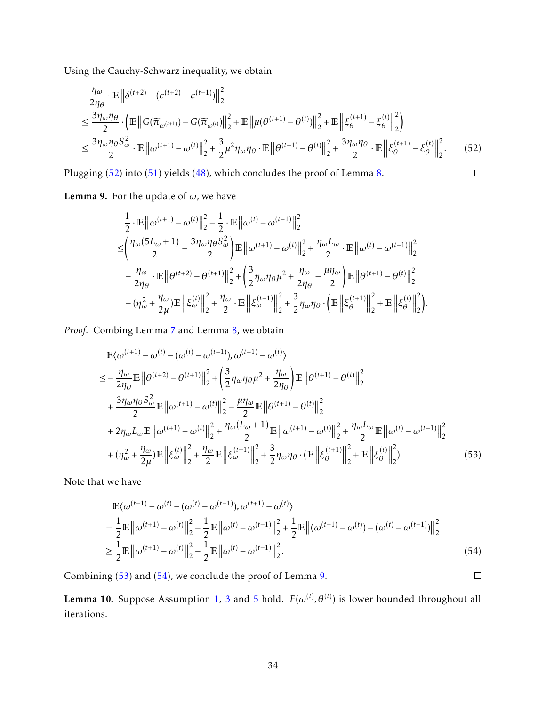Using the Cauchy-Schwarz inequality, we obtain

$$
\frac{\eta_{\omega}}{2\eta_{\theta}} \cdot \mathbb{E} \| \delta^{(t+2)} - (\epsilon^{(t+2)} - \epsilon^{(t+1)}) \|_{2}^{2}
$$
\n
$$
\leq \frac{3\eta_{\omega}\eta_{\theta}}{2} \cdot \left( \mathbb{E} \| G(\overline{\pi}_{\omega^{(t+1)}}) - G(\overline{\pi}_{\omega^{(t)}}) \|_{2}^{2} + \mathbb{E} \| \mu(\theta^{(t+1)} - \theta^{(t)}) \|_{2}^{2} + \mathbb{E} \| \xi_{\theta}^{(t+1)} - \xi_{\theta}^{(t)} \|_{2}^{2} \right)
$$
\n
$$
\leq \frac{3\eta_{\omega}\eta_{\theta}S_{\omega}^{2}}{2} \cdot \mathbb{E} \| \omega^{(t+1)} - \omega^{(t)} \|_{2}^{2} + \frac{3}{2}\mu^{2}\eta_{\omega}\eta_{\theta} \cdot \mathbb{E} \| \theta^{(t+1)} - \theta^{(t)} \|_{2}^{2} + \frac{3\eta_{\omega}\eta_{\theta}}{2} \cdot \mathbb{E} \| \xi_{\theta}^{(t+1)} - \xi_{\theta}^{(t)} \|_{2}^{2}.
$$
\n(52)

Plugging [\(52\)](#page-33-1) into [\(51\)](#page-32-2) yields [\(48\)](#page-31-3), which concludes the proof of Lemma [8.](#page-31-4)

<span id="page-33-1"></span> $\Box$ 

<span id="page-33-4"></span>**Lemma 9.** For the update of  $\omega$ , we have

$$
\begin{split} &\frac{1}{2}\cdot\mathbb{E}\left\|\omega^{(t+1)}-\omega^{(t)}\right\|^{2}_{2}-\frac{1}{2}\cdot\mathbb{E}\left\|\omega^{(t)}-\omega^{(t-1)}\right\|^{2}_{2}\\ \leq & \left(\frac{\eta_{\omega}(5L_{\omega}+1)}{2}+\frac{3\eta_{\omega}\eta_{\theta}S_{\omega}^{2}}{2}\right)\mathbb{E}\left\|\omega^{(t+1)}-\omega^{(t)}\right\|^{2}_{2}+\frac{\eta_{\omega}L_{\omega}}{2}\cdot\mathbb{E}\left\|\omega^{(t)}-\omega^{(t-1)}\right\|^{2}_{2}\\ &-\frac{\eta_{\omega}}{2\eta_{\theta}}\cdot\mathbb{E}\left\|\theta^{(t+2)}-\theta^{(t+1)}\right\|^{2}_{2}+\left(\frac{3}{2}\eta_{\omega}\eta_{\theta}\mu^{2}+\frac{\eta_{\omega}}{2\eta_{\theta}}-\frac{\mu\eta_{\omega}}{2}\right)\mathbb{E}\left\|\theta^{(t+1)}-\theta^{(t)}\right\|^{2}_{2}\\ &+(\eta_{\omega}^{2}+\frac{\eta_{\omega}}{2\mu})\mathbb{E}\left\|\xi^{(t)}_{\omega}\right\|^{2}_{2}+\frac{\eta_{\omega}}{2}\cdot\mathbb{E}\left\|\xi^{(t-1)}_{\omega}\right\|^{2}_{2}+\frac{3}{2}\eta_{\omega}\eta_{\theta}\cdot\left(\mathbb{E}\left\|\xi^{(t+1)}_{\theta}\right\|^{2}_{2}+\mathbb{E}\left\|\xi^{(t)}_{\theta}\right\|^{2}_{2}\right). \end{split}
$$

*Proof.* Combing Lemma [7](#page-30-3) and Lemma [8,](#page-31-4) we obtain

$$
\mathbb{E}\langle\omega^{(t+1)}-\omega^{(t)}-(\omega^{(t)}-\omega^{(t-1)}),\omega^{(t+1)}-\omega^{(t)}\rangle \n= -\frac{\eta_{\omega}}{2\eta_{\theta}}\mathbb{E}\left\|\theta^{(t+2)}-\theta^{(t+1)}\right\|_{2}^{2} + \left(\frac{3}{2}\eta_{\omega}\eta_{\theta}\mu^{2}+\frac{\eta_{\omega}}{2\eta_{\theta}}\right)\mathbb{E}\left\|\theta^{(t+1)}-\theta^{(t)}\right\|_{2}^{2} \n+ \frac{3\eta_{\omega}\eta_{\theta}S_{\omega}^{2}}{2}\mathbb{E}\left\|\omega^{(t+1)}-\omega^{(t)}\right\|_{2}^{2} - \frac{\mu\eta_{\omega}}{2}\mathbb{E}\left\|\theta^{(t+1)}-\theta^{(t)}\right\|_{2}^{2} \n+ 2\eta_{\omega}L_{\omega}\mathbb{E}\left\|\omega^{(t+1)}-\omega^{(t)}\right\|_{2}^{2} + \frac{\eta_{\omega}(L_{\omega}+1)}{2}\mathbb{E}\left\|\omega^{(t+1)}-\omega^{(t)}\right\|_{2}^{2} + \frac{\eta_{\omega}L_{\omega}}{2}\mathbb{E}\left\|\omega^{(t)}-\omega^{(t-1)}\right\|_{2}^{2} \n+ (\eta_{\omega}^{2}+\frac{\eta_{\omega}}{2\mu})\mathbb{E}\left\|\xi^{(t)}\right\|_{2}^{2} + \frac{\eta_{\omega}}{2}\mathbb{E}\left\|\xi^{(t-1)}\right\|_{2}^{2} + \frac{3}{2}\eta_{\omega}\eta_{\theta} \cdot (\mathbb{E}\left\|\xi^{(t+1)}\right\|_{2}^{2} + \mathbb{E}\left\|\xi^{(t)}\right\|_{2}^{2}).
$$
\n(53)

Note that we have

$$
\mathbb{E}\langle\omega^{(t+1)} - \omega^{(t)} - (\omega^{(t)} - \omega^{(t-1)}), \omega^{(t+1)} - \omega^{(t)}\rangle
$$
\n
$$
= \frac{1}{2}\mathbb{E}\left\|\omega^{(t+1)} - \omega^{(t)}\right\|_{2}^{2} - \frac{1}{2}\mathbb{E}\left\|\omega^{(t)} - \omega^{(t-1)}\right\|_{2}^{2} + \frac{1}{2}\mathbb{E}\left\|(\omega^{(t+1)} - \omega^{(t)}) - (\omega^{(t)} - \omega^{(t-1)})\right\|_{2}^{2}
$$
\n
$$
\geq \frac{1}{2}\mathbb{E}\left\|\omega^{(t+1)} - \omega^{(t)}\right\|_{2}^{2} - \frac{1}{2}\mathbb{E}\left\|\omega^{(t)} - \omega^{(t-1)}\right\|_{2}^{2}.\tag{54}
$$

Combining [\(53\)](#page-33-2) and [\(54\)](#page-33-3), we conclude the proof of Lemma [9.](#page-33-4)

<span id="page-33-3"></span><span id="page-33-2"></span> $\Box$ 

<span id="page-33-0"></span>Lemma 10. Suppose Assumption [1,](#page-4-0) [3](#page-6-0) and [5](#page-8-2) hold.  $F(\omega^{(t)}, \theta^{(t)})$  is lower bounded throughout all iterations.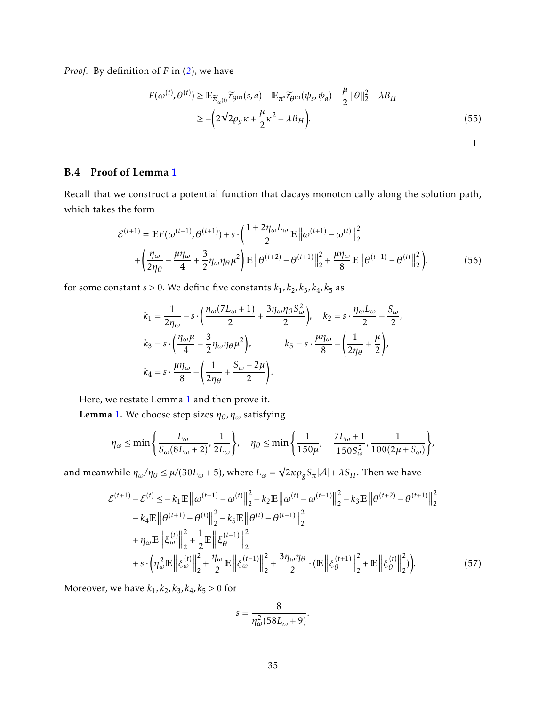*Proof.* By definition of *F* in [\(2\)](#page-8-0), we have

$$
F(\omega^{(t)}, \theta^{(t)}) \ge \mathbb{E}_{\widetilde{\pi}_{\omega^{(t)}}} \widetilde{r}_{\theta^{(t)}}(s, a) - \mathbb{E}_{\pi^*} \widetilde{r}_{\theta^{(t)}}(\psi_s, \psi_a) - \frac{\mu}{2} ||\theta||_2^2 - \lambda B_H
$$
  
 
$$
\ge -\left(2\sqrt{2}\rho_g \kappa + \frac{\mu}{2}\kappa^2 + \lambda B_H\right). \tag{55}
$$

<span id="page-34-1"></span> $\Box$ 

#### <span id="page-34-0"></span>B.4 Proof of Lemma [1](#page-10-0)

Recall that we construct a potential function that dacays monotonically along the solution path, which takes the form

$$
\mathcal{E}^{(t+1)} = \mathbb{E}F(\omega^{(t+1)}, \theta^{(t+1)}) + s \cdot \left(\frac{1 + 2\eta_{\omega}L_{\omega}}{2}\mathbb{E}\left\|\omega^{(t+1)} - \omega^{(t)}\right\|_{2}^{2} + \left(\frac{\eta_{\omega}}{2\eta_{\theta}} - \frac{\mu\eta_{\omega}}{4} + \frac{3}{2}\eta_{\omega}\eta_{\theta}\mu^{2}\right)\mathbb{E}\left\|\theta^{(t+2)} - \theta^{(t+1)}\right\|_{2}^{2} + \frac{\mu\eta_{\omega}}{8}\mathbb{E}\left\|\theta^{(t+1)} - \theta^{(t)}\right\|_{2}^{2}\right).
$$
(56)

for some constant *s* > 0*.* We define five constants  $k_1$ ,  $k_2$ ,  $k_3$ ,  $k_4$ ,  $k_5$  as

$$
k_1 = \frac{1}{2\eta_\omega} - s \cdot \left(\frac{\eta_\omega (7L_\omega + 1)}{2} + \frac{3\eta_\omega \eta_\theta S_\omega^2}{2}\right), \quad k_2 = s \cdot \frac{\eta_\omega L_\omega}{2} - \frac{S_\omega}{2},
$$
  
\n
$$
k_3 = s \cdot \left(\frac{\eta_\omega \mu}{4} - \frac{3}{2} \eta_\omega \eta_\theta \mu^2\right), \quad k_5 = s \cdot \frac{\mu \eta_\omega}{8} - \left(\frac{1}{2\eta_\theta} + \frac{\mu}{2}\right),
$$
  
\n
$$
k_4 = s \cdot \frac{\mu \eta_\omega}{8} - \left(\frac{1}{2\eta_\theta} + \frac{S_\omega + 2\mu}{2}\right).
$$

Here, we restate Lemma [1](#page-10-0) and then prove it.

**Lemma [1.](#page-10-0)** We choose step sizes  $\eta_{\theta}$ ,  $\eta_{\omega}$  satisfying

$$
\eta_{\omega} \le \min\left\{\frac{L_{\omega}}{S_{\omega}(8L_{\omega}+2)}, \frac{1}{2L_{\omega}}\right\}, \quad \eta_{\theta} \le \min\left\{\frac{1}{150\mu}, \frac{7L_{\omega}+1}{150S_{\omega}^2}, \frac{1}{100(2\mu+S_{\omega})}\right\},\right.
$$

and meanwhile  $\eta_{\omega}/\eta_{\theta} \leq \mu/(30L_{\omega}+5)$ , where  $L_{\omega} =$  $\overline{2}$ *κ* $\rho_g$ *S*<sub>π</sub>| $\mathcal{A}$ |+  $\lambda$ *S*<sub>*H*</sub>. Then we have

$$
\mathcal{E}^{(t+1)} - \mathcal{E}^{(t)} \le -k_1 \mathbb{E} \left\| \omega^{(t+1)} - \omega^{(t)} \right\|_2^2 - k_2 \mathbb{E} \left\| \omega^{(t)} - \omega^{(t-1)} \right\|_2^2 - k_3 \mathbb{E} \left\| \theta^{(t+2)} - \theta^{(t+1)} \right\|_2^2 - k_4 \mathbb{E} \left\| \theta^{(t+1)} - \theta^{(t)} \right\|_2^2 - k_5 \mathbb{E} \left\| \theta^{(t)} - \theta^{(t-1)} \right\|_2^2 + \eta_\omega \mathbb{E} \left\| \xi_\omega^{(t)} \right\|_2^2 + \frac{1}{2} \mathbb{E} \left\| \xi_\theta^{(t-1)} \right\|_2^2 + s \cdot \left( \eta_\omega^2 \mathbb{E} \left\| \xi_\omega^{(t)} \right\|_2^2 + \frac{\eta_\omega}{2} \mathbb{E} \left\| \xi_\omega^{(t-1)} \right\|_2^2 + \frac{3\eta_\omega \eta_\theta}{2} \cdot \left( \mathbb{E} \left\| \xi_\theta^{(t+1)} \right\|_2^2 + \mathbb{E} \left\| \xi_\theta^{(t)} \right\|_2^2 \right). \tag{57}
$$

Moreover, we have  $k_1, k_2, k_3, k_4, k_5 > 0$  for

$$
s=\frac{8}{\eta_{\omega}^2(58L_{\omega}+9)}.
$$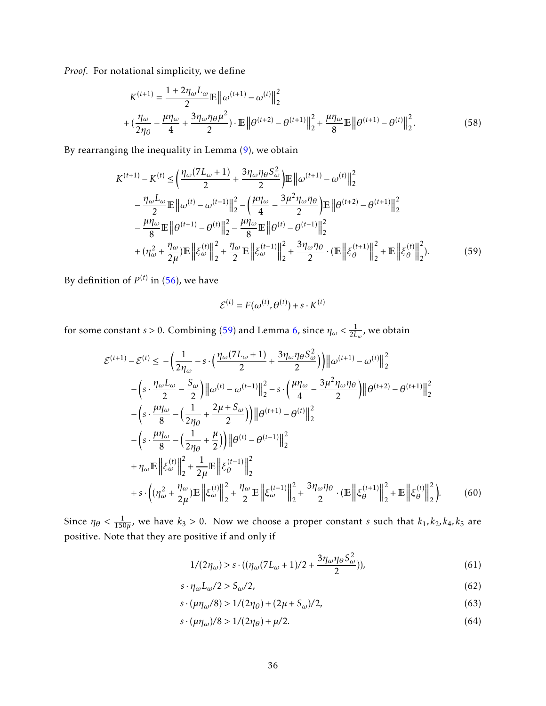*Proof.* For notational simplicity, we define

$$
K^{(t+1)} = \frac{1 + 2\eta_{\omega}L_{\omega}}{2} \mathbb{E} \left\| \omega^{(t+1)} - \omega^{(t)} \right\|_{2}^{2}
$$
  
+ 
$$
(\frac{\eta_{\omega}}{2\eta_{\theta}} - \frac{\mu\eta_{\omega}}{4} + \frac{3\eta_{\omega}\eta_{\theta}\mu^{2}}{2}) \cdot \mathbb{E} \left\| \theta^{(t+2)} - \theta^{(t+1)} \right\|_{2}^{2} + \frac{\mu\eta_{\omega}}{8} \mathbb{E} \left\| \theta^{(t+1)} - \theta^{(t)} \right\|_{2}^{2}.
$$
 (58)

By rearranging the inequality in Lemma [\(9\)](#page-33-4), we obtain

$$
K^{(t+1)} - K^{(t)} \le \left(\frac{\eta_{\omega}(7L_{\omega}+1)}{2} + \frac{3\eta_{\omega}\eta_{\theta}S_{\omega}^{2}}{2}\right) \mathbb{E} \left\|\omega^{(t+1)} - \omega^{(t)}\right\|_{2}^{2}
$$

$$
- \frac{\eta_{\omega}L_{\omega}}{2} \mathbb{E} \left\|\omega^{(t)} - \omega^{(t-1)}\right\|_{2}^{2} - \left(\frac{\mu\eta_{\omega}}{4} - \frac{3\mu^{2}\eta_{\omega}\eta_{\theta}}{2}\right) \mathbb{E} \left\|\theta^{(t+2)} - \theta^{(t+1)}\right\|_{2}^{2}
$$

$$
- \frac{\mu\eta_{\omega}}{8} \mathbb{E} \left\|\theta^{(t+1)} - \theta^{(t)}\right\|_{2}^{2} - \frac{\mu\eta_{\omega}}{8} \mathbb{E} \left\|\theta^{(t)} - \theta^{(t-1)}\right\|_{2}^{2}
$$

$$
+ (\eta_{\omega}^{2} + \frac{\eta_{\omega}}{2\mu}) \mathbb{E} \left\|\xi_{\omega}^{(t)}\right\|_{2}^{2} + \frac{\eta_{\omega}}{2} \mathbb{E} \left\|\xi_{\omega}^{(t-1)}\right\|_{2}^{2} + \frac{3\eta_{\omega}\eta_{\theta}}{2} \cdot \left(\mathbb{E} \left\|\xi_{\theta}^{(t+1)}\right\|_{2}^{2} + \mathbb{E} \left\|\xi_{\theta}^{(t)}\right\|_{2}^{2} \right). \tag{59}
$$

By definition of  $P^{(t)}$  in [\(56\)](#page-34-1), we have

<span id="page-35-0"></span>
$$
\mathcal{E}^{(t)} = F(\omega^{(t)}, \theta^{(t)}) + s \cdot K^{(t)}
$$

for some constant *s* > 0. Combining [\(59\)](#page-35-0) and Lemma [6,](#page-26-3) since  $\eta_\omega < \frac{1}{2L}$  $\frac{1}{2L_{\omega}}$ , we obtain

$$
\mathcal{E}^{(t+1)} - \mathcal{E}^{(t)} \le -\left(\frac{1}{2\eta_{\omega}} - s \cdot \left(\frac{\eta_{\omega}(7L_{\omega}+1)}{2} + \frac{3\eta_{\omega}\eta_{\theta}S_{\omega}^{2}}{2}\right)\right) \left\|\omega^{(t+1)} - \omega^{(t)}\right\|_{2}^{2}
$$

$$
- \left(s \cdot \frac{\eta_{\omega}L_{\omega}}{2} - \frac{S_{\omega}}{2}\right) \left\|\omega^{(t)} - \omega^{(t-1)}\right\|_{2}^{2} - s \cdot \left(\frac{\mu\eta_{\omega}}{4} - \frac{3\mu^{2}\eta_{\omega}\eta_{\theta}}{2}\right) \left\|\theta^{(t+2)} - \theta^{(t+1)}\right\|_{2}^{2}
$$

$$
- \left(s \cdot \frac{\mu\eta_{\omega}}{8} - \left(\frac{1}{2\eta_{\theta}} + \frac{2\mu + S_{\omega}}{2}\right)\right) \left\|\theta^{(t+1)} - \theta^{(t)}\right\|_{2}^{2}
$$

$$
- \left(s \cdot \frac{\mu\eta_{\omega}}{8} - \left(\frac{1}{2\eta_{\theta}} + \frac{\mu}{2}\right)\right) \left\|\theta^{(t)} - \theta^{(t-1)}\right\|_{2}^{2}
$$

$$
+ \eta_{\omega} \mathbb{E} \left\|\xi_{\omega}^{(t)}\right\|_{2}^{2} + \frac{1}{2\mu} \mathbb{E} \left\|\xi_{\theta}^{(t-1)}\right\|_{2}^{2}
$$

$$
+ s \cdot \left((\eta_{\omega}^{2} + \frac{\eta_{\omega}}{2\mu}) \mathbb{E} \left\|\xi_{\omega}^{(t)}\right\|_{2}^{2} + \frac{\eta_{\omega}}{2} \mathbb{E} \left\|\xi_{\omega}^{(t-1)}\right\|_{2}^{2} + \frac{3\eta_{\omega}\eta_{\theta}}{2} \cdot \left(\mathbb{E} \left\|\xi_{\theta}^{(t+1)}\right\|_{2}^{2} + \mathbb{E} \left\|\xi_{\theta}^{(t)}\right\|_{2}^{2}\right). \tag{60}
$$

Since  $\eta_{\theta} < \frac{1}{150}$  $\frac{1}{150\mu}$ , we have  $k_3 > 0$ . Now we choose a proper constant *s* such that  $k_1, k_2, k_4, k_5$  are positive. Note that they are positive if and only if

<span id="page-35-4"></span><span id="page-35-3"></span><span id="page-35-2"></span><span id="page-35-1"></span>
$$
1/(2\eta_{\omega}) > s \cdot ((\eta_{\omega}(7L_{\omega} + 1)/2 + \frac{3\eta_{\omega}\eta_{\theta}S_{\omega}^{2}}{2})),
$$
\n(61)

$$
s \cdot \eta_{\omega} L_{\omega} / 2 > S_{\omega} / 2, \tag{62}
$$

$$
s \cdot (\mu \eta_{\omega}/8) > 1/(2\eta_{\theta}) + (2\mu + S_{\omega})/2, \tag{63}
$$

$$
s \cdot (\mu \eta_{\omega})/8 > 1/(2\eta_{\theta}) + \mu/2. \tag{64}
$$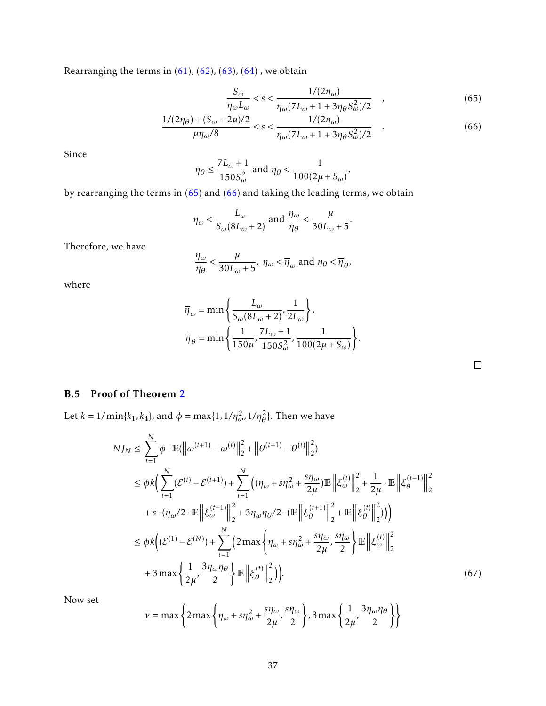Rearranging the terms in  $(61)$ ,  $(62)$ ,  $(63)$ ,  $(64)$ , we obtain

<span id="page-36-2"></span><span id="page-36-1"></span>
$$
\frac{S_{\omega}}{\eta_{\omega}L_{\omega}} < s < \frac{1/(2\eta_{\omega})}{\eta_{\omega}(7L_{\omega} + 1 + 3\eta_{\theta}S_{\omega}^{2})/2} \quad , \tag{65}
$$

$$
\frac{1/(2\eta_{\theta}) + (S_{\omega} + 2\mu)/2}{\mu \eta_{\omega}/8} < s < \frac{1/(2\eta_{\omega})}{\eta_{\omega}(7L_{\omega} + 1 + 3\eta_{\theta}S_{\omega}^{2})/2} \tag{66}
$$

Since

$$
\eta_{\theta} \le \frac{7L_{\omega} + 1}{150S_{\omega}^2}
$$
 and  $\eta_{\theta} < \frac{1}{100(2\mu + S_{\omega})'}$ ,

by rearranging the terms in  $(65)$  and  $(66)$  and taking the leading terms, we obtain

$$
\eta_{\omega} < \frac{L_{\omega}}{S_{\omega}(8L_{\omega}+2)}
$$
 and  $\frac{\eta_{\omega}}{\eta_{\theta}} < \frac{\mu}{30L_{\omega}+5}$ .

Therefore, we have

$$
\frac{\eta_{\omega}}{\eta_{\theta}} < \frac{\mu}{30L_{\omega}+5}, \ \eta_{\omega} < \overline{\eta}_{\omega} \text{ and } \eta_{\theta} < \overline{\eta}_{\theta},
$$

where

$$
\overline{\eta}_{\omega} = \min \left\{ \frac{L_{\omega}}{S_{\omega} (8L_{\omega} + 2)}, \frac{1}{2L_{\omega}} \right\},\,
$$

$$
\overline{\eta}_{\theta} = \min \left\{ \frac{1}{150\mu}, \frac{7L_{\omega} + 1}{150S_{\omega}^2}, \frac{1}{100(2\mu + S_{\omega})} \right\}.
$$

<span id="page-36-3"></span>

## <span id="page-36-0"></span>B.5 Proof of Theorem [2](#page-9-0)

Let  $k = 1/\min\{k_1, k_4\}$ , and  $\phi = \max\{1, 1/\eta_\omega^2, 1/\eta_\theta^2\}$ . Then we have

$$
NJ_{N} \leq \sum_{t=1}^{N} \phi \cdot \mathbb{E}(\left\|\omega^{(t+1)} - \omega^{(t)}\right\|_{2}^{2} + \left\|\theta^{(t+1)} - \theta^{(t)}\right\|_{2}^{2})
$$
  
\n
$$
\leq \phi k \Big( \sum_{t=1}^{N} (\mathcal{E}^{(t)} - \mathcal{E}^{(t+1)}) + \sum_{t=1}^{N} \Big( (\eta_{\omega} + s\eta_{\omega}^{2} + \frac{s\eta_{\omega}}{2\mu}) \mathbb{E} \left\|\xi_{\omega}^{(t)}\right\|_{2}^{2} + \frac{1}{2\mu} \cdot \mathbb{E} \left\|\xi_{\theta}^{(t-1)}\right\|_{2}^{2}
$$
  
\n
$$
+ s \cdot (\eta_{\omega}/2 \cdot \mathbb{E} \left\|\xi_{\omega}^{(t-1)}\right\|_{2}^{2} + 3\eta_{\omega}\eta_{\theta}/2 \cdot (\mathbb{E} \left\|\xi_{\theta}^{(t+1)}\right\|_{2}^{2} + \mathbb{E} \left\|\xi_{\theta}^{(t)}\right\|_{2}^{2}) ) \Big)
$$
  
\n
$$
\leq \phi k \Big( (\mathcal{E}^{(1)} - \mathcal{E}^{(N)}) + \sum_{t=1}^{N} \Big( 2 \max \Big\{\eta_{\omega} + s\eta_{\omega}^{2} + \frac{s\eta_{\omega}}{2\mu}, \frac{s\eta_{\omega}}{2} \Big\} \mathbb{E} \left\|\xi_{\omega}^{(t)}\right\|_{2}^{2}
$$
  
\n
$$
+ 3 \max \Big\{\frac{1}{2\mu}, \frac{3\eta_{\omega}\eta_{\theta}}{2} \Big\} \mathbb{E} \left\|\xi_{\theta}^{(t)}\right\|_{2}^{2} \Big), \tag{67}
$$

Now set

$$
v = \max\left\{2\max\left\{\eta_{\omega} + s\eta_{\omega}^2 + \frac{s\eta_{\omega}}{2\mu}, \frac{s\eta_{\omega}}{2}\right\}, 3\max\left\{\frac{1}{2\mu}, \frac{3\eta_{\omega}\eta_{\theta}}{2}\right\}\right\}
$$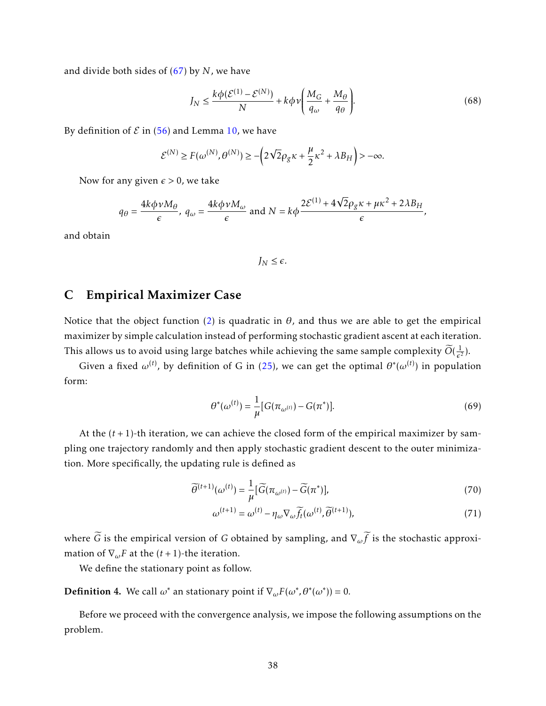and divide both sides of [\(67\)](#page-36-3) by *N*, we have

$$
J_N \le \frac{k\phi(\mathcal{E}^{(1)} - \mathcal{E}^{(N)})}{N} + k\phi\nu \bigg(\frac{M_G}{q_\omega} + \frac{M_\theta}{q_\theta}\bigg). \tag{68}
$$

By definition of  $\mathcal E$  in [\(56\)](#page-34-1) and Lemma [10,](#page-33-0) we have

$$
\mathcal{E}^{(N)} \ge F(\omega^{(N)}, \theta^{(N)}) \ge -\left(2\sqrt{2}\rho_g \kappa + \frac{\mu}{2}\kappa^2 + \lambda B_H\right) > -\infty.
$$

Now for any given  $\epsilon > 0$ , we take

$$
q_{\theta} = \frac{4k\phi v M_{\theta}}{\epsilon}, \ q_{\omega} = \frac{4k\phi v M_{\omega}}{\epsilon} \text{ and } N = k\phi \frac{2\mathcal{E}^{(1)} + 4\sqrt{2}\rho_{g}\kappa + \mu\kappa^{2} + 2\lambda B_{H}}{\epsilon},
$$

and obtain

<span id="page-37-1"></span> $J<sub>M</sub> \leq \epsilon$ .

## <span id="page-37-0"></span>C Empirical Maximizer Case

Notice that the object function [\(2\)](#page-8-0) is quadratic in  $\theta$ , and thus we are able to get the empirical maximizer by simple calculation instead of performing stochastic gradient ascent at each iteration. This allows us to avoid using large batches while achieving the same sample complexity  $\widetilde{O}(\frac{1}{\epsilon^2})$  $\frac{1}{\epsilon^2}$ ).

Given a fixed  $\omega^{(t)}$ , by definition of G in [\(25\)](#page-26-4), we can get the optimal  $\theta^*(\omega^{(t)})$  in population form:

$$
\theta^*(\omega^{(t)}) = \frac{1}{\mu} [G(\pi_{\omega^{(t)}}) - G(\pi^*)]. \tag{69}
$$

At the (*t* + 1)-th iteration, we can achieve the closed form of the empirical maximizer by sampling one trajectory randomly and then apply stochastic gradient descent to the outer minimization. More specifically, the updating rule is defined as

$$
\widetilde{\theta}^{(t+1)}(\omega^{(t)}) = \frac{1}{\mu} [\widetilde{G}(\pi_{\omega^{(t)}}) - \widetilde{G}(\pi^*)],\tag{70}
$$

$$
\omega^{(t+1)} = \omega^{(t)} - \eta_{\omega} \nabla_{\omega} \widetilde{f_t}(\omega^{(t)}, \widetilde{\theta}^{(t+1)}),\tag{71}
$$

where  $\tilde{G}$  is the empirical version of *G* obtained by sampling, and  $\nabla_{\omega}\tilde{f}$  is the stochastic approximation of  $\nabla_{\omega} F$  at the  $(t+1)$ -the iteration.

We define the stationary point as follow.

**Definition 4.** We call  $\omega^*$  an stationary point if  $\nabla_{\omega} F(\omega^*, \theta^*(\omega^*)) = 0$ .

Before we proceed with the convergence analysis, we impose the following assumptions on the problem.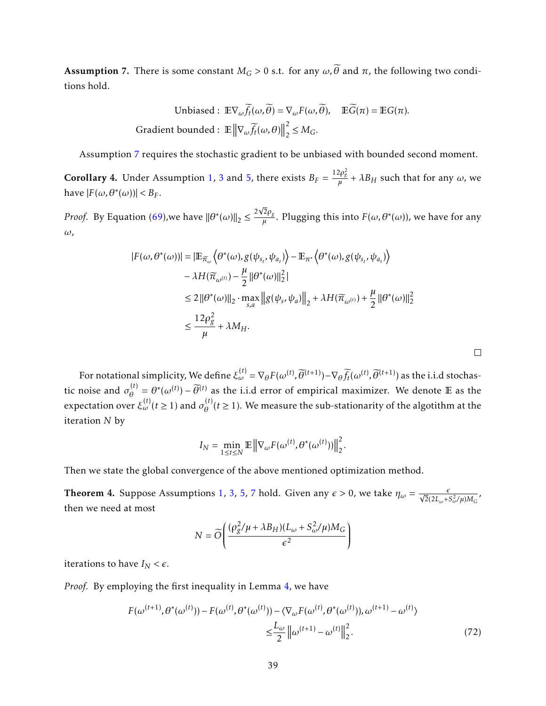<span id="page-38-0"></span>Assumption 7. There is some constant  $M_G > 0$  s.t. for any  $\omega$ ,  $\tilde{\theta}$  and  $\pi$ , the following two conditions hold.

Unbiased: 
$$
\mathbb{E}\nabla_{\omega}\widetilde{f}_t(\omega,\widetilde{\theta}) = \nabla_{\omega}F(\omega,\widetilde{\theta}), \quad \mathbb{E}\widetilde{G}(\pi) = \mathbb{E}G(\pi).
$$
  
Gradient bounded:  $\mathbb{E} \left\|\nabla_{\omega}\widetilde{f}_t(\omega,\theta)\right\|_2^2 \leq M_G.$ 

Assumption [7](#page-38-0) requires the stochastic gradient to be unbiased with bounded second moment.

**Corollary 4.** Under Assumption [1,](#page-4-0) [3](#page-6-0) and [5,](#page-8-2) there exists  $B_F = \frac{12\rho_g^2}{\mu} + \lambda B_H$  such that for any  $\omega$ , we have  $|F(\omega, \theta^*(\omega))| < B_F$ .

*Proof.* By Equation [\(69\)](#page-37-1),we have  $\|\theta^*(\omega)\|_2 \leq \frac{2}{\epsilon}$ 2*ρ<sup>g</sup>*  $\frac{d^{2}\rho_{g}}{\mu}$ . Plugging this into  $F(\omega,\theta^{*}(\omega))$ , we have for any *ω*,

$$
|F(\omega, \theta^*(\omega))| = |\mathbb{E}_{\widetilde{\pi}_{\omega}} \langle \theta^*(\omega), g(\psi_{s_t}, \psi_{a_t}) \rangle - \mathbb{E}_{\pi^*} \langle \theta^*(\omega), g(\psi_{s_t}, \psi_{a_t}) \rangle
$$
  
\n
$$
- \lambda H(\widetilde{\pi}_{\omega^{(t)}}) - \frac{\mu}{2} ||\theta^*(\omega)||_2^2|
$$
  
\n
$$
\leq 2 ||\theta^*(\omega)||_2 \cdot \max_{s,a} ||g(\psi_s, \psi_a)||_2 + \lambda H(\widetilde{\pi}_{\omega^{(t)}}) + \frac{\mu}{2} ||\theta^*(\omega)||_2^2
$$
  
\n
$$
\leq \frac{12\rho_g^2}{\mu} + \lambda M_H.
$$

For notational simplicity, We define  $\xi_{\omega}^{(t)} = \nabla_{\theta} F(\omega^{(t)}, \widetilde{\theta}^{(t+1)}) - \nabla_{\theta} \widetilde{f}_t(\omega^{(t)}, \widetilde{\theta}^{(t+1)})$  as the i.i.d stochastic noise and  $\sigma_{\theta}^{(t)}$  $\hat{\theta}^{(t)} = \theta^*(\omega^{(t)}) - \widetilde{\theta}^{(t)}$  as the i.i.d error of empirical maximizer. We denote E as the expectation over  $\xi_{\omega}^{(t)}(t \ge 1)$  and  $\sigma_{\theta}^{(t)}$  $\theta_{\theta}^{(t)}(t \geq 1)$ . We measure the sub-stationarity of the algotithm at the iteration *N* by

$$
I_N = \min_{1 \le t \le N} \mathbb{E} \left\| \nabla_{\omega} F(\omega^{(t)}, \theta^*(\omega^{(t)})) \right\|_2^2.
$$

Then we state the global convergence of the above mentioned optimization method.

**Theorem 4.** Suppose Assumptions [1,](#page-4-0) [3,](#page-6-0) [5,](#page-8-2) [7](#page-38-0) hold. Given any  $\epsilon > 0$ , we take  $\eta_{\omega} = \frac{\epsilon}{\sqrt{2}(2L - 1)}$  $\frac{\epsilon}{2(2L_{\omega}+S_{\omega}^2/\mu)M_G}$  , then we need at most

<span id="page-38-1"></span>
$$
N = \widetilde{O}\left(\frac{(\rho_g^2/\mu + \lambda B_H)(L_\omega + S_\omega^2/\mu)M_G}{\epsilon^2}\right)
$$

iterations to have  $I_N < \epsilon$ .

*Proof.* By employing the first inequality in Lemma [4,](#page-24-2) we have

$$
F(\omega^{(t+1)}, \theta^*(\omega^{(t)})) - F(\omega^{(t)}, \theta^*(\omega^{(t)})) - \langle \nabla_{\omega} F(\omega^{(t)}, \theta^*(\omega^{(t)})), \omega^{(t+1)} - \omega^{(t)} \rangle
$$
  

$$
\leq \frac{L_{\omega}}{2} ||\omega^{(t+1)} - \omega^{(t)}||_2^2.
$$
 (72)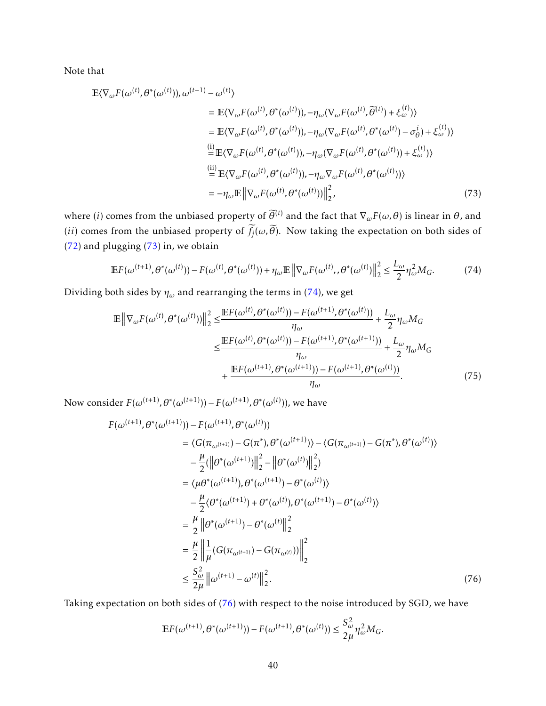Note that

$$
\mathbb{E}\langle\nabla_{\omega}F(\omega^{(t)},\theta^*(\omega^{(t)})),\omega^{(t+1)}-\omega^{(t)}\rangle
$$
\n
$$
=\mathbb{E}\langle\nabla_{\omega}F(\omega^{(t)},\theta^*(\omega^{(t)})),-\eta_{\omega}(\nabla_{\omega}F(\omega^{(t)},\overline{\theta}^{(t)})+\xi_{\omega}^{(t)})\rangle
$$
\n
$$
=\mathbb{E}\langle\nabla_{\omega}F(\omega^{(t)},\theta^*(\omega^{(t)})),-\eta_{\omega}(\nabla_{\omega}F(\omega^{(t)},\theta^*(\omega^{(t)})-\sigma_{\theta}^i)+\xi_{\omega}^{(t)})\rangle
$$
\n
$$
\stackrel{\text{(i)}}{=} \mathbb{E}\langle\nabla_{\omega}F(\omega^{(t)},\theta^*(\omega^{(t)})),-\eta_{\omega}(\nabla_{\omega}F(\omega^{(t)},\theta^*(\omega^{(t)}))+\xi_{\omega}^{(t)})\rangle
$$
\n
$$
\stackrel{\text{(ii)}}{=} \mathbb{E}\langle\nabla_{\omega}F(\omega^{(t)},\theta^*(\omega^{(t)})),-\eta_{\omega}\nabla_{\omega}F(\omega^{(t)},\theta^*(\omega^{(t)}))\rangle
$$
\n
$$
=-\eta_{\omega}\mathbb{E}\left\|\nabla_{\omega}F(\omega^{(t)},\theta^*(\omega^{(t)}))\right\|_{2}^{2},
$$
\n(73)

where (*i*) comes from the unbiased property of  $\tilde{\theta}^{(t)}$  and the fact that  $\nabla_{\omega}F(\omega,\theta)$  is linear in  $\theta$ , and (*ii*) comes from the unbiased property of  $f_j(\omega, \theta)$ . Now taking the expectation on both sides of [\(72\)](#page-38-1) and plugging [\(73\)](#page-39-0) in, we obtain

<span id="page-39-1"></span><span id="page-39-0"></span>
$$
\mathbb{E}F(\omega^{(t+1)},\theta^*(\omega^{(t)})) - F(\omega^{(t)},\theta^*(\omega^{(t)})) + \eta_{\omega}\mathbb{E}\left\|\nabla_{\omega}F(\omega^{(t)},\theta^*(\omega^{(t)})\right\|_2^2 \le \frac{L_{\omega}}{2}\eta_{\omega}^2 M_G. \tag{74}
$$

Dividing both sides by  $\eta_\omega$  and rearranging the terms in [\(74\)](#page-39-1), we get

<span id="page-39-3"></span>
$$
\mathbb{E} \left\| \nabla_{\omega} F(\omega^{(t)}, \theta^*(\omega^{(t)})) \right\|_{2}^{2} \leq \frac{\mathbb{E} F(\omega^{(t)}, \theta^*(\omega^{(t)})) - F(\omega^{(t+1)}, \theta^*(\omega^{(t)}))}{\eta_{\omega}} + \frac{L_{\omega}}{2} \eta_{\omega} M_{G}
$$
\n
$$
\leq \frac{\mathbb{E} F(\omega^{(t)}, \theta^*(\omega^{(t)})) - F(\omega^{(t+1)}, \theta^*(\omega^{(t+1)}))}{\eta_{\omega}} + \frac{L_{\omega}}{2} \eta_{\omega} M_{G}
$$
\n
$$
+ \frac{\mathbb{E} F(\omega^{(t+1)}, \theta^*(\omega^{(t+1)})) - F(\omega^{(t+1)}, \theta^*(\omega^{(t)}))}{\eta_{\omega}}.
$$
\n(75)

Now consider  $F(\omega^{(t+1)}, \theta^*(\omega^{(t+1)})) - F(\omega^{(t+1)}, \theta^*(\omega^{(t)}))$ , we have

$$
F(\omega^{(t+1)}, \theta^*(\omega^{(t+1)})) - F(\omega^{(t+1)}, \theta^*(\omega^{(t)}))
$$
  
\n
$$
= \langle G(\pi_{\omega^{(t+1)}}) - G(\pi^*, \theta^*(\omega^{(t+1)})) - \langle G(\pi_{\omega^{(t+1)}}) - G(\pi^*, \theta^*(\omega^{(t)})) \rangle
$$
  
\n
$$
- \frac{\mu}{2} (\|\theta^*(\omega^{(t+1)})\|_2^2 - \|\theta^*(\omega^{(t)})\|_2^2)
$$
  
\n
$$
= \langle \mu \theta^*(\omega^{(t+1)}), \theta^*(\omega^{(t+1)}) - \theta^*(\omega^{(t)}) \rangle
$$
  
\n
$$
- \frac{\mu}{2} \langle \theta^*(\omega^{(t+1)}) + \theta^*(\omega^{(t)}), \theta^*(\omega^{(t+1)}) - \theta^*(\omega^{(t)}) \rangle
$$
  
\n
$$
= \frac{\mu}{2} \|\theta^*(\omega^{(t+1)}) - \theta^*(\omega^{(t)}\|_2^2)
$$
  
\n
$$
= \frac{\mu}{2} \|\frac{1}{\mu} (G(\pi_{\omega^{(t+1)}}) - G(\pi_{\omega^{(t)}}))\|_2^2
$$
  
\n
$$
\leq \frac{S_{\omega}^2}{2\mu} \|\omega^{(t+1)} - \omega^{(t)}\|_2^2.
$$
 (76)

Taking expectation on both sides of [\(76\)](#page-39-2) with respect to the noise introduced by SGD, we have

<span id="page-39-2"></span>
$$
\mathbb{E} F(\omega^{(t+1)}, \theta^*(\omega^{(t+1)})) - F(\omega^{(t+1)}, \theta^*(\omega^{(t)})) \le \frac{S_{\omega}^2}{2\mu} \eta_{\omega}^2 M_G.
$$